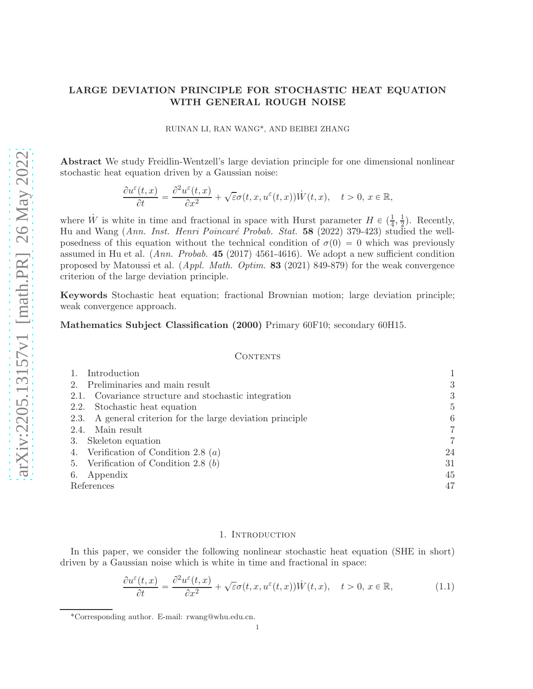# LARGE DEVIATION PRINCIPLE FOR STOCHASTIC HEAT EQUATION WITH GENERAL ROUGH NOISE

RUINAN LI, RAN WANG\*, AND BEIBEI ZHANG

Abstract We study Freidlin-Wentzell's large deviation principle for one dimensional nonlinear stochastic heat equation driven by a Gaussian noise:

$$
\frac{\partial u^{\varepsilon}(t,x)}{\partial t} = \frac{\partial^2 u^{\varepsilon}(t,x)}{\partial x^2} + \sqrt{\varepsilon}\sigma(t,x,u^{\varepsilon}(t,x))\dot{W}(t,x), \quad t > 0, x \in \mathbb{R},
$$

where W is white in time and fractional in space with Hurst parameter  $H \in (\frac{1}{4}, \frac{1}{2})$  $\frac{1}{2}$ ). Recently, Hu and Wang (Ann. Inst. Henri Poincaré Probab. Stat. 58 (2022) 379-423) studied the wellposedness of this equation without the technical condition of  $\sigma(0) = 0$  which was previously assumed in Hu et al.  $(Ann. Probab. 45 (2017) 4561-4616)$ . We adopt a new sufficient condition proposed by Matoussi et al. (Appl. Math. Optim. 83 (2021) 849-879) for the weak convergence criterion of the large deviation principle.

Keywords Stochastic heat equation; fractional Brownian motion; large deviation principle; weak convergence approach.

## Mathematics Subject Classification (2000) Primary 60F10; secondary 60H15.

### **CONTENTS**

| Introduction                                               |                |
|------------------------------------------------------------|----------------|
| 2. Preliminaries and main result                           | 3              |
| 2.1. Covariance structure and stochastic integration       | 3              |
| 2.2. Stochastic heat equation                              | $\overline{5}$ |
| 2.3. A general criterion for the large deviation principle | 6              |
| Main result<br>2.4.                                        | 7              |
| Skeleton equation<br>3.                                    | 7              |
| 4. Verification of Condition 2.8 $(a)$                     | 24             |
| 5. Verification of Condition 2.8 (b)                       | 31             |
| 6. Appendix                                                | 45             |
| References                                                 | 47             |

#### 1. INTRODUCTION

<span id="page-0-0"></span>In this paper, we consider the following nonlinear stochastic heat equation (SHE in short) driven by a Gaussian noise which is white in time and fractional in space:

<span id="page-0-1"></span>
$$
\frac{\partial u^{\varepsilon}(t,x)}{\partial t} = \frac{\partial^{2} u^{\varepsilon}(t,x)}{\partial x^{2}} + \sqrt{\varepsilon} \sigma(t,x,u^{\varepsilon}(t,x)) \dot{W}(t,x), \quad t > 0, x \in \mathbb{R},
$$
\n(1.1)

<sup>\*</sup>Corresponding author. E-mail: rwang@whu.edu.cn.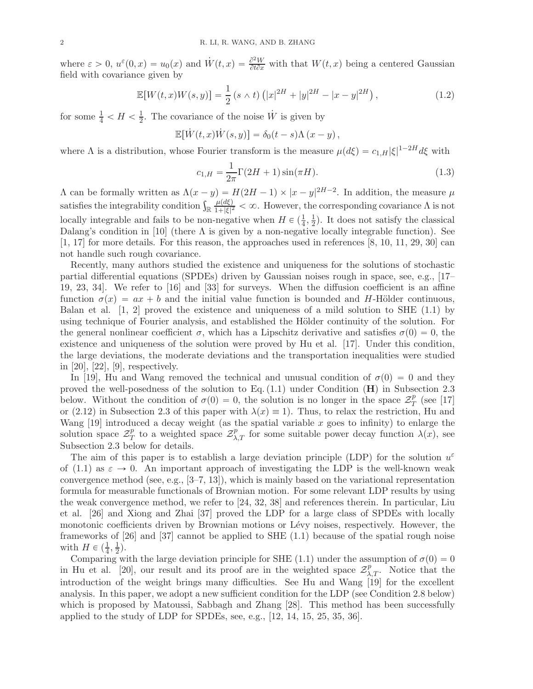where  $\varepsilon > 0$ ,  $u^{\varepsilon}(0, x) = u_0(x)$  and  $\dot{W}(t, x) = \frac{\partial^2 W}{\partial t \partial x}$  with that  $W(t, x)$  being a centered Gaussian field with covariance given by

<span id="page-1-1"></span>
$$
\mathbb{E}[W(t,x)W(s,y)] = \frac{1}{2}(s \wedge t)\left(|x|^{2H} + |y|^{2H} - |x-y|^{2H}\right),\tag{1.2}
$$

for some  $\frac{1}{4} < H < \frac{1}{2}$  $\frac{1}{2}$ . The covariance of the noise  $\dot{W}$  is given by

$$
\mathbb{E}[\dot{W}(t,x)\dot{W}(s,y)] = \delta_0(t-s)\Lambda(x-y),
$$

where  $\Lambda$  is a distribution, whose Fourier transform is the measure  $\mu(d\xi) = c_{1,H}|\xi|^{1-2H}d\xi$  with

<span id="page-1-0"></span>
$$
c_{1,H} = \frac{1}{2\pi} \Gamma(2H+1) \sin(\pi H). \tag{1.3}
$$

 $\Lambda$  can be formally written as  $\Lambda(x-y) = H(2H-1) \times |x-y|^{2H-2}$ . In addition, the measure  $\mu$ satisfies the integrability condition  $\int_{\mathbb{R}} \frac{\mu(d\xi)}{1+|\xi|^2}$  $\frac{\mu(a\xi)}{1+|\xi|^2} < \infty$ . However, the corresponding covariance  $\Lambda$  is not locally integrable and fails to be non-negative when  $H \in (\frac{1}{4}, \frac{1}{2})$  $\frac{1}{2}$ ). It does not satisfy the classical Dalang's condition in [\[10](#page-46-1)] (there  $\Lambda$  is given by a non-negative locally integrable function). See  $[1, 17]$  $[1, 17]$  for more details. For this reason, the approaches used in references  $[8, 10, 11, 29, 30]$  $[8, 10, 11, 29, 30]$  $[8, 10, 11, 29, 30]$  $[8, 10, 11, 29, 30]$  $[8, 10, 11, 29, 30]$  $[8, 10, 11, 29, 30]$  can not handle such rough covariance.

Recently, many authors studied the existence and uniqueness for the solutions of stochastic partial differential equations (SPDEs) driven by Gaussian noises rough in space, see, e.g., [\[17](#page-46-3)– [19](#page-46-6), [23,](#page-46-7) [34](#page-47-2)]. We refer to [\[16](#page-46-8)] and [\[33\]](#page-47-3) for surveys. When the diffusion coefficient is an affine function  $\sigma(x) = ax + b$  and the initial value function is bounded and H-Hölder continuous, Balan et al.  $[1, 2]$  $[1, 2]$  $[1, 2]$  proved the existence and uniqueness of a mild solution to SHE  $(1.1)$  by using technique of Fourier analysis, and established the Hölder continuity of the solution. For the general nonlinear coefficient  $\sigma$ , which has a Lipschitz derivative and satisfies  $\sigma(0)=0$ , the existence and uniqueness of the solution were proved by Hu et al. [\[17\]](#page-46-3). Under this condition, the large deviations, the moderate deviations and the transportation inequalities were studied in [\[20\]](#page-46-10), [\[22](#page-46-11)], [\[9\]](#page-46-12), respectively.

In [\[19\]](#page-46-6), Hu and Wang removed the technical and unusual condition of  $\sigma(0)=0$  and they proved the well-posedness of the solution to Eq.  $(1.1)$  under Condition  $(H)$  in Subsection 2.3 below. Without the condition of  $\sigma(0) = 0$ , the solution is no longer in the space  $\mathcal{Z}_T^p$  $_T^p$  (see [\[17](#page-46-3)] or [\(2.12\)](#page-4-1) in Subsection 2.3 of this paper with  $\lambda(x) \equiv 1$ . Thus, to relax the restriction, Hu and Wang  $[19]$  introduced a decay weight (as the spatial variable x goes to infinity) to enlarge the solution space  $\mathcal{Z}_7^p$  $p_T$  to a weighted space  $\mathcal{Z}_{\lambda,T}^p$  for some suitable power decay function  $\lambda(x)$ , see Subsection 2.3 below for details.

The aim of this paper is to establish a large deviation principle (LDP) for the solution  $u^{\varepsilon}$ of [\(1.1\)](#page-0-1) as  $\varepsilon \to 0$ . An important approach of investigating the LDP is the well-known weak convergence method (see, e.g.,  $[3-7, 13]$  $[3-7, 13]$  $[3-7, 13]$ ), which is mainly based on the variational representation formula for measurable functionals of Brownian motion. For some relevant LDP results by using the weak convergence method, we refer to [\[24](#page-47-4), [32](#page-47-5), [38](#page-47-6)] and references therein. In particular, Liu et al. [\[26](#page-47-7)] and Xiong and Zhai [\[37\]](#page-47-8) proved the LDP for a large class of SPDEs with locally monotonic coefficients driven by Brownian motions or Lévy noises, respectively. However, the frameworks of [\[26](#page-47-7)] and [\[37\]](#page-47-8) cannot be applied to SHE [\(1.1\)](#page-0-1) because of the spatial rough noise with  $H \in (\frac{1}{4}, \frac{1}{2})$  $(\frac{1}{2})$ .

Comparing with the large deviation principle for SHE [\(1.1\)](#page-0-1) under the assumption of  $\sigma(0)=0$ in Hu et al. [\[20](#page-46-10)], our result and its proof are in the weighted space  $\mathcal{Z}_{\lambda,T}^p$ . Notice that the introduction of the weight brings many difficulties. See Hu and Wang [\[19](#page-46-6)] for the excellent analysis. In this paper, we adopt a new sufficient condition for the LDP (see Condition [2.8](#page-5-1) below) which is proposed by Matoussi, Sabbagh and Zhang [\[28\]](#page-47-9). This method has been successfully applied to the study of LDP for SPDEs, see, e.g., [\[12,](#page-46-16) [14](#page-46-17), [15,](#page-46-18) [25](#page-47-10), [35](#page-47-11), [36\]](#page-47-12).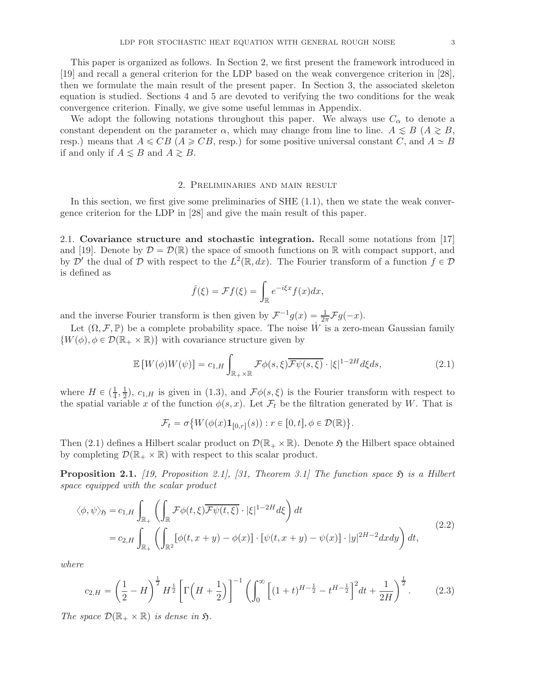This paper is organized as follows. In Section 2, we first present the framework introduced in [\[19](#page-46-6)] and recall a general criterion for the LDP based on the weak convergence criterion in [\[28](#page-47-9)], then we formulate the main result of the present paper. In Section 3, the associated skeleton equation is studied. Sections 4 and 5 are devoted to verifying the two conditions for the weak convergence criterion. Finally, we give some useful lemmas in Appendix.

We adopt the following notations throughout this paper. We always use  $C_{\alpha}$  to denote a constant dependent on the parameter  $\alpha$ , which may change from line to line.  $A \leq B$  ( $A \geq B$ , resp.) means that  $A \leq CB$  ( $A \geq CB$ , resp.) for some positive universal constant C, and  $A \simeq B$ if and only if  $A \leq B$  and  $A \geq B$ .

### 2. Preliminaries and main result

<span id="page-2-0"></span>In this section, we first give some preliminaries of  $SHE(1.1)$ , then we state the weak convergence criterion for the LDP in [\[28\]](#page-47-9) and give the main result of this paper.

<span id="page-2-1"></span>2.1. Covariance structure and stochastic integration. Recall some notations from [\[17](#page-46-3)] and [\[19](#page-46-6)]. Denote by  $\mathcal{D} = \mathcal{D}(\mathbb{R})$  the space of smooth functions on R with compact support, and by  $\mathcal{D}'$  the dual of  $\mathcal D$  with respect to the  $L^2(\mathbb R, dx)$ . The Fourier transform of a function  $f \in \mathcal D$ is defined as

$$
\hat{f}(\xi) = \mathcal{F}f(\xi) = \int_{\mathbb{R}} e^{-i\xi x} f(x) dx,
$$

and the inverse Fourier transform is then given by  $\mathcal{F}^{-1}g(x) = \frac{1}{2\pi} \mathcal{F}g(-x)$ .

Let  $(\Omega, \mathcal{F}, \mathbb{P})$  be a complete probability space. The noise W is a zero-mean Gaussian family  $\{W(\phi), \phi \in \mathcal{D}(\mathbb{R}_+ \times \mathbb{R})\}\$  with covariance structure given by

<span id="page-2-2"></span>
$$
\mathbb{E}\left[W(\phi)W(\psi)\right] = c_{1,H} \int_{\mathbb{R}_+ \times \mathbb{R}} \mathcal{F}\phi(s,\xi) \overline{\mathcal{F}\psi(s,\xi)} \cdot |\xi|^{1-2H} d\xi ds, \tag{2.1}
$$

where  $H \in \left(\frac{1}{4}, \frac{1}{2}\right)$  $\frac{1}{2}$ ,  $c_{1,H}$  is given in [\(1.3\)](#page-1-0), and  $\mathcal{F}\phi(s,\xi)$  is the Fourier transform with respect to the spatial variable x of the function  $\phi(s, x)$ . Let  $\mathcal{F}_t$  be the filtration generated by W. That is

$$
\mathcal{F}_t = \sigma\big\{W(\phi(x)\mathbf{1}_{[0,r]}(s)): r \in [0,t], \phi \in \mathcal{D}(\mathbb{R})\big\}.
$$

Then [\(2.1\)](#page-2-2) defines a Hilbert scalar product on  $\mathcal{D}(\mathbb{R}_+ \times \mathbb{R})$ . Denote  $\mathfrak{H}$  the Hilbert space obtained by completing  $\mathcal{D}(\mathbb{R}_+ \times \mathbb{R})$  with respect to this scalar product.

**Proposition 2.1.** [\[19](#page-46-6), Proposition 2.1], [\[31](#page-47-13), Theorem 3.1] The function space  $\mathfrak{H}$  is a Hilbert space equipped with the scalar product

$$
\langle \phi, \psi \rangle_{\mathfrak{H}} = c_{1,H} \int_{\mathbb{R}_+} \left( \int_{\mathbb{R}} \mathcal{F} \phi(t,\xi) \overline{\mathcal{F} \psi(t,\xi)} \cdot |\xi|^{1-2H} d\xi \right) dt
$$
  
=  $c_{2,H} \int_{\mathbb{R}_+} \left( \int_{\mathbb{R}^2} [\phi(t,x+y) - \phi(x)] \cdot [\psi(t,x+y) - \psi(x)] \cdot |y|^{2H-2} dxdy \right) dt,$  (2.2)

where

$$
c_{2,H} = \left(\frac{1}{2} - H\right)^{\frac{1}{2}} H^{\frac{1}{2}} \left[\Gamma\left(H + \frac{1}{2}\right)\right]^{-1} \left(\int_0^\infty \left[(1+t)^{H-\frac{1}{2}} - t^{H-\frac{1}{2}}\right]^2 dt + \frac{1}{2H}\right)^{\frac{1}{2}}.\tag{2.3}
$$

The space  $\mathcal{D}(\mathbb{R}_+ \times \mathbb{R})$  is dense in  $\mathfrak{H}$ .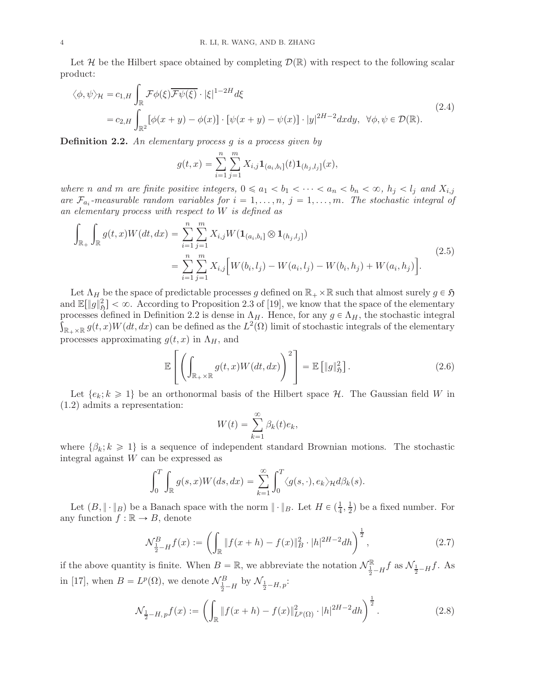Let H be the Hilbert space obtained by completing  $\mathcal{D}(\mathbb{R})$  with respect to the following scalar product:

<span id="page-3-1"></span>
$$
\langle \phi, \psi \rangle_{\mathcal{H}} = c_{1,H} \int_{\mathbb{R}} \mathcal{F}\phi(\xi) \overline{\mathcal{F}\psi(\xi)} \cdot |\xi|^{1-2H} d\xi
$$
  
=  $c_{2,H} \int_{\mathbb{R}^2} [\phi(x+y) - \phi(x)] \cdot [\psi(x+y) - \psi(x)] \cdot |y|^{2H-2} dxdy, \ \forall \phi, \psi \in \mathcal{D}(\mathbb{R}).$  (2.4)

<span id="page-3-0"></span>**Definition 2.2.** An elementary process  $g$  is a process given by

$$
g(t,x) = \sum_{i=1}^{n} \sum_{j=1}^{m} X_{i,j} \mathbf{1}_{(a_i,b_i]}(t) \mathbf{1}_{(h_j,l_j]}(x),
$$

where n and m are finite positive integers,  $0 \le a_1 < b_1 < \cdots < a_n < b_n < \infty$ ,  $h_j < l_j$  and  $X_{i,j}$ are  $\mathcal{F}_{a_i}$ -measurable random variables for  $i = 1, \ldots, n$ ,  $j = 1, \ldots, m$ . The stochastic integral of an elementary process with respect to W is defined as

$$
\int_{\mathbb{R}_{+}} \int_{\mathbb{R}} g(t,x)W(dt,dx) = \sum_{i=1}^{n} \sum_{j=1}^{m} X_{i,j}W(\mathbf{1}_{(a_i,b_i]} \otimes \mathbf{1}_{(h_j,l_j]})
$$
\n
$$
= \sum_{i=1}^{n} \sum_{j=1}^{m} X_{i,j} \Big[ W(b_i,l_j) - W(a_i,l_j) - W(b_i,h_j) + W(a_i,h_j) \Big].
$$
\n(2.5)

Let  $\Lambda_H$  be the space of predictable processes g defined on  $\mathbb{R}_+ \times \mathbb{R}$  such that almost surely  $g \in \mathfrak{H}$ and  $\mathbb{E}[\|g\|_{\mathfrak{H}}^2] < \infty$ . According to Proposition 2.3 of [\[19](#page-46-6)], we know that the space of the elementary processes defined in Definition [2.2](#page-3-0) is dense in  $\Lambda_H$ . Hence, for any  $g \in \Lambda_H$ , the stochastic integral  $\int_{\mathbb{R}_+\times\mathbb{R}} g(t,x)W(dt,dx)$  can be defined as the  $L^2(\Omega)$  limit of stochastic integrals of the elementary processes approximating  $g(t, x)$  in  $\Lambda_H$ , and

$$
\mathbb{E}\left[\left(\int_{\mathbb{R}_+\times\mathbb{R}}g(t,x)W(dt,dx)\right)^2\right]=\mathbb{E}\left[\|g\|_{\mathfrak{H}}^2\right].\tag{2.6}
$$

Let  $\{e_k; k \geq 1\}$  be an orthonormal basis of the Hilbert space H. The Gaussian field W in [\(1.2\)](#page-1-1) admits a representation:

$$
W(t) = \sum_{k=1}^{\infty} \beta_k(t) e_k,
$$

where  $\{\beta_k; k \geq 1\}$  is a sequence of independent standard Brownian motions. The stochastic integral against W can be expressed as

$$
\int_0^T \int_{\mathbb{R}} g(s,x)W(ds,dx) = \sum_{k=1}^{\infty} \int_0^T \langle g(s,\cdot),e_k \rangle_{\mathcal{H}} d\beta_k(s).
$$

Let  $(B, \|\cdot\|_B)$  be a Banach space with the norm  $\|\cdot\|_B$ . Let  $H \in (\frac{1}{4}, \frac{1}{2})$  $\frac{1}{2}$ ) be a fixed number. For any function  $f : \mathbb{R} \to B$ , denote

$$
\mathcal{N}_{\frac{1}{2}-H}^{B} f(x) := \left( \int_{\mathbb{R}} \| f(x+h) - f(x) \|_{B}^{2} \cdot |h|^{2H-2} dh \right)^{\frac{1}{2}},\tag{2.7}
$$

if the above quantity is finite. When  $B = \mathbb{R}$ , we abbreviate the notation  $\mathcal{N}_{\frac{1}{2}-H}^{\mathbb{R}} f$  as  $\mathcal{N}_{\frac{1}{2}-H} f$ . As in [\[17\]](#page-46-3), when  $B = L^p(\Omega)$ , we denote  $\mathcal{N}_{\frac{1}{2}-H}^B$  by  $\mathcal{N}_{\frac{1}{2}-H,p}$ :

$$
\mathcal{N}_{\frac{1}{2}-H,p}f(x) := \left(\int_{\mathbb{R}} \|f(x+h) - f(x)\|_{L^p(\Omega)}^2 \cdot |h|^{2H-2} dh\right)^{\frac{1}{2}}.
$$
\n(2.8)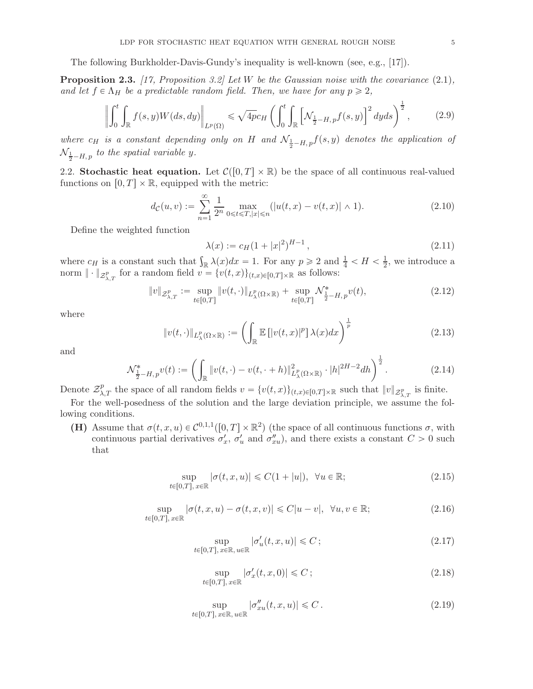The following Burkholder-Davis-Gundy's inequality is well-known (see, e.g., [\[17](#page-46-3)]).

**Proposition 2.3.** [\[17](#page-46-3), Proposition 3.2] Let W be the Gaussian noise with the covariance  $(2.1)$ , and let  $f \in \Lambda_H$  be a predictable random field. Then, we have for any  $p \geq 2$ ,

$$
\left\| \int_0^t \int_{\mathbb{R}} f(s, y) W(ds, dy) \right\|_{L^p(\Omega)} \le \sqrt{4p} c_H \left( \int_0^t \int_{\mathbb{R}} \left[ \mathcal{N}_{\frac{1}{2} - H, p} f(s, y) \right]^2 dy ds \right)^{\frac{1}{2}}, \tag{2.9}
$$

where  $c_H$  is a constant depending only on H and  $\mathcal{N}_{\frac{1}{2}-H, p}f(s, y)$  denotes the application of  $\mathcal{N}_{\frac{1}{2}-H,\, p}$  to the spatial variable y.

<span id="page-4-0"></span>2.2. Stochastic heat equation. Let  $\mathcal{C}([0, T] \times \mathbb{R})$  be the space of all continuous real-valued functions on  $[0, T] \times \mathbb{R}$ , equipped with the metric:

$$
d_{\mathcal{C}}(u,v) := \sum_{n=1}^{\infty} \frac{1}{2^n} \max_{0 \leq t \leq T, |x| \leq n} (|u(t,x) - v(t,x)| \wedge 1).
$$
 (2.10)

Define the weighted function

<span id="page-4-2"></span>
$$
\lambda(x) := c_H (1+|x|^2)^{H-1},\tag{2.11}
$$

where  $c_H$  is a constant such that  $\int_{\mathbb{R}} \lambda(x) dx = 1$ . For any  $p \ge 2$  and  $\frac{1}{4} < H < \frac{1}{2}$  $\frac{1}{2}$ , we introduce a norm  $\|\cdot\|_{\mathcal{Z}_{\lambda,T}^p}$  for a random field  $v = \{v(t,x)\}_{(t,x)\in[0,T]\times\mathbb{R}}$  as follows:

<span id="page-4-1"></span>
$$
||v||_{\mathcal{Z}_{\lambda,T}^p} := \sup_{t \in [0,T]} ||v(t,\cdot)||_{L_\lambda^p(\Omega \times \mathbb{R})} + \sup_{t \in [0,T]} \mathcal{N}_{\frac{1}{2} - H, p}^*(v(t)),
$$
\n(2.12)

where

<span id="page-4-8"></span>
$$
||v(t,\cdot)||_{L^p_{\lambda}(\Omega\times\mathbb{R})} := \left(\int_{\mathbb{R}} \mathbb{E}\left[|v(t,x)|^p\right] \lambda(x)dx\right)^{\frac{1}{p}}\tag{2.13}
$$

and

$$
\mathcal{N}_{\frac{1}{2}-H,p}^* v(t) := \left( \int_{\mathbb{R}} \|v(t,\cdot) - v(t,\cdot+h)\|_{L^p_\lambda(\Omega \times \mathbb{R})}^2 \cdot |h|^{2H-2} dh \right)^{\frac{1}{2}}.
$$
 (2.14)

Denote  $\mathcal{Z}_{\lambda,T}^p$  the space of all random fields  $v = \{v(t,x)\}_{(t,x)\in[0,T]\times\mathbb{R}}$  such that  $||v||_{\mathcal{Z}_{\lambda,T}^p}$  is finite.

For the well-posedness of the solution and the large deviation principle, we assume the following conditions.

(H) Assume that  $\sigma(t, x, u) \in C^{0,1,1}([0, T] \times \mathbb{R}^2)$  (the space of all continuous functions  $\sigma$ , with continuous partial derivatives  $\sigma'_x$ ,  $\sigma'_u$  and  $\sigma''_{xu}$ , and there exists a constant  $C > 0$  such that

$$
\sup_{t \in [0,T], x \in \mathbb{R}} |\sigma(t, x, u)| \leq C(1 + |u|), \ \forall u \in \mathbb{R};
$$
\n(2.15)

$$
\sup_{t \in [0,T], x \in \mathbb{R}} |\sigma(t, x, u) - \sigma(t, x, v)| \leq C|u - v|, \ \forall u, v \in \mathbb{R};
$$
\n(2.16)

<span id="page-4-4"></span>
$$
\sup_{t \in [0,T], x \in \mathbb{R}, u \in \mathbb{R}} |\sigma'_u(t, x, u)| \leqslant C \tag{2.17}
$$

<span id="page-4-7"></span><span id="page-4-6"></span><span id="page-4-5"></span><span id="page-4-3"></span>
$$
\sup_{t \in [0,T], x \in \mathbb{R}} |\sigma_x'(t, x, 0)| \leqslant C \tag{2.18}
$$

$$
\sup_{t \in [0,T], x \in \mathbb{R}, u \in \mathbb{R}} |\sigma''_{xu}(t,x,u)| \leqslant C.
$$
\n(2.19)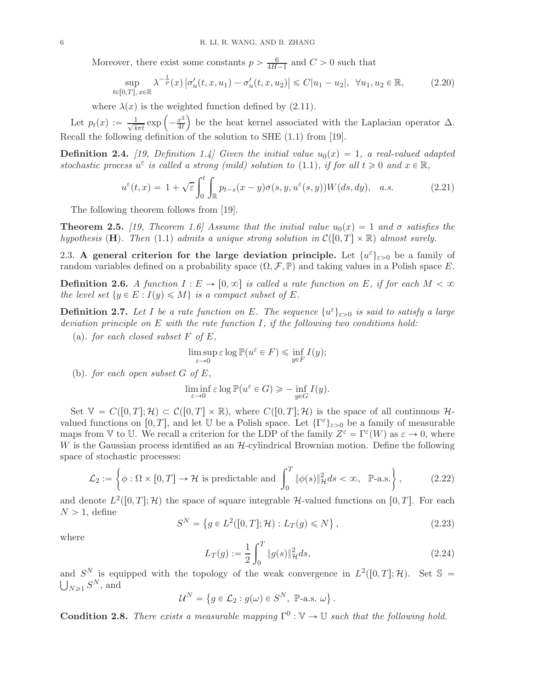Moreover, there exist some constants  $p > \frac{6}{4H-1}$  and  $C > 0$  such that

<span id="page-5-3"></span>
$$
\sup_{t \in [0,T], x \in \mathbb{R}} \lambda^{-\frac{1}{p}}(x) \left| \sigma'_u(t, x, u_1) - \sigma'_u(t, x, u_2) \right| \leq C |u_1 - u_2|, \ \forall u_1, u_2 \in \mathbb{R},
$$
\n(2.20)

where  $\lambda(x)$  is the weighted function defined by [\(2.11\)](#page-4-2).

Let  $p_t(x) := \frac{1}{\sqrt{4}}$  $rac{1}{4\pi t}$  exp  $\left(-\frac{x^2}{4t}\right)$  $\left(\frac{x^2}{4t}\right)$  be the heat kernel associated with the Laplacian operator  $\Delta$ . Recall the following definition of the solution to SHE [\(1.1\)](#page-0-1) from [\[19](#page-46-6)].

**Definition 2.4.** [\[19](#page-46-6), Definition 1.4] Given the initial value  $u_0(x) = 1$ , a real-valued adapted stochastic process  $u^{\varepsilon}$  is called a strong (mild) solution to [\(1.1\)](#page-0-1), if for all  $t \ge 0$  and  $x \in \mathbb{R}$ ,

$$
u^{\varepsilon}(t,x) = 1 + \sqrt{\varepsilon} \int_0^t \int_{\mathbb{R}} p_{t-s}(x-y)\sigma(s,y,u^{\varepsilon}(s,y))W(ds,dy), \quad a.s.
$$
 (2.21)

The following theorem follows from [\[19](#page-46-6)].

<span id="page-5-2"></span>**Theorem 2.5.** [\[19](#page-46-6), Theorem 1.6] Assume that the initial value  $u_0(x) = 1$  and  $\sigma$  satisfies the hypothesis (H). Then [\(1.1\)](#page-0-1) admits a unique strong solution in  $\mathcal{C}([0, T] \times \mathbb{R})$  almost surely.

<span id="page-5-0"></span>2.3. A general criterion for the large deviation principle. Let  $\{u^{\varepsilon}\}_{{\varepsilon}>0}$  be a family of random variables defined on a probability space  $(\Omega, \mathcal{F}, \mathbb{P})$  and taking values in a Polish space E.

**Definition 2.6.** A function  $I : E \to [0, \infty]$  is called a rate function on E, if for each  $M < \infty$ the level set  $\{y \in E : I(y) \leq M\}$  is a compact subset of E.

**Definition 2.7.** Let I be a rate function on E. The sequence  $\{u^{\varepsilon}\}_{\varepsilon>0}$  is said to satisfy a large deviation principle on  $E$  with the rate function I, if the following two conditions hold:

(a). for each closed subset  $F$  of  $E$ ,

$$
\limsup_{\varepsilon \to 0} \varepsilon \log \mathbb{P}(u^{\varepsilon} \in F) \leq \inf_{y \in F} I(y);
$$

(b). for each open subset  $G$  of  $E$ ,

$$
\liminf_{\varepsilon \to 0} \varepsilon \log \mathbb{P}(u^{\varepsilon} \in G) \geq - \inf_{y \in G} I(y).
$$

Set  $\mathbb{V} = C([0, T]; \mathcal{H}) \subset C([0, T] \times \mathbb{R})$ , where  $C([0, T]; \mathcal{H})$  is the space of all continuous  $\mathcal{H}$ valued functions on  $[0, T]$ , and let U be a Polish space. Let  $\{\Gamma^{\varepsilon}\}_{\varepsilon>0}$  be a family of measurable maps from V to U. We recall a criterion for the LDP of the family  $Z^{\varepsilon} = \Gamma^{\varepsilon}(W)$  as  $\varepsilon \to 0$ , where W is the Gaussian process identified as an  $H$ -cylindrical Brownian motion. Define the following space of stochastic processes:

$$
\mathcal{L}_2 := \left\{ \phi : \Omega \times [0, T] \to \mathcal{H} \text{ is predictable and } \int_0^T \|\phi(s)\|_{\mathcal{H}}^2 ds < \infty, \quad \mathbb{P}\text{-a.s.} \right\},\tag{2.22}
$$

and denote  $L^2([0,T]; \mathcal{H})$  the space of square integrable H-valued functions on  $[0, T]$ . For each  $N > 1$ , define

$$
S^{N} = \{ g \in L^{2}([0, T]; \mathcal{H}) : L_{T}(g) \leq N \},
$$
\n(2.23)

where

$$
L_T(g) := \frac{1}{2} \int_0^T \|g(s)\|_{\mathcal{H}}^2 ds,
$$
\n(2.24)

and  $S^N$  is equipped with the topology of the weak convergence in  $L^2([0,T]; \mathcal{H})$ . Set  $\mathbb{S} = \bigcup_{N>1} S^N$ , and  $N\geqslant 1$   $S^N$ , and

$$
\mathcal{U}^N = \left\{ g \in \mathcal{L}_2 : g(\omega) \in S^N, \ \mathbb{P}\text{-a.s. } \omega \right\}.
$$

<span id="page-5-1"></span>**Condition 2.8.** There exists a measurable mapping  $\Gamma^0 : \mathbb{V} \to \mathbb{U}$  such that the following hold.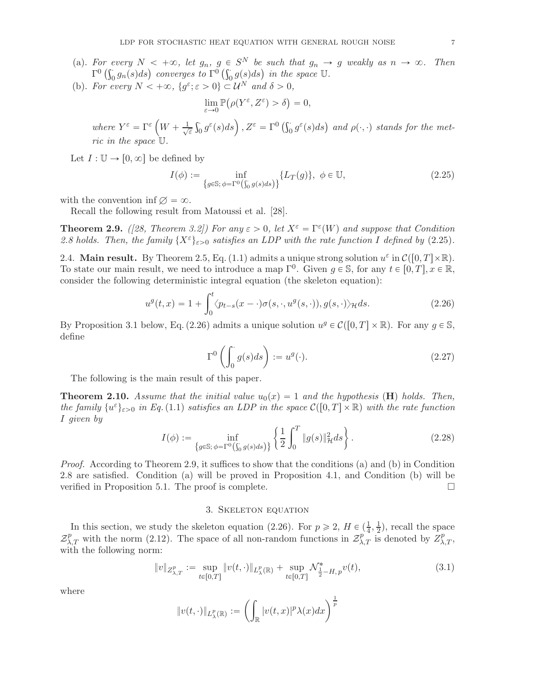- (a). For every  $N < +\infty$ , let  $g_n$ ,  $g \in S^N$  be such that  $g_n \to g$  weakly as  $n \to \infty$ . Then  $\Gamma^0\left(\int_0^{\cdot}g_n(s)ds\right)$  converges to  $\Gamma^0\left(\int_0^{\cdot}g(s)ds\right)$  in the space  $\mathbb{U}$ .
- (b). For every  $N < +\infty$ ,  $\{g^{\varepsilon}; \varepsilon > 0\} \subset \mathcal{U}^N$  and  $\delta > 0$ ,

$$
\lim_{\varepsilon \to 0} \mathbb{P}(\rho(Y^{\varepsilon}, Z^{\varepsilon}) > \delta) = 0,
$$

where  $Y^{\varepsilon} = \Gamma^{\varepsilon} \left( W + \frac{1}{\sqrt{\varepsilon}} \right)$  $\frac{1}{\varepsilon} \int_0^{\varepsilon} g^{\varepsilon}(s) ds$ ,  $Z^{\varepsilon} = \Gamma^0 \left( \int_0^{\varepsilon} g^{\varepsilon}(s) ds \right)$  and  $\rho(\cdot, \cdot)$  stands for the metric in the space U.

Let  $I: \mathbb{U} \to [0, \infty]$  be defined by

<span id="page-6-2"></span>
$$
I(\phi) := \inf_{\{g \in \mathbb{S}; \phi = \Gamma^0(\int_0^s g(s)ds)\}} \{L_T(g)\}, \ \phi \in \mathbb{U},\tag{2.25}
$$

with the convention inf  $\varnothing = \infty$ .

Recall the following result from Matoussi et al. [\[28](#page-47-9)].

<span id="page-6-4"></span>**Theorem 2.9.** ([\[28,](#page-47-9) Theorem 3.2]) For any  $\varepsilon > 0$ , let  $X^{\varepsilon} = \Gamma^{\varepsilon}(W)$  and suppose that Condition [2.8](#page-5-1) holds. Then, the family  $\{X^{\varepsilon}\}_{\varepsilon>0}$  satisfies an LDP with the rate function I defined by [\(2.25\)](#page-6-2).

<span id="page-6-0"></span>2.4. Main result. By Theorem [2.5,](#page-5-2) Eq. [\(1.1\)](#page-0-1) admits a unique strong solution  $u^{\varepsilon}$  in  $\mathcal{C}([0,T]\times\mathbb{R})$ . To state our main result, we need to introduce a map  $\Gamma^0$ . Given  $g \in \mathbb{S}$ , for any  $t \in [0, T]$ ,  $x \in \mathbb{R}$ , consider the following deterministic integral equation (the skeleton equation):

<span id="page-6-3"></span>
$$
u^g(t,x) = 1 + \int_0^t \langle p_{t-s}(x-\cdot)\sigma(s,\cdot,u^g(s,\cdot)),g(s,\cdot)\rangle_{\mathcal{H}}ds.
$$
 (2.26)

By Proposition [3.1](#page-7-0) below, Eq. [\(2.26\)](#page-6-3) admits a unique solution  $u^g \in \mathcal{C}([0,T] \times \mathbb{R})$ . For any  $g \in \mathbb{S}$ , define

<span id="page-6-5"></span>
$$
\Gamma^0\left(\int_0^\cdot g(s)ds\right) := u^g(\cdot). \tag{2.27}
$$

The following is the main result of this paper.

**Theorem 2.10.** Assume that the initial value  $u_0(x) = 1$  and the hypothesis (**H**) holds. Then, the family  $\{u^{\varepsilon}\}_{\varepsilon>0}$  in Eq.[\(1.1\)](#page-0-1) satisfies an LDP in the space  $\mathcal{C}([0,T]\times\mathbb{R})$  with the rate function I given by

$$
I(\phi) := \inf_{\{g \in \mathbb{S}; \phi = \Gamma^0(\int_0^s g(s)ds)\}} \left\{ \frac{1}{2} \int_0^T \|g(s)\|_{\mathcal{H}}^2 ds \right\}.
$$
 (2.28)

Proof. According to Theorem [2.9,](#page-6-4) it suffices to show that the conditions (a) and (b) in Condition [2.8](#page-5-1) are satisfied. Condition (a) will be proved in Proposition [4.1,](#page-23-1) and Condition (b) will be verified in Proposition [5.1.](#page-30-1) The proof is complete.  $\Box$ 

#### 3. Skeleton equation

<span id="page-6-1"></span>In this section, we study the skeleton equation [\(2.26\)](#page-6-3). For  $p \ge 2$ ,  $H \in \left(\frac{1}{4}, \frac{1}{2}\right)$  $(\frac{1}{2})$ , recall the space  $\mathcal{Z}_{\lambda,T}^p$  with the norm [\(2.12\)](#page-4-1). The space of all non-random functions in  $\mathcal{Z}_{\lambda,T}^p$  is denoted by  $Z_{\lambda,T}^p$ , with the following norm:

$$
||v||_{Z^p_{\lambda,T}} := \sup_{t \in [0,T]} ||v(t,\cdot)||_{L^p_{\lambda}(\mathbb{R})} + \sup_{t \in [0,T]} \mathcal{N}^*_{\frac{1}{2} - H, p} v(t),
$$
\n(3.1)

where

$$
\|v(t,\cdot)\|_{L^p_{\lambda}(\mathbb{R})}:=\left(\int_{\mathbb{R}}|v(t,x)|^p\lambda(x)dx\right)^{\frac{1}{p}}
$$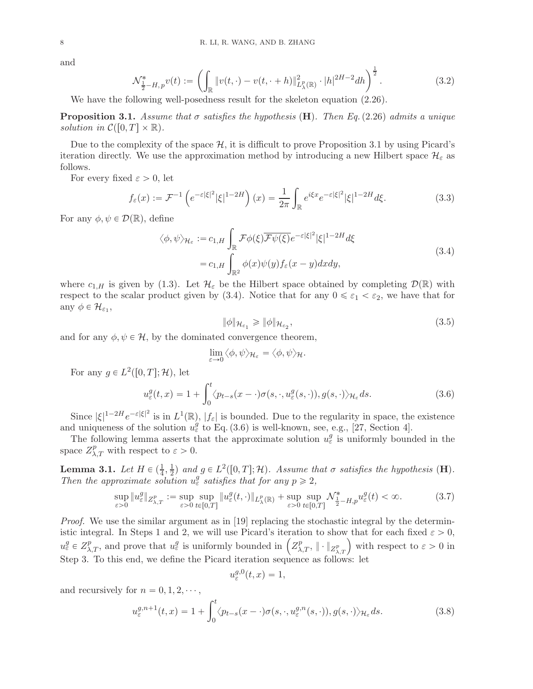and

<span id="page-7-4"></span>
$$
\mathcal{N}_{\frac{1}{2}-H,p}^* v(t) := \left( \int_{\mathbb{R}} \|v(t,\cdot) - v(t,\cdot+h)\|_{L^p_\lambda(\mathbb{R})}^2 \cdot |h|^{2H-2} dh \right)^{\frac{1}{2}}.
$$
 (3.2)

We have the following well-posedness result for the skeleton equation  $(2.26)$ .

<span id="page-7-0"></span>**Proposition 3.1.** Assume that  $\sigma$  satisfies the hypothesis (**H**). Then Eq. [\(2.26\)](#page-6-3) admits a unique solution in  $\mathcal{C}([0,T] \times \mathbb{R})$ .

Due to the complexity of the space  $H$ , it is difficult to prove Proposition [3.1](#page-7-0) by using Picard's iteration directly. We use the approximation method by introducing a new Hilbert space  $\mathcal{H}_{\varepsilon}$  as follows.

For every fixed  $\varepsilon > 0$ , let

$$
f_{\varepsilon}(x) := \mathcal{F}^{-1}\left(e^{-\varepsilon|\xi|^2}|\xi|^{1-2H}\right)(x) = \frac{1}{2\pi}\int_{\mathbb{R}} e^{i\xi x}e^{-\varepsilon|\xi|^2}|\xi|^{1-2H}d\xi.
$$
 (3.3)

For any  $\phi, \psi \in \mathcal{D}(\mathbb{R})$ , define

$$
\langle \phi, \psi \rangle_{\mathcal{H}_{\varepsilon}} := c_{1,H} \int_{\mathbb{R}} \mathcal{F} \phi(\xi) \overline{\mathcal{F}\psi(\xi)} e^{-\varepsilon |\xi|^2} |\xi|^{1-2H} d\xi
$$
  
=  $c_{1,H} \int_{\mathbb{R}^2} \phi(x) \psi(y) f_{\varepsilon}(x-y) dx dy,$  (3.4)

<span id="page-7-1"></span>where  $c_{1,H}$  is given by [\(1.3\)](#page-1-0). Let  $\mathcal{H}_{\varepsilon}$  be the Hilbert space obtained by completing  $\mathcal{D}(\mathbb{R})$  with respect to the scalar product given by [\(3.4\)](#page-7-1). Notice that for any  $0 \leq \varepsilon_1 < \varepsilon_2$ , we have that for any  $\phi \in \mathcal{H}_{\varepsilon_1}$ ,

<span id="page-7-3"></span><span id="page-7-2"></span>
$$
\|\phi\|_{\mathcal{H}_{\varepsilon_1}} \ge \|\phi\|_{\mathcal{H}_{\varepsilon_2}},\tag{3.5}
$$

and for any  $\phi, \psi \in \mathcal{H}$ , by the dominated convergence theorem,

$$
\lim_{\varepsilon \to 0} \langle \phi, \psi \rangle_{\mathcal{H}_{\varepsilon}} = \langle \phi, \psi \rangle_{\mathcal{H}}.
$$

For any  $g \in L^2([0,T]; \mathcal{H})$ , let

$$
u_{\varepsilon}^{g}(t,x) = 1 + \int_{0}^{t} \langle p_{t-s}(x-\cdot)\sigma(s,\cdot,u_{\varepsilon}^{g}(s,\cdot)),g(s,\cdot)\rangle_{\mathcal{H}_{\varepsilon}} ds.
$$
 (3.6)

Since  $|\xi|^{1-2H}e^{-\varepsilon|\xi|^2}$  is in  $L^1(\mathbb{R})$ ,  $|f_{\varepsilon}|$  is bounded. Due to the regularity in space, the existence and uniqueness of the solution  $u_{\varepsilon}^{g}$  to Eq. [\(3.6\)](#page-7-2) is well-known, see, e.g., [\[27](#page-47-14), Section 4].

The following lemma asserts that the approximate solution  $u_{\varepsilon}^{g}$  is uniformly bounded in the space  $Z_{\lambda,T}^p$  with respect to  $\varepsilon > 0$ .

<span id="page-7-5"></span>**Lemma 3.1.** Let  $H \in (\frac{1}{4}, \frac{1}{2})$  $\frac{1}{2}$  and  $g \in L^2([0,T];\mathcal{H})$ . Assume that  $\sigma$  satisfies the hypothesis  $(\mathbf{H})$ . Then the approximate solution  $u_{\varepsilon}^{g}$  satisfies that for any  $p \geq 2$ ,

$$
\sup_{\varepsilon>0} \|u_{\varepsilon}^{g}\|_{Z_{\lambda,T}^{p}} := \sup_{\varepsilon>0} \sup_{t\in[0,T]} \|u_{\varepsilon}^{g}(t,\cdot)\|_{L_{\lambda}^{p}(\mathbb{R})} + \sup_{\varepsilon>0} \sup_{t\in[0,T]} \mathcal{N}_{\frac{1}{2}-H,p}^{*} u_{\varepsilon}^{g}(t) < \infty.
$$
 (3.7)

Proof. We use the similar argument as in [\[19](#page-46-6)] replacing the stochastic integral by the deterministic integral. In Steps 1 and 2, we will use Picard's iteration to show that for each fixed  $\varepsilon > 0$ ,  $u_{\varepsilon}^{g} \in Z_{\lambda,T}^{p}$ , and prove that  $u_{\varepsilon}^{g}$  is uniformly bounded in  $\left( Z_{\lambda,T}^{p}, \|\cdot\|_{Z_{\lambda,T}^{p}} \right)$  with respect to  $\varepsilon > 0$  in Step 3. To this end, we define the Picard iteration sequence as follows: let

$$
u_{\varepsilon}^{g,0}(t,x) = 1,
$$

and recursively for  $n = 0, 1, 2, \dots$ ,

$$
u_{\varepsilon}^{g,n+1}(t,x) = 1 + \int_0^t \langle p_{t-s}(x-\cdot)\sigma(s,\cdot,u_{\varepsilon}^{g,n}(s,\cdot)),g(s,\cdot)\rangle_{\mathcal{H}_{\varepsilon}}ds.
$$
 (3.8)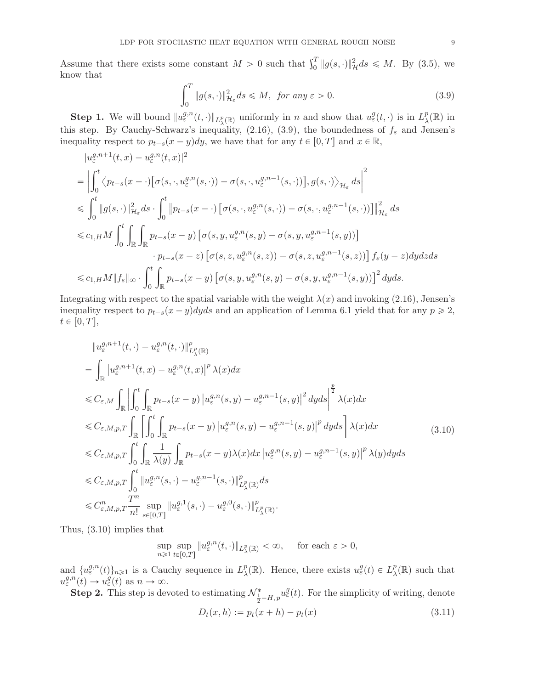Assume that there exists some constant  $M > 0$  such that  $\int_0^T \|g(s, \cdot)\|_{\mathcal{H}}^2 ds \leq M$ . By [\(3.5\)](#page-7-3), we know that

<span id="page-8-0"></span>
$$
\int_0^T \|g(s, \cdot)\|_{\mathcal{H}_{\varepsilon}}^2 ds \le M, \text{ for any } \varepsilon > 0.
$$
 (3.9)

**Step 1.** We will bound  $||u_{\varepsilon}^{g,n}(t,\cdot)||_{L_{\lambda}^p(\mathbb{R})}$  uniformly in n and show that  $u_{\varepsilon}^g(t,\cdot)$  is in  $L_{\lambda}^p$  $_{\lambda}^{p}(\mathbb{R})$  in this step. By Cauchy-Schwarz's inequality, [\(2.16\)](#page-4-3), [\(3.9\)](#page-8-0), the boundedness of  $f_{\varepsilon}$  and Jensen's inequality respect to  $p_{t-s}(x-y)dy$ , we have that for any  $t \in [0, T]$  and  $x \in \mathbb{R}$ ,

$$
|u_{\varepsilon}^{g,n+1}(t,x) - u_{\varepsilon}^{g,n}(t,x)|^{2}
$$
\n
$$
= \left| \int_{0}^{t} \left\langle p_{t-s}(x-\cdot) \left[ \sigma(s,\cdot, u_{\varepsilon}^{g,n}(s,\cdot)) - \sigma(s,\cdot, u_{\varepsilon}^{g,n-1}(s,\cdot)) \right], g(s,\cdot) \right\rangle_{\mathcal{H}_{\varepsilon}} ds \right|^{2}
$$
\n
$$
\leq \int_{0}^{t} \|g(s,\cdot)\|_{\mathcal{H}_{\varepsilon}}^{2} ds \cdot \int_{0}^{t} \|p_{t-s}(x-\cdot) \left[ \sigma(s,\cdot, u_{\varepsilon}^{g,n}(s,\cdot)) - \sigma(s,\cdot, u_{\varepsilon}^{g,n-1}(s,\cdot)) \right] \|_{\mathcal{H}_{\varepsilon}}^{2} ds
$$
\n
$$
\leq c_{1,H} M \int_{0}^{t} \int_{\mathbb{R}} \int_{\mathbb{R}} p_{t-s}(x-y) \left[ \sigma(s,y, u_{\varepsilon}^{g,n}(s,y) - \sigma(s,y, u_{\varepsilon}^{g,n-1}(s,y)) \right]
$$
\n
$$
\cdot p_{t-s}(x-z) \left[ \sigma(s,z, u_{\varepsilon}^{g,n}(s,z)) - \sigma(s,z, u_{\varepsilon}^{g,n-1}(s,z)) \right] f_{\varepsilon}(y-z) dy dz ds
$$
\n
$$
\leq c_{1,H} M \|f_{\varepsilon}\|_{\infty} \cdot \int_{0}^{t} \int_{\mathbb{R}} p_{t-s}(x-y) \left[ \sigma(s,y, u_{\varepsilon}^{g,n}(s,y) - \sigma(s,y, u_{\varepsilon}^{g,n-1}(s,y)) \right]^{2} dy ds.
$$

Integrating with respect to the spatial variable with the weight  $\lambda(x)$  and invoking [\(2.16\)](#page-4-3), Jensen's inequality respect to  $p_{t-s}(x-y)dyds$  and an application of Lemma [6.1](#page-44-1) yield that for any  $p \geq 2$ ,  $t \in [0, T],$ 

<span id="page-8-1"></span>
$$
\|u_{\varepsilon}^{g,n+1}(t,\cdot)-u_{\varepsilon}^{g,n}(t,\cdot)\|_{L_{\lambda}^{p}(\mathbb{R})}^{p}
$$
\n
$$
=\int_{\mathbb{R}}|u_{\varepsilon}^{g,n+1}(t,x)-u_{\varepsilon}^{g,n}(t,x)|^{p}\lambda(x)dx
$$
\n
$$
\leq C_{\varepsilon,M}\int_{\mathbb{R}}\left|\int_{0}^{t}\int_{\mathbb{R}}p_{t-s}(x-y)|u_{\varepsilon}^{g,n}(s,y)-u_{\varepsilon}^{g,n-1}(s,y)|^{2}dyds\right|^{2}\lambda(x)dx
$$
\n
$$
\leq C_{\varepsilon,M,p,T}\int_{\mathbb{R}}\left[\int_{0}^{t}\int_{\mathbb{R}}p_{t-s}(x-y)|u_{\varepsilon}^{g,n}(s,y)-u_{\varepsilon}^{g,n-1}(s,y)|^{p}dyds\right]\lambda(x)dx
$$
\n
$$
\leq C_{\varepsilon,M,p,T}\int_{0}^{t}\int_{\mathbb{R}}\frac{1}{\lambda(y)}\int_{\mathbb{R}}p_{t-s}(x-y)\lambda(x)dx|u_{\varepsilon}^{g,n}(s,y)-u_{\varepsilon}^{g,n-1}(s,y)|^{p}\lambda(y)dyds
$$
\n
$$
\leq C_{\varepsilon,M,p,T}\int_{0}^{t}\|u_{\varepsilon}^{g,n}(s,\cdot)-u_{\varepsilon}^{g,n-1}(s,\cdot)\|_{L_{\lambda}^{p}(\mathbb{R})}^{p}ds
$$
\n
$$
\leq C_{\varepsilon,M,p,T}\frac{T^{n}}{n!}\sup_{s\in[0,T]}\|u_{\varepsilon}^{g,1}(s,\cdot)-u_{\varepsilon}^{g,0}(s,\cdot)\|_{L_{\lambda}^{p}(\mathbb{R})}^{p}.
$$
\n(3.10)

Thus, [\(3.10\)](#page-8-1) implies that

<span id="page-8-2"></span>
$$
\sup_{n\geqslant 1}\sup_{t\in[0,T]}\|u_{\varepsilon}^{g,n}(t,\cdot)\|_{L_{\lambda}^{p}(\mathbb{R})}<\infty,\quad \text{ for each }\varepsilon>0,
$$

and  $\{u_{\varepsilon}^{g,n}(t)\}_{n\geq 1}$  is a Cauchy sequence in  $L^p_{\lambda}$  $p_{\lambda}^{p}(\mathbb{R})$ . Hence, there exists  $u_{\varepsilon}^{g}(t) \in L_{\lambda}^{p}$  $_{\lambda}^{p}(\mathbb{R})$  such that  $u_{\varepsilon}^{g,n}(t) \to u_{\varepsilon}^{g}(t)$  as  $n \to \infty$ .

**Step 2.** This step is devoted to estimating  $\mathcal{N}_{\frac{1}{2}-H,p}^* u_\varepsilon^g(t)$ . For the simplicity of writing, denote  $D_t(x, h) := p_t(x + h) - p_t(x)$  (3.11)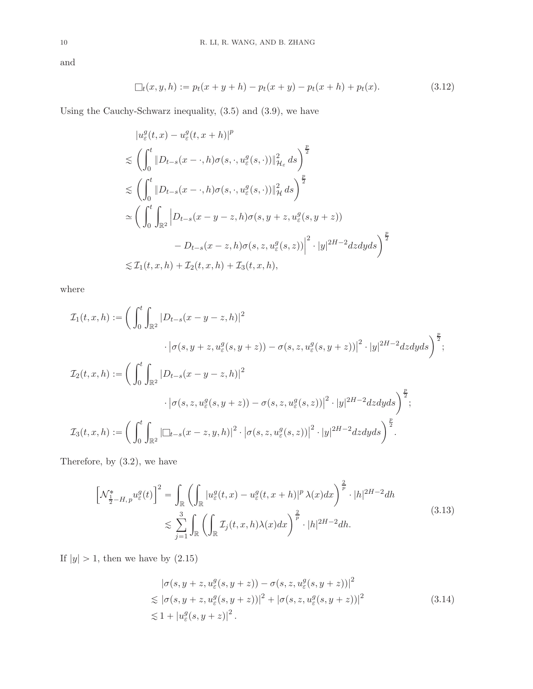and

<span id="page-9-2"></span>
$$
\Box_t(x, y, h) := p_t(x + y + h) - p_t(x + y) - p_t(x + h) + p_t(x). \tag{3.12}
$$

Using the Cauchy-Schwarz inequality, [\(3.5\)](#page-7-3) and [\(3.9\)](#page-8-0), we have

$$
|u_{\varepsilon}^{g}(t,x) - u_{\varepsilon}^{g}(t,x+h)|^{p}
$$
  
\n
$$
\lesssim \left(\int_{0}^{t} \|D_{t-s}(x-\cdot,h)\sigma(s,\cdot,u_{\varepsilon}^{g}(s,\cdot))\|_{\mathcal{H}_{\varepsilon}}^{2} ds\right)^{\frac{p}{2}}
$$
  
\n
$$
\lesssim \left(\int_{0}^{t} \|D_{t-s}(x-\cdot,h)\sigma(s,\cdot,u_{\varepsilon}^{g}(s,\cdot))\|_{\mathcal{H}}^{2} ds\right)^{\frac{p}{2}}
$$
  
\n
$$
\simeq \left(\int_{0}^{t} \int_{\mathbb{R}^{2}} |D_{t-s}(x-y-z,h)\sigma(s,y+z,u_{\varepsilon}^{g}(s,y+z)) - D_{t-s}(x-z,h)\sigma(s,z,u_{\varepsilon}^{g}(s,z))|^{2} \cdot |y|^{2H-2} dz dy ds\right)^{\frac{p}{2}}
$$
  
\n
$$
\lesssim \mathcal{I}_{1}(t,x,h) + \mathcal{I}_{2}(t,x,h) + \mathcal{I}_{3}(t,x,h),
$$

where

$$
\mathcal{I}_1(t, x, h) := \bigg( \int_0^t \int_{\mathbb{R}^2} |D_{t-s}(x - y - z, h)|^2
$$
  
\n
$$
\cdot |\sigma(s, y + z, u_\varepsilon^g(s, y + z)) - \sigma(s, z, u_\varepsilon^g(s, y + z))|^2 \cdot |y|^{2H-2} dz dy ds \bigg)^{\frac{p}{2}};
$$
  
\n
$$
\mathcal{I}_2(t, x, h) := \bigg( \int_0^t \int_{\mathbb{R}^2} |D_{t-s}(x - y - z, h)|^2
$$
  
\n
$$
\cdot |\sigma(s, z, u_\varepsilon^g(s, y + z)) - \sigma(s, z, u_\varepsilon^g(s, z))|^2 \cdot |y|^{2H-2} dz dy ds \bigg)^{\frac{p}{2}};
$$
  
\n
$$
\mathcal{I}_3(t, x, h) := \bigg( \int_0^t \int_{\mathbb{R}^2} |\Box_{t-s}(x - z, y, h)|^2 \cdot |\sigma(s, z, u_\varepsilon^g(s, z))|^2 \cdot |y|^{2H-2} dz dy ds \bigg)^{\frac{p}{2}}.
$$

Therefore, by [\(3.2\)](#page-7-4), we have

<span id="page-9-0"></span>
$$
\left[\mathcal{N}_{\frac{1}{2}-H,p}^{*}u_{\varepsilon}^{g}(t)\right]^{2} = \int_{\mathbb{R}}\left(\int_{\mathbb{R}}|u_{\varepsilon}^{g}(t,x)-u_{\varepsilon}^{g}(t,x+h)|^{p}\lambda(x)dx\right)^{\frac{2}{p}}\cdot|h|^{2H-2}dh
$$
\n
$$
\lesssim \sum_{j=1}^{3}\int_{\mathbb{R}}\left(\int_{\mathbb{R}}\mathcal{I}_{j}(t,x,h)\lambda(x)dx\right)^{\frac{2}{p}}\cdot|h|^{2H-2}dh.
$$
\n(3.13)

<span id="page-9-1"></span>If  $\vert y \vert > 1,$  then we have by  $(2.15)$ 

$$
|\sigma(s, y + z, u_{\varepsilon}^{g}(s, y + z)) - \sigma(s, z, u_{\varepsilon}^{g}(s, y + z))|^{2}
$$
  
\n
$$
\lesssim |\sigma(s, y + z, u_{\varepsilon}^{g}(s, y + z))|^{2} + |\sigma(s, z, u_{\varepsilon}^{g}(s, y + z))|^{2}
$$
  
\n
$$
\lesssim 1 + |u_{\varepsilon}^{g}(s, y + z)|^{2}.
$$
\n(3.14)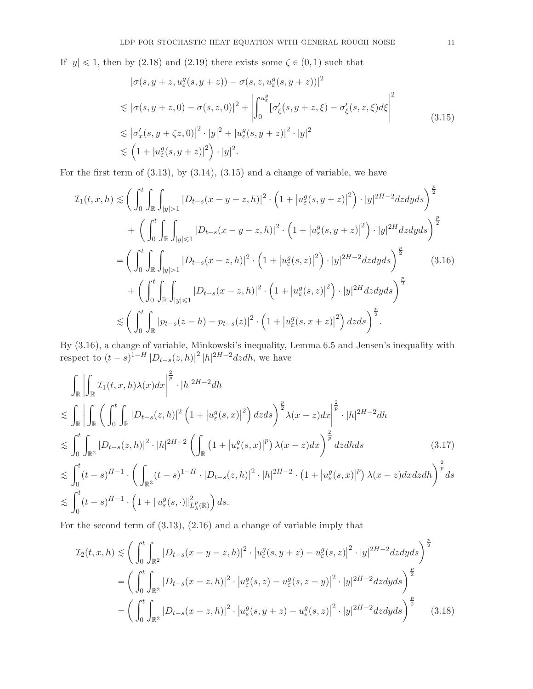If  $|y| \le 1$ , then by [\(2.18\)](#page-4-5) and [\(2.19\)](#page-4-6) there exists some  $\zeta \in (0, 1)$  such that

<span id="page-10-1"></span>
$$
|\sigma(s, y + z, u_{\varepsilon}^{g}(s, y + z)) - \sigma(s, z, u_{\varepsilon}^{g}(s, y + z))|^{2}
$$
  
\n
$$
\lesssim |\sigma(s, y + z, 0) - \sigma(s, z, 0)|^{2} + \left| \int_{0}^{u_{\varepsilon}^{g}} [\sigma_{\xi}^{\prime}(s, y + z, \xi) - \sigma_{\xi}^{\prime}(s, z, \xi) d\xi \right|^{2}
$$
  
\n
$$
\lesssim |\sigma_{x}^{\prime}(s, y + \zeta z, 0)|^{2} \cdot |y|^{2} + |u_{\varepsilon}^{g}(s, y + z)|^{2} \cdot |y|^{2}
$$
  
\n
$$
\lesssim (1 + |u_{\varepsilon}^{g}(s, y + z)|^{2}) \cdot |y|^{2}.
$$
\n(3.15)

<span id="page-10-0"></span>For the first term of  $(3.13)$ , by  $(3.14)$ ,  $(3.15)$  and a change of variable, we have

$$
\mathcal{I}_{1}(t,x,h) \lesssim \bigg(\int_{0}^{t} \int_{\mathbb{R}} \int_{|y|>1} |D_{t-s}(x-y-z,h)|^{2} \cdot \Big(1+|u_{\varepsilon}^{g}(s,y+z)|^{2}\Big) \cdot |y|^{2H-2}dzdyds\bigg)^{\frac{p}{2}} \n+ \bigg(\int_{0}^{t} \int_{\mathbb{R}} \int_{|y|<1} |D_{t-s}(x-y-z,h)|^{2} \cdot \Big(1+|u_{\varepsilon}^{g}(s,y+z)|^{2}\Big) \cdot |y|^{2H}dzdyds\bigg)^{\frac{p}{2}} \n= \bigg(\int_{0}^{t} \int_{\mathbb{R}} \int_{|y|>1} |D_{t-s}(x-z,h)|^{2} \cdot \Big(1+|u_{\varepsilon}^{g}(s,z)|^{2}\Big) \cdot |y|^{2H-2}dzdyds\bigg)^{\frac{p}{2}} \n+ \bigg(\int_{0}^{t} \int_{\mathbb{R}} \int_{|y|<1} |D_{t-s}(x-z,h)|^{2} \cdot \Big(1+|u_{\varepsilon}^{g}(s,z)|^{2}\Big) \cdot |y|^{2H}dzdyds\bigg)^{\frac{p}{2}} \n\lesssim \bigg(\int_{0}^{t} \int_{\mathbb{R}} |p_{t-s}(z-h)-p_{t-s}(z)|^{2} \cdot \Big(1+|u_{\varepsilon}^{g}(s,x+z)|^{2}\Big)dzds\bigg)^{\frac{p}{2}}.
$$
\n(3.16)

By [\(3.16\)](#page-10-1), a change of variable, Minkowski's inequality, Lemma [6.5](#page-45-0) and Jensen's inequality with respect to  $(t - s)^{1-H} |D_{t-s}(z, h)|^2 |h|^{2H-2} dz dh$ , we have

$$
\int_{\mathbb{R}} \left| \int_{\mathbb{R}} \mathcal{I}_{1}(t, x, h) \lambda(x) dx \right|^{2} \cdot |h|^{2H-2} dh
$$
\n
$$
\lesssim \int_{\mathbb{R}} \left| \int_{\mathbb{R}} \left( \int_{0}^{t} \int_{\mathbb{R}} |D_{t-s}(z, h)|^{2} \left( 1 + |u_{\varepsilon}^{g}(s, x)|^{2} \right) dz ds \right)^{2} \lambda(x-z) dx \right|^{2} \cdot |h|^{2H-2} dh
$$
\n
$$
\lesssim \int_{0}^{t} \int_{\mathbb{R}^{2}} |D_{t-s}(z, h)|^{2} \cdot |h|^{2H-2} \left( \int_{\mathbb{R}} \left( 1 + |u_{\varepsilon}^{g}(s, x)|^{p} \right) \lambda(x-z) dx \right)^{2} dz dh ds \qquad (3.17)
$$
\n
$$
\lesssim \int_{0}^{t} (t-s)^{H-1} \cdot \left( \int_{\mathbb{R}^{3}} (t-s)^{1-H} \cdot |D_{t-s}(z, h)|^{2} \cdot |h|^{2H-2} \cdot (1 + |u_{\varepsilon}^{g}(s, x)|^{p}) \lambda(x-z) dx dz dh \right)^{2} ds
$$
\n
$$
\lesssim \int_{0}^{t} (t-s)^{H-1} \cdot \left( 1 + |u_{\varepsilon}^{g}(s, \cdot)|^{2} \right) ds.
$$

For the second term of [\(3.13\)](#page-9-0), [\(2.16\)](#page-4-3) and a change of variable imply that

<span id="page-10-3"></span><span id="page-10-2"></span>
$$
\mathcal{I}_2(t, x, h) \lesssim \left( \int_0^t \int_{\mathbb{R}^2} |D_{t-s}(x - y - z, h)|^2 \cdot |u_{\varepsilon}^g(s, y + z) - u_{\varepsilon}^g(s, z)|^2 \cdot |y|^{2H - 2} dz dy ds \right)^{\frac{p}{2}}
$$
  
= 
$$
\left( \int_0^t \int_{\mathbb{R}^2} |D_{t-s}(x - z, h)|^2 \cdot |u_{\varepsilon}^g(s, z) - u_{\varepsilon}^g(s, z - y)|^2 \cdot |y|^{2H - 2} dz dy ds \right)^{\frac{p}{2}}
$$
  
= 
$$
\left( \int_0^t \int_{\mathbb{R}^2} |D_{t-s}(x - z, h)|^2 \cdot |u_{\varepsilon}^g(s, y + z) - u_{\varepsilon}^g(s, z)|^2 \cdot |y|^{2H - 2} dz dy ds \right)^{\frac{p}{2}}
$$
(3.18)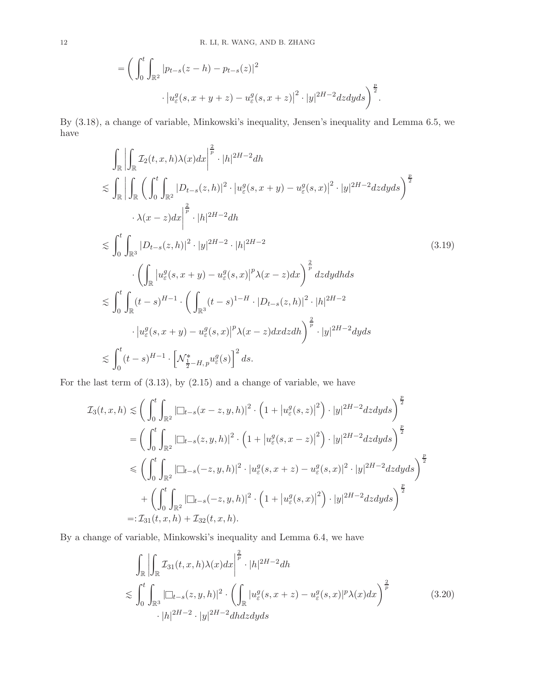$$
= \bigg( \int_0^t \int_{\mathbb{R}^2} |p_{t-s}(z-h) - p_{t-s}(z)|^2 \cdot |u_{\varepsilon}^g(s, x + y + z) - u_{\varepsilon}^g(s, x + z)|^2 \cdot |y|^{2H-2} dz dy ds \bigg)^{\frac{p}{2}}.
$$

By [\(3.18\)](#page-10-2), a change of variable, Minkowski's inequality, Jensen's inequality and Lemma [6.5,](#page-45-0) we have

<span id="page-11-0"></span>
$$
\int_{\mathbb{R}} \left| \int_{\mathbb{R}} \mathcal{I}_{2}(t, x, h) \lambda(x) dx \right|^{2} \cdot |h|^{2H-2} dh
$$
\n
$$
\lesssim \int_{\mathbb{R}} \left| \int_{\mathbb{R}} \left( \int_{0}^{t} \int_{\mathbb{R}^{2}} |D_{t-s}(z, h)|^{2} \cdot |u_{\varepsilon}^{q}(s, x+y) - u_{\varepsilon}^{q}(s, x)|^{2} \cdot |y|^{2H-2} dz dy ds \right)^{\frac{p}{2}}
$$
\n
$$
\cdot \lambda(x-z) dx \right|^{2} \cdot |h|^{2H-2} dh
$$
\n
$$
\lesssim \int_{0}^{t} \int_{\mathbb{R}^{3}} |D_{t-s}(z, h)|^{2} \cdot |y|^{2H-2} \cdot |h|^{2H-2}
$$
\n
$$
\cdot \left( \int_{\mathbb{R}} |u_{\varepsilon}^{q}(s, x+y) - u_{\varepsilon}^{q}(s, x)|^{p} \lambda(x-z) dx \right)^{\frac{2}{p}} dz dy dh ds
$$
\n
$$
\lesssim \int_{0}^{t} \int_{\mathbb{R}} (t-s)^{H-1} \cdot \left( \int_{\mathbb{R}^{3}} (t-s)^{1-H} \cdot |D_{t-s}(z, h)|^{2} \cdot |h|^{2H-2}
$$
\n
$$
\cdot |u_{\varepsilon}^{q}(s, x+y) - u_{\varepsilon}^{q}(s, x)|^{p} \lambda(x-z) dx dz dh \right)^{\frac{2}{p}} \cdot |y|^{2H-2} dy ds
$$
\n
$$
\lesssim \int_{0}^{t} (t-s)^{H-1} \cdot \left[ \mathcal{N}_{\frac{1}{2}-H, p}^{*} u_{\varepsilon}^{q}(s) \right]^{2} ds.
$$
\n(10.10)

For the last term of [\(3.13\)](#page-9-0), by [\(2.15\)](#page-4-4) and a change of variable, we have

$$
\mathcal{I}_{3}(t,x,h) \leq \left(\int_{0}^{t} \int_{\mathbb{R}^{2}} |\Box_{t-s}(x-z,y,h)|^{2} \cdot \left(1 + |u_{\varepsilon}^{g}(s,z)|^{2}\right) \cdot |y|^{2H-2}dzdyds\right)^{\frac{p}{2}} \n= \left(\int_{0}^{t} \int_{\mathbb{R}^{2}} |\Box_{t-s}(z,y,h)|^{2} \cdot \left(1 + |u_{\varepsilon}^{g}(s,x-z)|^{2}\right) \cdot |y|^{2H-2}dzdyds\right)^{\frac{p}{2}} \n\leq \left(\int_{0}^{t} \int_{\mathbb{R}^{2}} |\Box_{t-s}(-z,y,h)|^{2} \cdot |u_{\varepsilon}^{g}(s,x+z) - u_{\varepsilon}^{g}(s,x)|^{2} \cdot |y|^{2H-2}dzdyds\right)^{\frac{p}{2}} \n+ \left(\int_{0}^{t} \int_{\mathbb{R}^{2}} |\Box_{t-s}(-z,y,h)|^{2} \cdot \left(1 + |u_{\varepsilon}^{g}(s,x)|^{2}\right) \cdot |y|^{2H-2}dzdyds\right)^{\frac{p}{2}} \n=:\mathcal{I}_{31}(t,x,h) + \mathcal{I}_{32}(t,x,h).
$$

By a change of variable, Minkowski's inequality and Lemma [6.4,](#page-45-1) we have

<span id="page-11-1"></span>
$$
\int_{\mathbb{R}} \left| \int_{\mathbb{R}} \mathcal{I}_{31}(t, x, h) \lambda(x) dx \right|^{\frac{2}{p}} \cdot |h|^{2H-2} dh
$$
\n
$$
\lesssim \int_{0}^{t} \int_{\mathbb{R}^{3}} |\Box_{t-s}(z, y, h)|^{2} \cdot \left( \int_{\mathbb{R}} |u_{\varepsilon}^{g}(s, x+z) - u_{\varepsilon}^{g}(s, x)|^{p} \lambda(x) dx \right)^{\frac{2}{p}} \qquad (3.20)
$$
\n
$$
\cdot |h|^{2H-2} \cdot |y|^{2H-2} dh dz dy ds
$$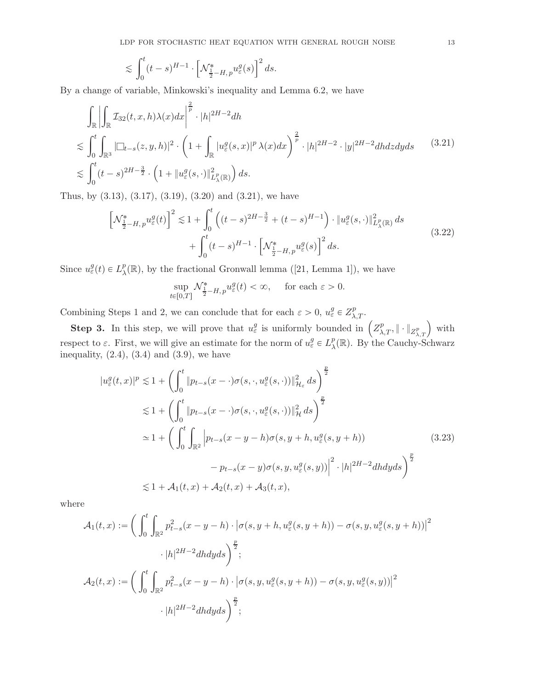$$
\lesssim \int_0^t (t-s)^{H-1} \cdot \left[ \mathcal{N}^*_{\frac{1}{2}-H, p} u_\varepsilon^g(s) \right]^2 ds.
$$

By a change of variable, Minkowski's inequality and Lemma [6.2,](#page-45-2) we have

<span id="page-12-0"></span>
$$
\int_{\mathbb{R}} \left| \int_{\mathbb{R}} \mathcal{I}_{32}(t, x, h) \lambda(x) dx \right|^{2} \cdot |h|^{2H-2} dh
$$
\n
$$
\lesssim \int_{0}^{t} \int_{\mathbb{R}^{3}} |\Box_{t-s}(z, y, h)|^{2} \cdot \left( 1 + \int_{\mathbb{R}} |u_{\varepsilon}^{g}(s, x)|^{p} \lambda(x) dx \right)^{2} \cdot |h|^{2H-2} \cdot |y|^{2H-2} dh dz dy ds \qquad (3.21)
$$
\n
$$
\lesssim \int_{0}^{t} (t-s)^{2H-\frac{3}{2}} \cdot \left( 1 + \|u_{\varepsilon}^{g}(s, \cdot)\|_{L_{\lambda}^{p}(\mathbb{R})}^{2} \right) ds.
$$

Thus, by [\(3.13\)](#page-9-0), [\(3.17\)](#page-10-3), [\(3.19\)](#page-11-0), [\(3.20\)](#page-11-1) and [\(3.21\)](#page-12-0), we have

$$
\left[\mathcal{N}_{\frac{1}{2}-H,p}^{*} u_{\varepsilon}^{g}(t)\right]^{2} \lesssim 1 + \int_{0}^{t} \left( (t-s)^{2H-\frac{3}{2}} + (t-s)^{H-1} \right) \cdot \|u_{\varepsilon}^{g}(s,\cdot)\|_{L_{\lambda}^{p}(\mathbb{R})}^{2} ds + \int_{0}^{t} (t-s)^{H-1} \cdot \left[\mathcal{N}_{\frac{1}{2}-H,p}^{*} u_{\varepsilon}^{g}(s)\right]^{2} ds.
$$
\n(3.22)

<span id="page-12-2"></span>Since  $u_{\varepsilon}^g(t) \in L^p_{\lambda}$  $_{\lambda}^{p}(\mathbb{R})$ ,by the fractional Gronwall lemma ([\[21](#page-46-19), Lemma 1]), we have

<span id="page-12-1"></span>
$$
\sup_{t\in[0,T]}\mathcal{N}^*_{\frac{1}{2}-H,\,p}u^g_{\varepsilon}(t)<\infty,\quad\text{ for each }\varepsilon>0.
$$

Combining Steps 1 and 2, we can conclude that for each  $\varepsilon > 0$ ,  $u_{\varepsilon}^{g} \in Z_{\lambda,T}^{p}$ .

**Step 3.** In this step, we will prove that  $u_{\varepsilon}^g$  is uniformly bounded in  $\left(Z_{\lambda,T}^p, \|\cdot\|_{Z_{\lambda,T}^p}\right)$  with respect to  $\varepsilon$ . First, we will give an estimate for the norm of  $u_{\varepsilon}^g \in L^p_{\lambda}$  $_{\lambda}^{p}(\mathbb{R})$ . By the Cauchy-Schwarz inequality,  $(2.4)$ ,  $(3.4)$  and  $(3.9)$ , we have

$$
|u_{\varepsilon}^{g}(t,x)|^{p} \lesssim 1 + \left(\int_{0}^{t} \|p_{t-s}(x-\cdot)\sigma(s,\cdot,u_{\varepsilon}^{g}(s,\cdot))\|_{\mathcal{H}_{\varepsilon}}^{2} ds\right)^{\frac{p}{2}}
$$
  
\n
$$
\lesssim 1 + \left(\int_{0}^{t} \|p_{t-s}(x-\cdot)\sigma(s,\cdot,u_{\varepsilon}^{g}(s,\cdot))\|_{\mathcal{H}}^{2} ds\right)^{\frac{p}{2}}
$$
  
\n
$$
\simeq 1 + \left(\int_{0}^{t} \int_{\mathbb{R}^{2}} \left|p_{t-s}(x-y-h)\sigma(s,y+h,u_{\varepsilon}^{g}(s,y+h))\right|^{2} ds\right)^{\frac{p}{2}}
$$
  
\n
$$
\lesssim 1 + \mathcal{A}_{1}(t,x) + \mathcal{A}_{2}(t,x) + \mathcal{A}_{3}(t,x), \qquad (3.23)
$$

where

$$
\mathcal{A}_1(t,x) := \bigg( \int_0^t \int_{\mathbb{R}^2} p_{t-s}^2(x-y-h) \cdot \big| \sigma(s, y+h, u_\varepsilon^g(s, y+h)) - \sigma(s, y, u_\varepsilon^g(s, y+h)) \big|^2
$$

$$
\cdot |h|^{2H-2} dh dy ds \bigg)^{\frac{p}{2}};
$$

$$
\mathcal{A}_2(t,x) := \bigg( \int_0^t \int_{\mathbb{R}^2} p_{t-s}^2(x-y-h) \cdot \big| \sigma(s, y, u_\varepsilon^g(s, y+h)) - \sigma(s, y, u_\varepsilon^g(s, y)) \big|^2
$$

$$
\cdot |h|^{2H-2} dh dy ds \bigg)^{\frac{p}{2}};
$$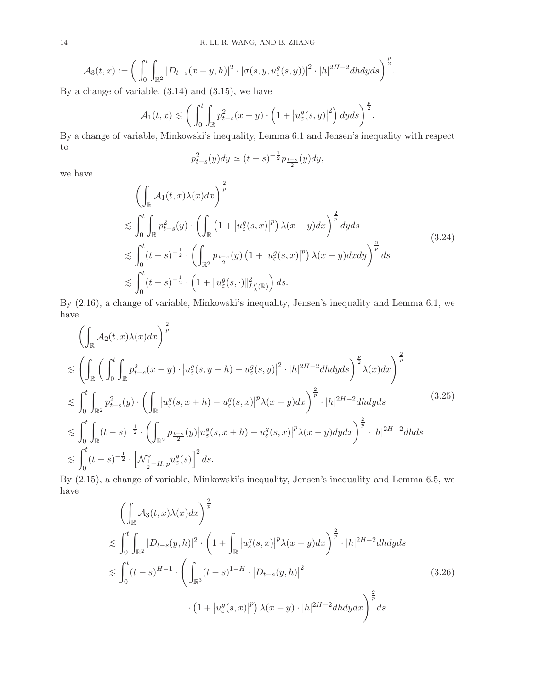$$
\mathcal{A}_3(t,x):=\bigg(\int_0^t\int_{\mathbb{R}^2}|D_{t-s}(x-y,h)|^2\cdot|\sigma(s,y,u_{\varepsilon}^g(s,y))|^2\cdot|h|^{2H-2}dhdyds\bigg)^{\frac{p}{2}}.
$$

By a change of variable,  $(3.14)$  and  $(3.15)$ , we have

$$
\mathcal{A}_1(t,x) \lesssim \bigg(\int_0^t \int_{\mathbb{R}} p_{t-s}^2(x-y) \cdot \left(1 + \left|u_{\varepsilon}^g(s,y)\right|^2\right) dyds\bigg)^{\frac{p}{2}}.
$$

By a change of variable, Minkowski's inequality, Lemma [6.1](#page-44-1) and Jensen's inequality with respect to

$$
p_{t-s}^2(y)dy \simeq (t-s)^{-\frac{1}{2}}p_{\frac{t-s}{2}}(y)dy,
$$

<span id="page-13-0"></span>we have

$$
\left(\int_{\mathbb{R}} A_1(t,x)\lambda(x)dx\right)^{\frac{2}{p}}\n\lesssim \int_0^t \int_{\mathbb{R}} p_{t-s}^2(y) \cdot \left(\int_{\mathbb{R}} \left(1 + \left|u_{\varepsilon}^g(s,x)\right|^p\right) \lambda(x-y)dx\right)^{\frac{2}{p}} dyds\n\lesssim \int_0^t (t-s)^{-\frac{1}{2}} \cdot \left(\int_{\mathbb{R}^2} p_{\frac{t-s}{2}}(y) \left(1 + \left|u_{\varepsilon}^g(s,x)\right|^p\right) \lambda(x-y) dxdy\right)^{\frac{2}{p}} ds\n\lesssim \int_0^t (t-s)^{-\frac{1}{2}} \cdot \left(1 + \left|u_{\varepsilon}^g(s,\cdot)\right|^2_{L^p_{\lambda}(\mathbb{R})}\right) ds.
$$
\n(3.24)

By [\(2.16\)](#page-4-3), a change of variable, Minkowski's inequality, Jensen's inequality and Lemma [6.1,](#page-44-1) we have

<span id="page-13-1"></span>
$$
\left(\int_{\mathbb{R}} A_2(t,x)\lambda(x)dx\right)^{\frac{2}{p}}\n\lesssim \left(\int_{\mathbb{R}} \left(\int_0^t \int_{\mathbb{R}} p_{t-s}^2(x-y) \cdot \left|u_{\varepsilon}^g(s,y+h) - u_{\varepsilon}^g(s,y)\right|^2 \cdot |h|^{2H-2}dhdyds\right)^{\frac{p}{2}}\lambda(x)dx\right)^{\frac{2}{p}}\n\lesssim \int_0^t \int_{\mathbb{R}^2} p_{t-s}^2(y) \cdot \left(\int_{\mathbb{R}} \left|u_{\varepsilon}^g(s,x+h) - u_{\varepsilon}^g(s,x)\right|^p \lambda(x-y)dx\right)^{\frac{2}{p}} \cdot |h|^{2H-2}dhdyds\n\lesssim \int_0^t \int_{\mathbb{R}} (t-s)^{-\frac{1}{2}} \cdot \left(\int_{\mathbb{R}^2} p_{\frac{t-s}{2}}(y) \left|u_{\varepsilon}^g(s,x+h) - u_{\varepsilon}^g(s,x)\right|^p \lambda(x-y)dydx\right)^{\frac{2}{p}} \cdot |h|^{2H-2}dhds\n\lesssim \int_0^t (t-s)^{-\frac{1}{2}} \cdot \left[\mathcal{N}_{\frac{1}{2}-H,p}^* u_{\varepsilon}^g(s)\right]^2 ds.
$$
\n(3.25)

By [\(2.15\)](#page-4-4), a change of variable, Minkowski's inequality, Jensen's inequality and Lemma [6.5,](#page-45-0) we have

<span id="page-13-2"></span>
$$
\left(\int_{\mathbb{R}} \mathcal{A}_{3}(t,x)\lambda(x)dx\right)^{\frac{2}{p}}\n\lesssim \int_{0}^{t} \int_{\mathbb{R}^{2}} |D_{t-s}(y,h)|^{2} \cdot \left(1 + \int_{\mathbb{R}} |u_{\varepsilon}^{g}(s,x)|^{p} \lambda(x-y)dx\right)^{\frac{2}{p}} \cdot |h|^{2H-2}dhdyds\n\lesssim \int_{0}^{t} (t-s)^{H-1} \cdot \left(\int_{\mathbb{R}^{3}} (t-s)^{1-H} \cdot |D_{t-s}(y,h)|^{2}\right)^{\frac{2}{p}} \cdot (1 + |u_{\varepsilon}^{g}(s,x)|^{p}) \lambda(x-y) \cdot |h|^{2H-2}dhdydx\right)^{\frac{2}{p}}ds
$$
\n(3.26)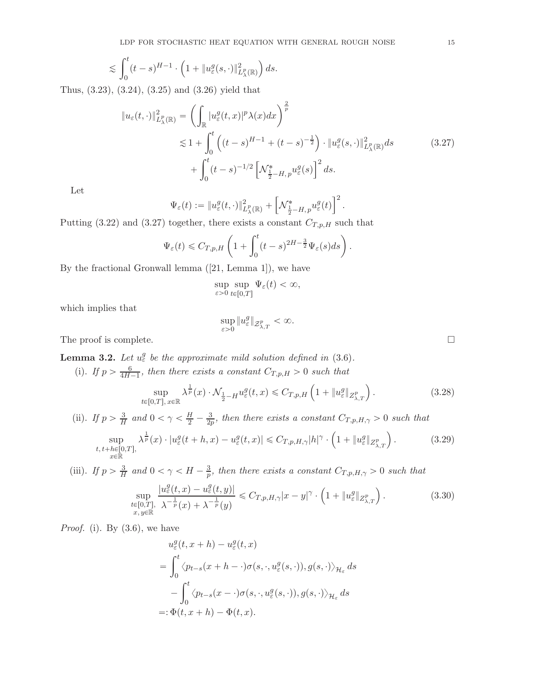$$
\lesssim \int_0^t (t-s)^{H-1} \cdot \left(1 + \|u^g_\varepsilon(s,\cdot)\|^2_{L^p_\lambda(\mathbb{R})}\right) ds.
$$

Thus, [\(3.23\)](#page-12-1), [\(3.24\)](#page-13-0), [\(3.25\)](#page-13-1) and [\(3.26\)](#page-13-2) yield that

$$
\|u_{\varepsilon}(t,\cdot)\|_{L_{\lambda}^{p}(\mathbb{R})}^{2} = \left(\int_{\mathbb{R}} |u_{\varepsilon}^{g}(t,x)|^{p} \lambda(x) dx\right)^{\frac{2}{p}}\n\lesssim 1 + \int_{0}^{t} \left( (t-s)^{H-1} + (t-s)^{-\frac{1}{2}} \right) \cdot \|u_{\varepsilon}^{g}(s,\cdot)\|_{L_{\lambda}^{p}(\mathbb{R})}^{2} ds\n+ \int_{0}^{t} (t-s)^{-1/2} \left[ \mathcal{N}_{\frac{1}{2}-H,p}^{*} u_{\varepsilon}^{g}(s) \right]^{2} ds.
$$
\n(3.27)

Let

$$
\Psi_{\varepsilon}(t) := \|u_{\varepsilon}^{g}(t,\cdot)\|_{L_{\lambda}^{p}(\mathbb{R})}^{2} + \left[\mathcal{N}_{\frac{1}{2}-H,\,p}^{*} u_{\varepsilon}^{g}(t)\right]^{2}.
$$

Putting [\(3.22\)](#page-12-2) and [\(3.27\)](#page-14-0) together, there exists a constant  $C_{T,p,H}$  such that

$$
\Psi_{\varepsilon}(t) \leqslant C_{T,p,H}\left(1+\int_0^t (t-s)^{2H-\frac{3}{2}}\Psi_{\varepsilon}(s)ds\right).
$$

By the fractional Gronwall lemma([\[21](#page-46-19), Lemma 1]), we have

$$
\sup_{\varepsilon>0}\sup_{t\in[0,T]}\Psi_{\varepsilon}(t)<\infty,
$$

which implies that

$$
\sup_{\varepsilon>0}\|u^g_\varepsilon\|_{\mathcal{Z}_{\lambda,T}^p}<\infty.
$$

The proof is complete.  $\Box$ 

<span id="page-14-3"></span>**Lemma 3.2.** Let  $u_{\varepsilon}^g$  be the approximate mild solution defined in [\(3.6\)](#page-7-2).

(i). If  $p > \frac{6}{4H}$ .  $\frac{6}{4H-1}$ , then there exists a constant  $C_{T,p,H} > 0$  such that

<span id="page-14-1"></span>
$$
\sup_{t\in[0,T],x\in\mathbb{R}}\lambda^{\frac{1}{p}}(x)\cdot \mathcal{N}_{\frac{1}{2}-H}u_{\varepsilon}^{g}(t,x)\leqslant C_{T,p,H}\left(1+\|u_{\varepsilon}^{g}\|_{Z_{\lambda,T}^{p}}\right). \tag{3.28}
$$

(ii). If  $p > \frac{3}{H}$  and  $0 < \gamma < \frac{H}{2} - \frac{3}{2p}$ , then there exists a constant  $C_{T,p,H,\gamma} > 0$  such that

$$
\sup_{\substack{t, t+h \in [0,T],\\x \in \mathbb{R}}} \lambda^{\frac{1}{p}}(x) \cdot |u_{\varepsilon}^{g}(t+h,x) - u_{\varepsilon}^{g}(t,x)| \leq C_{T,p,H,\gamma} |h|^{\gamma} \cdot \left(1 + \|u_{\varepsilon}^{g}\|_{Z_{\lambda,T}^{p}}\right). \tag{3.29}
$$

(iii). If 
$$
p > \frac{3}{H}
$$
 and  $0 < \gamma < H - \frac{3}{p}$ , then there exists a constant  $C_{T,p,H,\gamma} > 0$  such that  
\n
$$
\sup_{\substack{t \in [0,T], \\ x,y \in \mathbb{R}}} \frac{|u_{\varepsilon}^g(t,x) - u_{\varepsilon}^g(t,y)|}{\lambda^{-\frac{1}{p}}(x) + \lambda^{-\frac{1}{p}}(y)} \leq C_{T,p,H,\gamma}|x-y|^{\gamma} \cdot \left(1 + \|u_{\varepsilon}^g\|_{Z_{\lambda,T}^p}\right).
$$
\n(3.30)

*Proof.* (i). By  $(3.6)$ , we have

<span id="page-14-2"></span>
$$
u_{\varepsilon}^{g}(t, x + h) - u_{\varepsilon}^{g}(t, x)
$$
  
= 
$$
\int_{0}^{t} \langle p_{t-s}(x + h - \cdot) \sigma(s, \cdot, u_{\varepsilon}^{g}(s, \cdot)), g(s, \cdot) \rangle_{\mathcal{H}_{\varepsilon}} ds
$$
  

$$
- \int_{0}^{t} \langle p_{t-s}(x - \cdot) \sigma(s, \cdot, u_{\varepsilon}^{g}(s, \cdot)), g(s, \cdot) \rangle_{\mathcal{H}_{\varepsilon}} ds
$$
  
=: 
$$
\Phi(t, x + h) - \Phi(t, x).
$$

<span id="page-14-0"></span>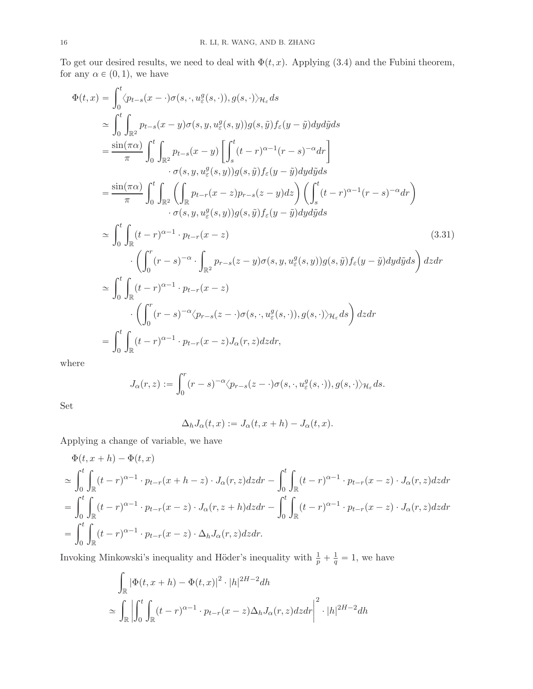To get our desired results, we need to deal with  $\Phi(t, x)$ . Applying [\(3.4\)](#page-7-1) and the Fubini theorem, for any  $\alpha \in (0, 1)$ , we have

$$
\Phi(t,x) = \int_0^t \langle p_{t-s}(x-\cdot)\sigma(s,\cdot,u_{\varepsilon}^q(s,\cdot)),g(s,\cdot)\rangle_{\mathcal{H}_{\varepsilon}} ds
$$
\n
$$
\simeq \int_0^t \int_{\mathbb{R}^2} p_{t-s}(x-y)\sigma(s,y,u_{\varepsilon}^q(s,y))g(s,\tilde{y})f_{\varepsilon}(y-\tilde{y})dyd\tilde{y}ds
$$
\n
$$
= \frac{\sin(\pi\alpha)}{\pi} \int_0^t \int_{\mathbb{R}^2} p_{t-s}(x-y) \left[ \int_s^t (t-r)^{\alpha-1}(r-s)^{-\alpha} dr \right]
$$
\n
$$
\cdot \sigma(s,y,u_{\varepsilon}^q(s,y))g(s,\tilde{y})f_{\varepsilon}(y-\tilde{y})dyd\tilde{y}ds
$$
\n
$$
= \frac{\sin(\pi\alpha)}{\pi} \int_0^t \int_{\mathbb{R}^2} \left( \int_{\mathbb{R}^2} p_{t-r}(x-z)p_{r-s}(z-y)dz \right) \left( \int_s^t (t-r)^{\alpha-1}(r-s)^{-\alpha} dr \right)
$$
\n
$$
\cdot \sigma(s,y,u_{\varepsilon}^q(s,y))g(s,\tilde{y})f_{\varepsilon}(y-\tilde{y})dyd\tilde{y}ds
$$
\n
$$
\simeq \int_0^t \int_{\mathbb{R}} (t-r)^{\alpha-1} \cdot p_{t-r}(x-z)
$$
\n
$$
\cdot \left( \int_0^r (r-s)^{-\alpha} \cdot \int_{\mathbb{R}^2} p_{r-s}(z-y)\sigma(s,y,u_{\varepsilon}^q(s,y))g(s,\tilde{y})f_{\varepsilon}(y-\tilde{y})dyd\tilde{y}ds \right)dz dr
$$
\n
$$
\simeq \int_0^t \int_{\mathbb{R}} (t-r)^{\alpha-1} \cdot p_{t-r}(x-z)
$$
\n
$$
\cdot \left( \int_0^r (r-s)^{-\alpha} \langle p_{r-s}(z-\cdot)\sigma(s,\cdot,u_{\varepsilon}^q(s,\cdot)),g(s,\cdot)\rangle_{\mathcal{H}_{\varepsilon}} ds \right)dz dr
$$
\n
$$
= \int_0^t \int_{\mathbb{R}} (t-r)^{\alpha-1} \cdot p_{t-r}(x-z)J_{\alpha
$$

where

$$
J_{\alpha}(r, z) := \int_0^r (r - s)^{-\alpha} \langle p_{r - s}(z - \cdot) \sigma(s, \cdot, u_{\varepsilon}^g(s, \cdot)), g(s, \cdot) \rangle_{\mathcal{H}_{\varepsilon}} ds.
$$

Set

<span id="page-15-0"></span>
$$
\Delta_h J_\alpha(t, x) := J_\alpha(t, x + h) - J_\alpha(t, x).
$$

Applying a change of variable, we have

$$
\Phi(t, x+h) - \Phi(t, x)
$$
\n
$$
\simeq \int_0^t \int_{\mathbb{R}} (t-r)^{\alpha-1} \cdot p_{t-r}(x+h-z) \cdot J_\alpha(r, z) dz dr - \int_0^t \int_{\mathbb{R}} (t-r)^{\alpha-1} \cdot p_{t-r}(x-z) \cdot J_\alpha(r, z) dz dr
$$
\n
$$
= \int_0^t \int_{\mathbb{R}} (t-r)^{\alpha-1} \cdot p_{t-r}(x-z) \cdot J_\alpha(r, z+h) dz dr - \int_0^t \int_{\mathbb{R}} (t-r)^{\alpha-1} \cdot p_{t-r}(x-z) \cdot J_\alpha(r, z) dz dr
$$
\n
$$
= \int_0^t \int_{\mathbb{R}} (t-r)^{\alpha-1} \cdot p_{t-r}(x-z) \cdot \Delta_h J_\alpha(r, z) dz dr.
$$

Invoking Minkowski's inequality and Höder's inequality with  $\frac{1}{p} + \frac{1}{q} = 1$ , we have

$$
\int_{\mathbb{R}} |\Phi(t, x + h) - \Phi(t, x)|^2 \cdot |h|^{2H - 2} dh
$$
\n
$$
\simeq \int_{\mathbb{R}} \left| \int_0^t \int_{\mathbb{R}} (t - r)^{\alpha - 1} \cdot p_{t - r}(x - z) \Delta_h J_\alpha(r, z) dz dr \right|^2 \cdot |h|^{2H - 2} dh
$$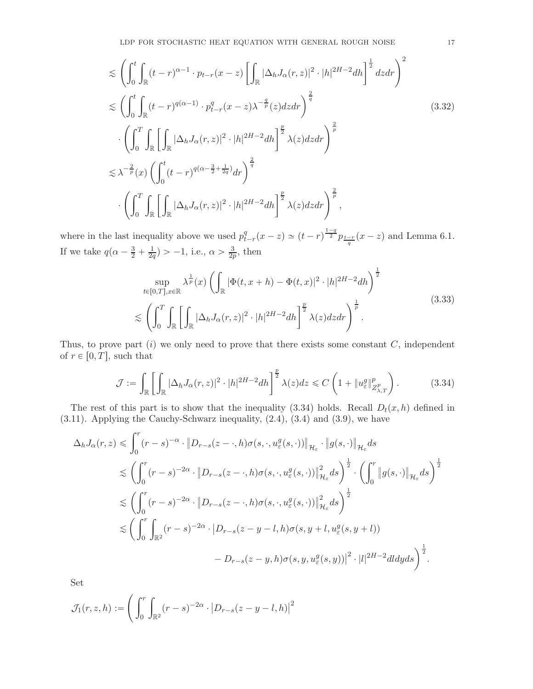<span id="page-16-2"></span>
$$
\lesssim \left(\int_0^t \int_{\mathbb{R}} (t-r)^{\alpha-1} \cdot p_{t-r}(x-z) \left[\int_{\mathbb{R}} |\Delta_h J_\alpha(r,z)|^2 \cdot |h|^{2H-2} dh\right]^{\frac{1}{2}} dz dr\right)^2
$$
\n
$$
\lesssim \left(\int_0^t \int_{\mathbb{R}} (t-r)^{q(\alpha-1)} \cdot p_{t-r}^q(x-z) \lambda^{-\frac{q}{p}}(z) dz dr\right)^{\frac{2}{q}}
$$
\n
$$
\cdot \left(\int_0^T \int_{\mathbb{R}} \left[\int_{\mathbb{R}} |\Delta_h J_\alpha(r,z)|^2 \cdot |h|^{2H-2} dh\right]^{\frac{p}{2}} \lambda(z) dz dr\right)^{\frac{2}{p}}
$$
\n
$$
\lesssim \lambda^{-\frac{2}{p}}(x) \left(\int_0^t (t-r)^{q(\alpha-\frac{3}{2}+\frac{1}{2q})} dr\right)^{\frac{2}{q}}
$$
\n
$$
\cdot \left(\int_0^T \int_{\mathbb{R}} \left[\int_{\mathbb{R}} |\Delta_h J_\alpha(r,z)|^2 \cdot |h|^{2H-2} dh\right]^{\frac{p}{2}} \lambda(z) dz dr\right)^{\frac{2}{p}},
$$
\n(3.32)

where in the last inequality above we used  $p_t^q$  $_{t-r}^{q}(x-z) \simeq (t-r)^{\frac{1-q}{2}} p_{\frac{t-r}{q}}(x-z)$  and Lemma [6.1.](#page-44-1) If we take  $q(\alpha - \frac{3}{2} + \frac{1}{2q}) > -1$ , i.e.,  $\alpha > \frac{3}{2p}$ , then

$$
\sup_{t\in[0,T],x\in\mathbb{R}} \lambda^{\frac{1}{p}}(x) \left( \int_{\mathbb{R}} |\Phi(t,x+h) - \Phi(t,x)|^2 \cdot |h|^{2H-2} dh \right)^{\frac{1}{2}}
$$
\n
$$
\lesssim \left( \int_0^T \int_{\mathbb{R}} \left[ \int_{\mathbb{R}} |\Delta_h J_\alpha(r,z)|^2 \cdot |h|^{2H-2} dh \right]^{\frac{p}{2}} \lambda(z) dz dr \right)^{\frac{1}{p}}.
$$
\n(3.33)

<span id="page-16-1"></span>Thus, to prove part  $(i)$  we only need to prove that there exists some constant  $C$ , independent of  $r \in [0, T]$ , such that

<span id="page-16-0"></span>
$$
\mathcal{J} := \int_{\mathbb{R}} \left[ \int_{\mathbb{R}} |\Delta_h J_\alpha(r, z)|^2 \cdot |h|^{2H-2} dh \right]^{\frac{p}{2}} \lambda(z) dz \leq C \left( 1 + \|u^g_{\varepsilon}\|_{Z^p_{\lambda, T}}^p \right). \tag{3.34}
$$

The rest of this part is to show that the inequality [\(3.34\)](#page-16-0) holds. Recall  $D_t(x, h)$  defined in [\(3.11\)](#page-8-2). Applying the Cauchy-Schwarz inequality, [\(2.4\)](#page-3-1), [\(3.4\)](#page-7-1) and [\(3.9\)](#page-8-0), we have

$$
\Delta_h J_\alpha(r, z) \leq \int_0^r (r - s)^{-\alpha} \cdot ||D_{r-s}(z - \cdot, h)\sigma(s, \cdot, u_\varepsilon^g(s, \cdot))||_{\mathcal{H}_\varepsilon} \cdot ||g(s, \cdot)||_{\mathcal{H}_\varepsilon} ds
$$
  
\n
$$
\lesssim \left(\int_0^r (r - s)^{-2\alpha} \cdot ||D_{r-s}(z - \cdot, h)\sigma(s, \cdot, u_\varepsilon^g(s, \cdot))||_{\mathcal{H}_\varepsilon}^2 ds\right)^{\frac{1}{2}} \cdot \left(\int_0^r ||g(s, \cdot)||_{\mathcal{H}_\varepsilon} ds\right)^{\frac{1}{2}}
$$
  
\n
$$
\lesssim \left(\int_0^r (r - s)^{-2\alpha} \cdot ||D_{r-s}(z - \cdot, h)\sigma(s, \cdot, u_\varepsilon^g(s, \cdot))||_{\mathcal{H}_\varepsilon}^2 ds\right)^{\frac{1}{2}}
$$
  
\n
$$
\lesssim \left(\int_0^r \int_{\mathbb{R}^2} (r - s)^{-2\alpha} \cdot |D_{r-s}(z - y - l, h)\sigma(s, y + l, u_\varepsilon^g(s, y + l))
$$
  
\n
$$
- D_{r-s}(z - y, h)\sigma(s, y, u_\varepsilon^g(s, y))|^2 \cdot |l|^{2H-2} dl dy ds\right)^{\frac{1}{2}}.
$$

Set

$$
\mathcal{J}_1(r,z,h) := \Bigg( \int_0^r \int_{\mathbb{R}^2} (r-s)^{-2\alpha} \cdot \big| D_{r-s}(z-y-l,h) \big|^2
$$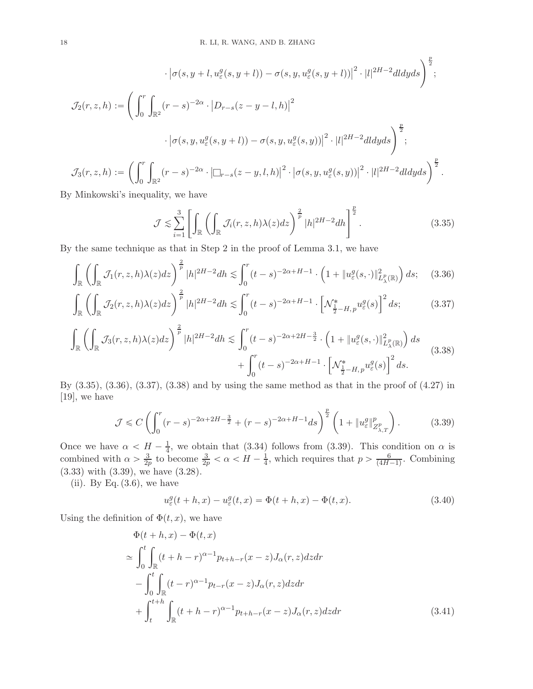$$
\begin{split}\n\cdot \left| \sigma(s, y+l, u_{\varepsilon}^{g}(s, y+l)) - \sigma(s, y, u_{\varepsilon}^{g}(s, y+l)) \right|^{2} \cdot |l|^{2H-2} dl dy ds \bigg)^{\frac{p}{2}}; \\
\mathcal{J}_{2}(r, z, h) := \left( \int_{0}^{r} \int_{\mathbb{R}^{2}} (r-s)^{-2\alpha} \cdot \left| D_{r-s}(z-y-l, h) \right|^{2} \cdot \left| l \right|^{2H-2} dl dy ds \right)^{\frac{p}{2}}; \\
\cdot \left| \sigma(s, y, u_{\varepsilon}^{g}(s, y+l)) - \sigma(s, y, u_{\varepsilon}^{g}(s, y)) \right|^{2} \cdot |l|^{2H-2} dl dy ds \right)^{\frac{p}{2}}; \\
\mathcal{J}_{3}(r, z, h) := \left( \int_{0}^{r} \int_{\mathbb{R}^{2}} (r-s)^{-2\alpha} \cdot \left| \Box_{r-s}(z-y, l, h) \right|^{2} \cdot \left| \sigma(s, y, u_{\varepsilon}^{g}(s, y)) \right|^{2} \cdot |l|^{2H-2} dl dy ds \right)^{\frac{p}{2}}.\n\end{split}
$$

By Minkowski's inequality, we have

<span id="page-17-2"></span><span id="page-17-1"></span><span id="page-17-0"></span>
$$
\mathcal{J} \lesssim \sum_{i=1}^{3} \left[ \int_{\mathbb{R}} \left( \int_{\mathbb{R}} \mathcal{J}_i(r, z, h) \lambda(z) dz \right)^{\frac{2}{p}} |h|^{2H-2} dh \right]^{\frac{p}{2}}.
$$
 (3.35)

By the same technique as that in Step 2 in the proof of Lemma [3.1,](#page-7-5) we have

$$
\int_{\mathbb{R}} \left( \int_{\mathbb{R}} \mathcal{J}_1(r, z, h) \lambda(z) dz \right)^{\frac{2}{p}} |h|^{2H-2} dh \lesssim \int_0^r (t-s)^{-2\alpha+H-1} \cdot \left( 1 + \|u^g_{\varepsilon}(s, \cdot)\|_{L^p_{\lambda}(\mathbb{R})}^2 \right) ds; \quad (3.36)
$$

$$
\int_{\mathbb{R}} \left( \int_{\mathbb{R}} \mathcal{J}_2(r, z, h) \lambda(z) dz \right)^{\frac{2}{p}} |h|^{2H-2} dh \lesssim \int_0^r (t-s)^{-2\alpha+H-1} \cdot \left[ \mathcal{N}_{\frac{1}{2}-H, p}^* u_\varepsilon^g(s) \right]^2 ds; \tag{3.37}
$$

<span id="page-17-3"></span>
$$
\int_{\mathbb{R}} \left( \int_{\mathbb{R}} \mathcal{J}_3(r, z, h) \lambda(z) dz \right)^{\frac{2}{p}} |h|^{2H-2} dh \lesssim \int_0^r (t-s)^{-2\alpha+2H-\frac{3}{2}} \cdot \left( 1 + \|u_{\varepsilon}^g(s, \cdot)\|_{L^p_{\lambda}(\mathbb{R})}^2 \right) ds + \int_0^r (t-s)^{-2\alpha+H-1} \cdot \left[ \mathcal{N}_{\frac{1}{2}-H, p}^* u_{\varepsilon}^g(s) \right]^2 ds.
$$
\n(3.38)

By [\(3.35\)](#page-17-0), [\(3.36\)](#page-17-1), [\(3.37\)](#page-17-2), [\(3.38\)](#page-17-3) and by using the same method as that in the proof of (4.27) in [\[19](#page-46-6)], we have

$$
\mathcal{J} \leq C \left( \int_0^r (r-s)^{-2\alpha+2H-\frac{3}{2}} + (r-s)^{-2\alpha+H-1} ds \right)^{\frac{p}{2}} \left( 1 + \|u^g_{\varepsilon}\|_{Z^p_{\lambda,T}}^p \right). \tag{3.39}
$$

Once we have  $\alpha < H - \frac{1}{4}$  $\frac{1}{4}$ , we obtain that [\(3.34\)](#page-16-0) follows from [\(3.39\)](#page-17-4). This condition on  $\alpha$  is combined with  $\alpha > \frac{3}{2p}$  to become  $\frac{3}{2p} < \alpha < H - \frac{1}{4}$ , which requires that  $p > \frac{6}{(4H-1)}$ . Combining [\(3.33\)](#page-16-1) with [\(3.39\)](#page-17-4), we have [\(3.28\)](#page-14-1).

(ii). By Eq.  $(3.6)$ , we have

<span id="page-17-5"></span><span id="page-17-4"></span>
$$
u_{\varepsilon}^{g}(t+h,x) - u_{\varepsilon}^{g}(t,x) = \Phi(t+h,x) - \Phi(t,x).
$$
 (3.40)

Using the definition of  $\Phi(t, x)$ , we have

$$
\Phi(t+h,x) - \Phi(t,x)
$$
\n
$$
\simeq \int_0^t \int_{\mathbb{R}} (t+h-r)^{\alpha-1} p_{t+h-r}(x-z) J_{\alpha}(r,z) dz dr
$$
\n
$$
- \int_0^t \int_{\mathbb{R}} (t-r)^{\alpha-1} p_{t-r}(x-z) J_{\alpha}(r,z) dz dr
$$
\n
$$
+ \int_t^{t+h} \int_{\mathbb{R}} (t+h-r)^{\alpha-1} p_{t+h-r}(x-z) J_{\alpha}(r,z) dz dr
$$
\n(3.41)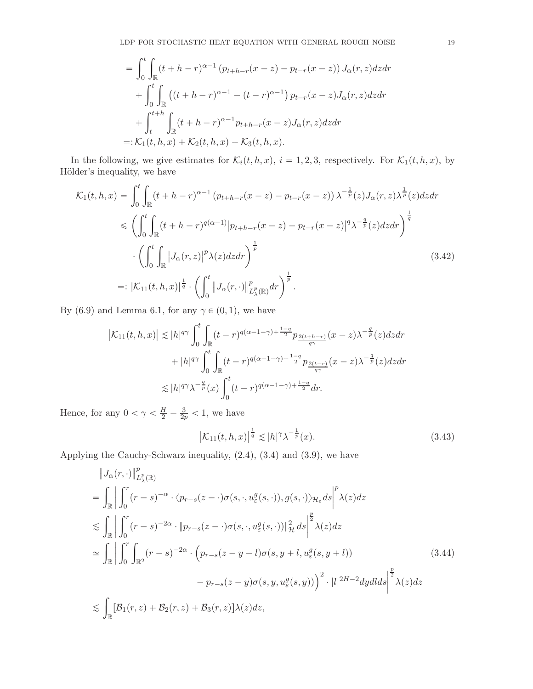$$
= \int_0^t \int_{\mathbb{R}} (t + h - r)^{\alpha - 1} (p_{t+h-r}(x - z) - p_{t-r}(x - z)) J_{\alpha}(r, z) dz dr + \int_0^t \int_{\mathbb{R}} ((t + h - r)^{\alpha - 1} - (t - r)^{\alpha - 1}) p_{t-r}(x - z) J_{\alpha}(r, z) dz dr + \int_t^{t+h} \int_{\mathbb{R}} (t + h - r)^{\alpha - 1} p_{t+h-r}(x - z) J_{\alpha}(r, z) dz dr =: \mathcal{K}_1(t, h, x) + \mathcal{K}_2(t, h, x) + \mathcal{K}_3(t, h, x).
$$

In the following, we give estimates for  $\mathcal{K}_i(t, h, x)$ ,  $i = 1, 2, 3$ , respectively. For  $\mathcal{K}_1(t, h, x)$ , by Hölder's inequality, we have

$$
\mathcal{K}_{1}(t,h,x) = \int_{0}^{t} \int_{\mathbb{R}} (t+h-r)^{\alpha-1} (p_{t+h-r}(x-z) - p_{t-r}(x-z)) \lambda^{-\frac{1}{p}}(z) J_{\alpha}(r,z) \lambda^{\frac{1}{p}}(z) dz dr
$$
  
\n
$$
\leq \left( \int_{0}^{t} \int_{\mathbb{R}} (t+h-r)^{q(\alpha-1)} |p_{t+h-r}(x-z) - p_{t-r}(x-z)|^{q} \lambda^{-\frac{q}{p}}(z) dz dr \right)^{\frac{1}{q}}
$$
  
\n
$$
\cdot \left( \int_{0}^{t} \int_{\mathbb{R}} |J_{\alpha}(r,z)|^{p} \lambda(z) dz dr \right)^{\frac{1}{p}}
$$
  
\n
$$
=: |\mathcal{K}_{11}(t,h,x)|^{\frac{1}{q}} \cdot \left( \int_{0}^{t} ||J_{\alpha}(r,\cdot)||^{p}_{L^{p}_{\lambda}(\mathbb{R})} dr \right)^{\frac{1}{p}}.
$$
\n(3.42)

By [\(6.9\)](#page-45-3) and Lemma [6.1,](#page-44-1) for any  $\gamma \in (0, 1)$ , we have

$$
\begin{split} \left| \mathcal{K}_{11}(t,h,x) \right| \lesssim & \left| h \right|^{q \gamma} \int_0^t \int_{\mathbb{R}} (t-r)^{q(\alpha-1-\gamma)+\frac{1-q}{2}} p_{\frac{2(t+h-r)}{q \gamma}}(x-z) \lambda^{-\frac{q}{p}}(z) dz dr \\ & \quad + \left| h \right|^{q \gamma} \int_0^t \int_{\mathbb{R}} (t-r)^{q(\alpha-1-\gamma)+\frac{1-q}{2}} p_{\frac{2(t-r)}{q \gamma}}(x-z) \lambda^{-\frac{q}{p}}(z) dz dr \\ \lesssim & \left| h \right|^{q \gamma} \lambda^{-\frac{q}{p}}(x) \int_0^t (t-r)^{q(\alpha-1-\gamma)+\frac{1-q}{2}} dr. \end{split}
$$

Hence, for any  $0 < \gamma < \frac{H}{2} - \frac{3}{2p} < 1$ , we have

<span id="page-18-2"></span><span id="page-18-1"></span><span id="page-18-0"></span>
$$
\left|\mathcal{K}_{11}(t,h,x)\right|^{\frac{1}{q}} \lesssim |h|^{\gamma} \lambda^{-\frac{1}{p}}(x). \tag{3.43}
$$

Applying the Cauchy-Schwarz inequality, [\(2.4\)](#page-3-1), [\(3.4\)](#page-7-1) and [\(3.9\)](#page-8-0), we have

$$
\|J_{\alpha}(r,\cdot)\|_{L_{\lambda}^{p}(\mathbb{R})}^{p}
$$
\n
$$
= \int_{\mathbb{R}} \left| \int_{0}^{r} (r-s)^{-\alpha} \cdot \langle p_{r-s}(z-\cdot) \sigma(s,\cdot,u_{\varepsilon}^{g}(s,\cdot)), g(s,\cdot) \rangle_{\mathcal{H}_{\varepsilon}} ds \right|^{p} \lambda(z) dz
$$
\n
$$
\lesssim \int_{\mathbb{R}} \left| \int_{0}^{r} (r-s)^{-2\alpha} \cdot \| p_{r-s}(z-\cdot) \sigma(s,\cdot,u_{\varepsilon}^{g}(s,\cdot)) \|_{\mathcal{H}}^{2} ds \right|^{p} \lambda(z) dz
$$
\n
$$
\simeq \int_{\mathbb{R}} \left| \int_{0}^{r} \int_{\mathbb{R}^{2}} (r-s)^{-2\alpha} \cdot \left( p_{r-s}(z-y-l) \sigma(s,y+l,u_{\varepsilon}^{g}(s,y+l)) \right) \right|^{2} \cdot |l|^{2H-2} dy dl ds \right|^{p} \lambda(z) dz
$$
\n
$$
\lesssim \int_{\mathbb{R}} \left[ \mathcal{B}_{1}(r,z) + \mathcal{B}_{2}(r,z) + \mathcal{B}_{3}(r,z) \right] \lambda(z) dz,
$$
\n(3.44)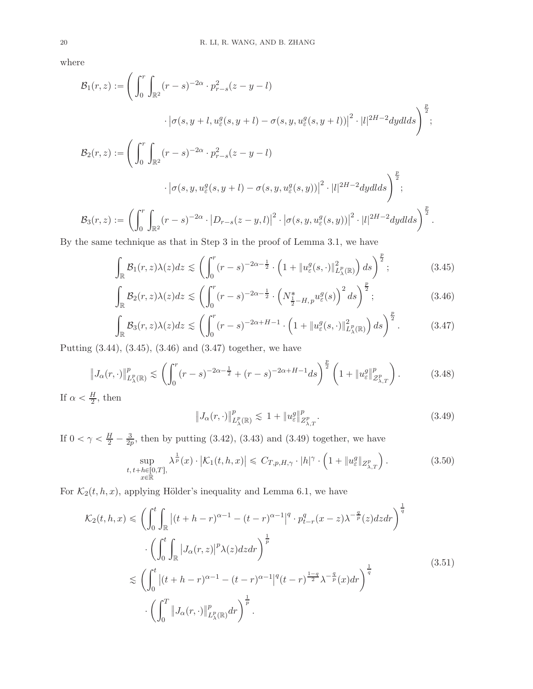where

$$
\mathcal{B}_{1}(r, z) := \left( \int_{0}^{r} \int_{\mathbb{R}^{2}} (r - s)^{-2\alpha} \cdot p_{r-s}^{2}(z - y - l) \right. \left. \left. \left. \left| \sigma(s, y + l, u_{\varepsilon}^{g}(s, y + l) - \sigma(s, y, u_{\varepsilon}^{g}(s, y + l)) \right|^{2} \cdot |l|^{2H - 2} dy dl ds \right) \right| \right.} \cdot \left. \left| \sigma(s, y, u_{\varepsilon}^{g}(s, y + l) - \sigma(s, y, u_{\varepsilon}^{g}(s, y + l)) \right|^{2} \cdot |l|^{2H - 2} dy dl ds \right) \right| \cdot \left| \sigma(s, y, u_{\varepsilon}^{g}(s, y + l) - \sigma(s, y, u_{\varepsilon}^{g}(s, y)) \right|^{2} \cdot |l|^{2H - 2} dy dl ds \right) \right| \cdot \left| \mathcal{B}_{3}(r, z) := \left( \int_{0}^{r} \int_{\mathbb{R}^{2}} (r - s)^{-2\alpha} \cdot |D_{r-s}(z - y, l)|^{2} \cdot |\sigma(s, y, u_{\varepsilon}^{g}(s, y))|^{2} \cdot |l|^{2H - 2} dy dl ds \right) \right| \right|^{2}.
$$

By the same technique as that in Step 3 in the proof of Lemma [3.1,](#page-7-5) we have

$$
\int_{\mathbb{R}} \mathcal{B}_1(r,z)\lambda(z)dz \lesssim \left(\int_0^r (r-s)^{-2\alpha-\frac{1}{2}} \cdot \left(1 + \|u^g_{\varepsilon}(s,\cdot)\|_{L^p_{\lambda}(\mathbb{R})}^2\right)ds\right)^{\frac{p}{2}};
$$
\n(3.45)

$$
\int_{\mathbb{R}} \mathcal{B}_2(r,z)\lambda(z)dz \lesssim \left(\int_0^r (r-s)^{-2\alpha-\frac{1}{2}} \cdot \left(N_{\frac{1}{2}-H,p}^* u_{\varepsilon}^g(s)\right)^2 ds\right)^{\frac{p}{2}};
$$
\n(3.46)

$$
\int_{\mathbb{R}} \mathcal{B}_3(r,z)\lambda(z)dz \lesssim \left(\int_0^r (r-s)^{-2\alpha+H-1} \cdot \left(1 + \|u^g_{\varepsilon}(s,\cdot)\|_{L^p_{\lambda}(\mathbb{R})}^2\right)ds\right)^{\frac{p}{2}}.
$$
 (3.47)

Putting [\(3.44\)](#page-18-0), [\(3.45\)](#page-19-0), [\(3.46\)](#page-19-1) and [\(3.47\)](#page-19-2) together, we have

$$
\|J_{\alpha}(r,\cdot)\|_{L_{\lambda}^p(\mathbb{R})}^p \lesssim \left(\int_0^r (r-s)^{-2\alpha-\frac{1}{2}} + (r-s)^{-2\alpha+H-1} ds\right)^{\frac{p}{2}} \left(1 + \|u_{\varepsilon}^g\|_{\mathcal{Z}_{\lambda,T}^p}^p\right). \tag{3.48}
$$

If  $\alpha < \frac{H}{2}$ , then

<span id="page-19-4"></span><span id="page-19-3"></span><span id="page-19-2"></span><span id="page-19-1"></span><span id="page-19-0"></span>
$$
\|J_{\alpha}(r,\cdot)\|_{L_{\lambda}^p(\mathbb{R})}^p \lesssim 1 + \|u_{\varepsilon}^g\|_{Z_{\lambda,T}^p}^p.
$$
\n(3.49)

If  $0 < \gamma < \frac{H}{2} - \frac{3}{2p}$  $\frac{3}{2p}$ , then by putting [\(3.42\)](#page-18-1), [\(3.43\)](#page-18-2) and [\(3.49\)](#page-19-3) together, we have

$$
\sup_{\substack{t, t+h \in [0,T],\\x \in \mathbb{R}}} \lambda^{\frac{1}{p}}(x) \cdot |\mathcal{K}_1(t, h, x)| \leq C_{T, p, H, \gamma} \cdot |h|^\gamma \cdot \left(1 + \|u_\varepsilon^g\|_{Z^p_{\lambda, T}}\right). \tag{3.50}
$$

For  $\mathcal{K}_2(t, h, x)$ , applying Hölder's inequality and Lemma [6.1,](#page-44-1) we have

<span id="page-19-5"></span>
$$
\mathcal{K}_2(t, h, x) \leq \left( \int_0^t \int_{\mathbb{R}} \left| (t + h - r)^{\alpha - 1} - (t - r)^{\alpha - 1} \right|^q \cdot p_{t-r}^q(x - z) \lambda^{-\frac{q}{p}}(z) dz dr \right)^{\frac{1}{q}}
$$

$$
\cdot \left( \int_0^t \int_{\mathbb{R}} \left| J_\alpha(r, z) \right|^p \lambda(z) dz dr \right)^{\frac{1}{p}}
$$

$$
\lesssim \left( \int_0^t \left| (t + h - r)^{\alpha - 1} - (t - r)^{\alpha - 1} \right|^q (t - r)^{\frac{1 - q}{2}} \lambda^{-\frac{q}{p}}(x) dr \right)^{\frac{1}{q}}
$$
(3.51)
$$
\cdot \left( \int_0^T \left\| J_\alpha(r, \cdot) \right\|_{L_\lambda^p(\mathbb{R})}^p dr \right)^{\frac{1}{p}}.
$$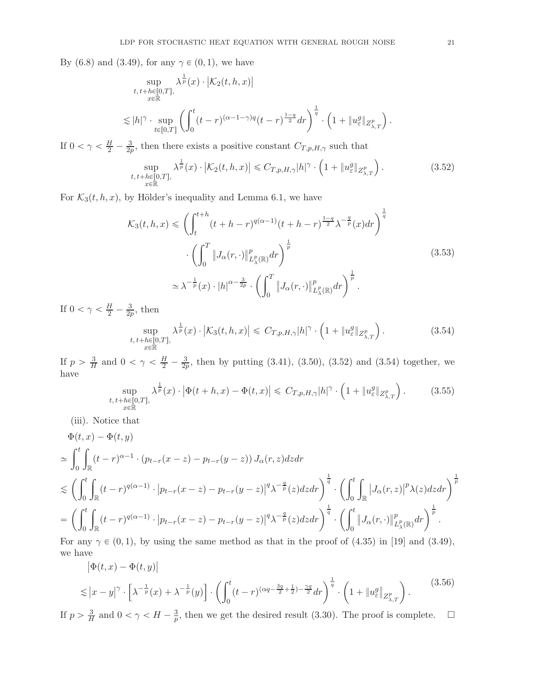By [\(6.8\)](#page-45-4) and [\(3.49\)](#page-19-3), for any  $\gamma \in (0, 1)$ , we have

$$
\sup_{\substack{t, t+h \in [0,T], \\ x \in \mathbb{R}}} \lambda^{\frac{1}{p}}(x) \cdot |\mathcal{K}_2(t, h, x)|
$$
  

$$
\lesssim |h|^\gamma \cdot \sup_{t \in [0,T]} \left( \int_0^t (t-r)^{(\alpha - 1 - \gamma)q} (t-r)^{\frac{1-q}{2}} dr \right)^{\frac{1}{q}} \cdot \left( 1 + \|u^g_{\varepsilon}\|_{Z^p_{\lambda, T}} \right)
$$

If  $0 < \gamma < \frac{H}{2} - \frac{3}{2p}$  $\frac{3}{2p}$ , then there exists a positive constant  $C_{T,p,H,\gamma}$  such that

$$
\sup_{\substack{t, t+h \in [0,T],\\x \in \mathbb{R}}} \lambda^{\frac{1}{p}}(x) \cdot \left| \mathcal{K}_2(t, h, x) \right| \leq C_{T, p, H, \gamma} |h|^\gamma \cdot \left( 1 + \|u_\varepsilon^g\|_{Z^p_{\lambda, T}} \right). \tag{3.52}
$$

<span id="page-20-4"></span>For  $\mathcal{K}_3(t, h, x)$ , by Hölder's inequality and Lemma [6.1,](#page-44-1) we have

$$
\mathcal{K}_{3}(t,h,x) \leq \left(\int_{t}^{t+h} (t+h-r)^{q(\alpha-1)}(t+h-r)^{\frac{1-q}{2}}\lambda^{-\frac{q}{p}}(x)dr\right)^{\frac{1}{q}}
$$

$$
\cdot \left(\int_{0}^{T} \left\|J_{\alpha}(r,\cdot)\right\|_{L_{\lambda}^{p}(\mathbb{R})}^{p} dr\right)^{\frac{1}{p}}
$$

$$
\simeq \lambda^{-\frac{1}{p}}(x) \cdot |h|^{\alpha-\frac{3}{2p}} \cdot \left(\int_{0}^{T} \left\|J_{\alpha}(r,\cdot)\right\|_{L_{\lambda}^{p}(\mathbb{R})}^{p} dr\right)^{\frac{1}{p}}.
$$

$$
(3.53)
$$

If  $0 < \gamma < \frac{H}{2} - \frac{3}{2p}$  $\frac{3}{2p}$ , then

$$
\sup_{\substack{t, t+h \in [0,T],\\x \in \mathbb{R}}} \lambda^{\frac{1}{p}}(x) \cdot \left| \mathcal{K}_3(t, h, x) \right| \leq C_{T, p, H, \gamma} |h|^\gamma \cdot \left( 1 + \|u^g_{\varepsilon}\|_{Z^p_{\lambda, T}} \right). \tag{3.54}
$$

If  $p > \frac{3}{H}$  $\frac{3}{H}$  and  $0 < \gamma < \frac{H}{2} - \frac{3}{2p}$  $\frac{3}{2p}$ , then by putting [\(3.41\)](#page-17-5), [\(3.50\)](#page-19-4), [\(3.52\)](#page-20-0) and [\(3.54\)](#page-20-1) together, we have

$$
\sup_{\substack{t, t+h \in [0,T],\\x \in \mathbb{R}}} \lambda^{\frac{1}{p}}(x) \cdot \left| \Phi(t+h,x) - \Phi(t,x) \right| \leq C_{T,p,H,\gamma} |h|^{\gamma} \cdot \left( 1 + \|u_{\varepsilon}^{g}\|_{Z_{\lambda,T}^{p}} \right). \tag{3.55}
$$

(iii). Notice that

$$
\Phi(t,x) - \Phi(t,y)
$$
\n
$$
\simeq \int_0^t \int_{\mathbb{R}} (t-r)^{\alpha-1} \cdot (p_{t-r}(x-z) - p_{t-r}(y-z)) J_{\alpha}(r,z) dz dr
$$
\n
$$
\lesssim \left( \int_0^t \int_{\mathbb{R}} (t-r)^{q(\alpha-1)} \cdot |p_{t-r}(x-z) - p_{t-r}(y-z)|^q \lambda^{-\frac{q}{p}}(z) dz dr \right)^{\frac{1}{q}} \cdot \left( \int_0^t \int_{\mathbb{R}} |J_{\alpha}(r,z)|^p \lambda(z) dz dr \right)^{\frac{1}{p}}
$$
\n
$$
= \left( \int_0^t \int_{\mathbb{R}} (t-r)^{q(\alpha-1)} \cdot |p_{t-r}(x-z) - p_{t-r}(y-z)|^q \lambda^{-\frac{q}{p}}(z) dz dr \right)^{\frac{1}{q}} \cdot \left( \int_0^t \left\| J_{\alpha}(r,\cdot) \right\|_{L^p_{\lambda}(\mathbb{R})}^p dr \right)^{\frac{1}{p}}.
$$
\nFor any  $\alpha \in (0, 1)$ , by using the same method as that in the proof of (4.35) in [10] and (2.40).

For any  $\gamma \in (0, 1)$ , by using the same method as that in the proof of (4.35) in [\[19](#page-46-6)] and [\(3.49\)](#page-19-3), we have

<span id="page-20-3"></span>
$$
\left| \Phi(t, x) - \Phi(t, y) \right|
$$
  

$$
\lesssim |x - y|^{\gamma} \cdot \left[ \lambda^{-\frac{1}{p}}(x) + \lambda^{-\frac{1}{p}}(y) \right] \cdot \left( \int_0^t (t - r)^{(\alpha q - \frac{3q}{2} + \frac{1}{2}) - \frac{\gamma q}{2}} dr \right)^{\frac{1}{q}} \cdot \left( 1 + \| u_{\varepsilon}^g \|_{Z_{\lambda, T}^p} \right).
$$
 (3.56)

If  $p > \frac{3}{H}$  $\frac{3}{H}$  and  $0 < \gamma < H - \frac{3}{p}$  $\frac{3}{p}$ , then we get the desired result [\(3.30\)](#page-14-2). The proof is complete.  $\Box$ 

<span id="page-20-2"></span><span id="page-20-1"></span><span id="page-20-0"></span>.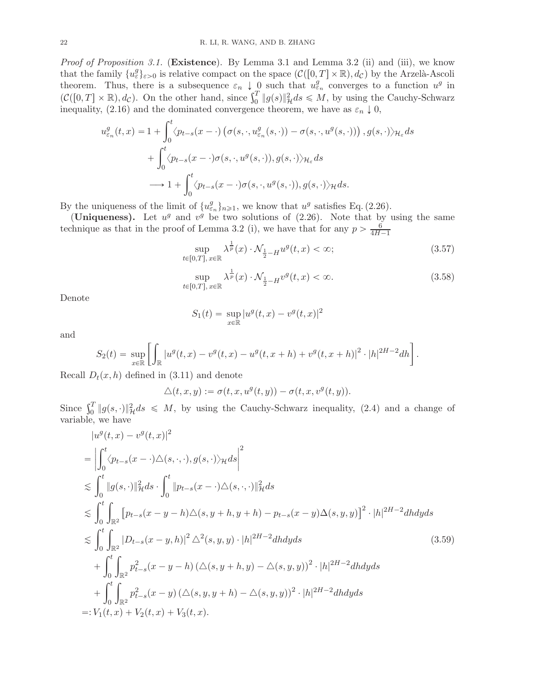*Proof of Proposition [3.1.](#page-7-0)* (Existence). By Lemma [3.1](#page-7-5) and Lemma [3.2](#page-14-3) (ii) and (iii), we know that the family  $\{u_{\varepsilon}^g\}_{\varepsilon>0}$  is relative compact on the space  $(C([0,T]\times\mathbb{R}), d_{\mathcal{C}})$  by the Arzelà-Ascoli theorem. Thus, there is a subsequence  $\varepsilon_n \downarrow 0$  such that  $u_{\varepsilon_n}^g$  converges to a function  $u^g$  in  $(\mathcal{C}([0,T] \times \mathbb{R}), d_{\mathcal{C}})$ . On the other hand, since  $\int_0^T \|g(s)\|_{\mathcal{H}}^2 ds \leq M$ , by using the Cauchy-Schwarz inequality, [\(2.16\)](#page-4-3) and the dominated convergence theorem, we have as  $\varepsilon_n \downarrow 0$ ,

$$
u_{\varepsilon_n}^g(t,x) = 1 + \int_0^t \langle p_{t-s}(x-\cdot) \left( \sigma(s,\cdot, u_{\varepsilon_n}^g(s,\cdot)) - \sigma(s,\cdot, u^g(s,\cdot)) \right), g(s,\cdot) \rangle_{\mathcal{H}_{\varepsilon}} ds + \int_0^t \langle p_{t-s}(x-\cdot) \sigma(s,\cdot, u^g(s,\cdot)), g(s,\cdot) \rangle_{\mathcal{H}_{\varepsilon}} ds \longrightarrow 1 + \int_0^t \langle p_{t-s}(x-\cdot) \sigma(s,\cdot, u^g(s,\cdot)), g(s,\cdot) \rangle_{\mathcal{H}} ds.
$$

By the uniqueness of the limit of  $\{u_{\varepsilon_n}^g\}_{n\geq 1}$ , we know that  $u^g$  satisfies Eq. [\(2.26\)](#page-6-3).

(Uniqueness). Let  $u^g$  and  $v^g$  be two solutions of [\(2.26\)](#page-6-3). Note that by using the same technique as that in the proof of Lemma [3.2](#page-14-3) (i), we have that for any  $p > \frac{6}{4H-1}$ 

<span id="page-21-0"></span>
$$
\sup_{t \in [0,T], x \in \mathbb{R}} \lambda^{\frac{1}{p}}(x) \cdot \mathcal{N}_{\frac{1}{2} - H} u^g(t, x) < \infty;\tag{3.57}
$$

<span id="page-21-1"></span>
$$
\sup_{t \in [0,T], x \in \mathbb{R}} \lambda^{\frac{1}{p}}(x) \cdot \mathcal{N}_{\frac{1}{2} - H} v^g(t, x) < \infty. \tag{3.58}
$$

Denote

$$
S_1(t) = \sup_{x \in \mathbb{R}} |u^g(t, x) - v^g(t, x)|^2
$$

and

$$
S_2(t) = \sup_{x \in \mathbb{R}} \left[ \int_{\mathbb{R}} |u^g(t,x) - v^g(t,x) - u^g(t,x+h) + v^g(t,x+h)|^2 \cdot |h|^{2H-2} dh \right].
$$

Recall  $D_t(x, h)$  defined in [\(3.11\)](#page-8-2) and denote

<span id="page-21-2"></span>
$$
\triangle(t, x, y) := \sigma(t, x, u^g(t, y)) - \sigma(t, x, v^g(t, y)).
$$

Since  $\int_0^T \|g(s, \cdot)\|_{\mathcal{H}}^2 ds \leq M$ , by using the Cauchy-Schwarz inequality, [\(2.4\)](#page-3-1) and a change of variable, we have

$$
|u^{g}(t,x) - v^{g}(t,x)|^{2}
$$
\n
$$
= \left| \int_{0}^{t} \langle p_{t-s}(x - \cdot) \triangle(s, \cdot, \cdot), g(s, \cdot) \rangle \mathcal{H} ds \right|^{2}
$$
\n
$$
\lesssim \int_{0}^{t} \|g(s, \cdot)\|_{\mathcal{H}}^{2} ds \cdot \int_{0}^{t} \|p_{t-s}(x - \cdot) \triangle(s, \cdot, \cdot)\|_{\mathcal{H}}^{2} ds
$$
\n
$$
\lesssim \int_{0}^{t} \int_{\mathbb{R}^{2}} [p_{t-s}(x - y - h) \triangle(s, y + h, y + h) - p_{t-s}(x - y) \triangle(s, y, y)]^{2} \cdot |h|^{2H - 2} dh dy ds
$$
\n
$$
\lesssim \int_{0}^{t} \int_{\mathbb{R}^{2}} |D_{t-s}(x - y, h)|^{2} \triangle^{2}(s, y, y) \cdot |h|^{2H - 2} dh dy ds
$$
\n
$$
+ \int_{0}^{t} \int_{\mathbb{R}^{2}} p_{t-s}^{2}(x - y - h) (\triangle(s, y + h, y) - \triangle(s, y, y))^{2} \cdot |h|^{2H - 2} dh dy ds
$$
\n
$$
+ \int_{0}^{t} \int_{\mathbb{R}^{2}} p_{t-s}^{2}(x - y) (\triangle(s, y, y + h) - \triangle(s, y, y))^{2} \cdot |h|^{2H - 2} dh dy ds
$$
\n
$$
=: V_{1}(t, x) + V_{2}(t, x) + V_{3}(t, x).
$$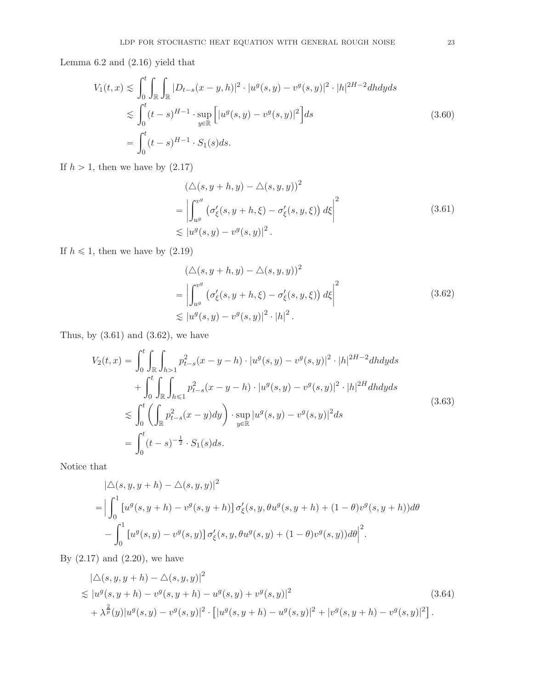Lemma [6.2](#page-45-2) and [\(2.16\)](#page-4-3) yield that

<span id="page-22-2"></span>
$$
V_1(t,x) \lesssim \int_0^t \int_{\mathbb{R}} \int_{\mathbb{R}} |D_{t-s}(x-y,h)|^2 \cdot |u^g(s,y) - v^g(s,y)|^2 \cdot |h|^{2H-2} dh dy ds
$$
  
\n
$$
\lesssim \int_0^t (t-s)^{H-1} \cdot \sup_{y \in \mathbb{R}} \left[ |u^g(s,y) - v^g(s,y)|^2 \right] ds
$$
  
\n
$$
= \int_0^t (t-s)^{H-1} \cdot S_1(s) ds.
$$
\n(3.60)

<span id="page-22-0"></span>If  $h > 1$ , then we have by  $(2.17)$ 

$$
\left(\Delta(s, y + h, y) - \Delta(s, y, y)\right)^2
$$
\n
$$
= \left| \int_{u^g}^{v^g} \left( \sigma_{\xi}^{\prime}(s, y + h, \xi) - \sigma_{\xi}^{\prime}(s, y, \xi) \right) d\xi \right|^2
$$
\n
$$
\lesssim |u^g(s, y) - v^g(s, y)|^2.
$$
\n(3.61)

If  $h \leq 1$ , then we have by  $(2.19)$ 

$$
(\triangle(s, y + h, y) - \triangle(s, y, y))^2
$$
  
= 
$$
\left| \int_{u^g}^{v^g} (\sigma_{\xi}'(s, y + h, \xi) - \sigma_{\xi}'(s, y, \xi)) d\xi \right|^2
$$
  

$$
\lesssim |u^g(s, y) - v^g(s, y)|^2 \cdot |h|^2.
$$
 (3.62)

<span id="page-22-1"></span>Thus, by  $(3.61)$  and  $(3.62)$ , we have

<span id="page-22-3"></span>
$$
V_2(t,x) = \int_0^t \int_{\mathbb{R}} \int_{h>1} p_{t-s}^2(x-y-h) \cdot |u^g(s,y) - v^g(s,y)|^2 \cdot |h|^{2H-2} dh dy ds
$$
  
+ 
$$
\int_0^t \int_{\mathbb{R}} \int_{h \le 1} p_{t-s}^2(x-y-h) \cdot |u^g(s,y) - v^g(s,y)|^2 \cdot |h|^{2H} dh dy ds
$$
  

$$
\lesssim \int_0^t \left( \int_{\mathbb{R}} p_{t-s}^2(x-y) dy \right) \cdot \sup_{y \in \mathbb{R}} |u^g(s,y) - v^g(s,y)|^2 ds
$$
  
= 
$$
\int_0^t (t-s)^{-\frac{1}{2}} \cdot S_1(s) ds.
$$
 (3.63)

Notice that

$$
\begin{aligned} &|\triangle(s,y,y+h)-\triangle(s,y,y)|^2\\ &= \Big|\int_0^1 \big[u^g(s,y+h)-v^g(s,y+h)\big]\,\sigma'_\xi(s,y,\theta u^g(s,y+h)+(1-\theta)v^g(s,y+h))d\theta\\ &- \int_0^1 \big[u^g(s,y)-v^g(s,y)\big]\,\sigma'_\xi(s,y,\theta u^g(s,y)+(1-\theta)v^g(s,y))d\theta\Big|^2. \end{aligned}
$$

By  $(2.17)$  and  $(2.20)$ , we have

<span id="page-22-4"></span>
$$
|\triangle(s, y, y+h) - \triangle(s, y, y)|^2
$$
  
\n
$$
\lesssim |u^g(s, y+h) - v^g(s, y+h) - u^g(s, y) + v^g(s, y)|^2
$$
  
\n
$$
+ \lambda^{\frac{2}{p}}(y)|u^g(s, y) - v^g(s, y)|^2 \cdot [|u^g(s, y+h) - u^g(s, y)|^2 + |v^g(s, y+h) - v^g(s, y)|^2].
$$
\n(3.64)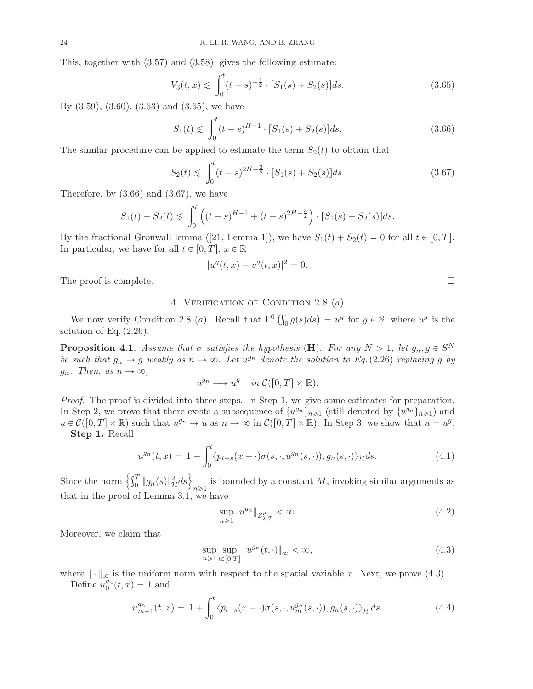This, together with [\(3.57\)](#page-21-0) and [\(3.58\)](#page-21-1), gives the following estimate:

$$
V_3(t,x) \lesssim \int_0^t (t-s)^{-\frac{1}{2}} \cdot [S_1(s) + S_2(s)]ds.
$$
 (3.65)

By [\(3.59\)](#page-21-2), [\(3.60\)](#page-22-2), [\(3.63\)](#page-22-3) and [\(3.65\)](#page-23-2), we have

$$
S_1(t) \lesssim \int_0^t (t-s)^{H-1} \cdot [S_1(s) + S_2(s)]ds.
$$
 (3.66)

The similar procedure can be applied to estimate the term  $S_2(t)$  to obtain that

$$
S_2(t) \lesssim \int_0^t (t-s)^{2H - \frac{3}{2}} \cdot [S_1(s) + S_2(s)]ds.
$$
 (3.67)

Therefore, by  $(3.66)$  and  $(3.67)$ , we have

$$
S_1(t) + S_2(t) \le \int_0^t \left( (t-s)^{H-1} + (t-s)^{2H-\frac{3}{2}} \right) \cdot [S_1(s) + S_2(s)]ds.
$$

Bythe fractional Gronwall lemma ([\[21](#page-46-19), Lemma 1]), we have  $S_1(t) + S_2(t) = 0$  for all  $t \in [0, T]$ . In particular, we have for all  $t \in [0, T], x \in \mathbb{R}$ 

$$
|u^g(t,x) - v^g(t,x)|^2 = 0.
$$

<span id="page-23-0"></span>The proof is complete.  $\Box$ 

# 4. VERIFICATION OF CONDITION [2.8](#page-5-1)  $(a)$

We now verify Condition [2.8](#page-5-1) (a). Recall that  $\Gamma^0\left(\int_0^{\cdot} g(s)ds\right) = u^g$  for  $g \in \mathbb{S}$ , where  $u^g$  is the solution of Eq.  $(2.26)$ .

<span id="page-23-1"></span>**Proposition 4.1.** Assume that  $\sigma$  satisfies the hypothesis (**H**). For any  $N > 1$ , let  $g_n, g \in S^N$ be such that  $g_n \to g$  weakly as  $n \to \infty$ . Let  $u^{g_n}$  denote the solution to Eq.[\(2.26\)](#page-6-3) replacing g by  $g_n$ . Then, as  $n \to \infty$ ,

$$
u^{g_n} \longrightarrow u^g \quad in \ \mathcal{C}([0,T] \times \mathbb{R}).
$$

Proof. The proof is divided into three steps. In Step 1, we give some estimates for preparation. In Step 2, we prove that there exists a subsequence of  $\{u^{g_n}\}_{n\geq 1}$  (still denoted by  $\{u^{g_n}\}_{n\geq 1}$ ) and  $u \in \mathcal{C}([0,T] \times \mathbb{R})$  such that  $u^{g_n} \to u$  as  $n \to \infty$  in  $\mathcal{C}([0,T] \times \mathbb{R})$ . In Step 3, we show that  $u = u^g$ . Step 1. Recall

> $u^{g_n}(t,x) = 1 +$  $\int_0^t$  $\langle p_{t-s}(x-\cdot)\sigma(s,\cdot,u^{g_n}(s,\cdot)), g_n(s,\cdot)\rangle_{\mathcal{H}} ds.$  (4.1)

Since the norm  $\left\{\int_0^T \|g_n(s)\|^2_{\mathcal{H}} ds\right\}$  $n\geqslant1$ is bounded by a constant  $M$ , invoking similar arguments as that in the proof of Lemma [3.1,](#page-7-5) we have

<span id="page-23-7"></span><span id="page-23-6"></span><span id="page-23-5"></span>
$$
\sup_{n\geqslant 1} \|u^{g_n}\|_{Z^p_{\lambda,T}} < \infty. \tag{4.2}
$$

Moreover, we claim that

$$
\sup_{n\geqslant 1}\sup_{t\in[0,T]}\|u^{g_n}(t,\cdot)\|_{\infty}<\infty,
$$
\n(4.3)

where  $\|\cdot\|_{\infty}$  is the uniform norm with respect to the spatial variable x. Next, we prove [\(4.3\)](#page-23-5). Define  $u_0^{g_n}(t, x) = 1$  and

$$
u_{m+1}^{g_n}(t,x) = 1 + \int_0^t \langle p_{t-s}(x-\cdot)\sigma(s,\cdot,u_m^{g_n}(s,\cdot)),g_n(s,\cdot)\rangle_{\mathcal{H}} ds.
$$
 (4.4)

<span id="page-23-4"></span><span id="page-23-3"></span><span id="page-23-2"></span>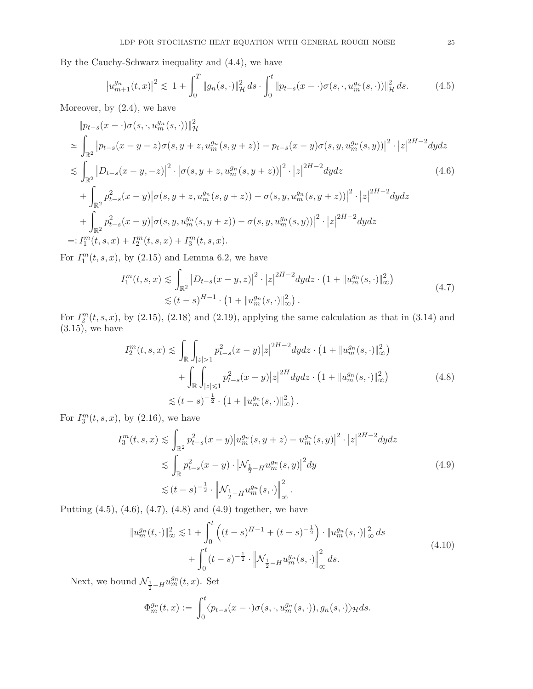By the Cauchy-Schwarz inequality and [\(4.4\)](#page-23-6), we have

<span id="page-24-0"></span>
$$
\left|u_{m+1}^{g_n}(t,x)\right|^2 \lesssim 1 + \int_0^T \|g_n(s,\cdot)\|_{\mathcal{H}}^2 ds \cdot \int_0^t \|p_{t-s}(x-\cdot)\sigma(s,\cdot,u_m^{g_n}(s,\cdot))\|_{\mathcal{H}}^2 ds. \tag{4.5}
$$

Moreover, by [\(2.4\)](#page-3-1), we have

$$
\|p_{t-s}(x-\cdot)\sigma(s,\cdot,u_m^{g_n}(s,\cdot))\|_{\mathcal{H}}^2
$$
\n
$$
\approx \int_{\mathbb{R}^2} |p_{t-s}(x-y-z)\sigma(s,y+z,u_m^{g_n}(s,y+z)) - p_{t-s}(x-y)\sigma(s,y,u_m^{g_n}(s,y))|^2 \cdot |z|^{2H-2} dydz
$$
\n
$$
\lesssim \int_{\mathbb{R}^2} |D_{t-s}(x-y,-z)|^2 \cdot |\sigma(s,y+z,u_m^{g_n}(s,y+z))|^2 \cdot |z|^{2H-2} dydz \qquad (4.6)
$$
\n
$$
+ \int_{\mathbb{R}^2} p_{t-s}^2(x-y)|\sigma(s,y+z,u_m^{g_n}(s,y+z)) - \sigma(s,y,u_m^{g_n}(s,y+z))|^2 \cdot |z|^{2H-2} dydz
$$
\n
$$
+ \int_{\mathbb{R}^2} p_{t-s}^2(x-y)|\sigma(s,y,u_m^{g_n}(s,y+z)) - \sigma(s,y,u_m^{g_n}(s,y))|^2 \cdot |z|^{2H-2} dydz
$$
\n
$$
=: I_1^m(t,s,x) + I_2^m(t,s,x) + I_3^m(t,s,x).
$$

For  $I_1^m(t, s, x)$ , by  $(2.15)$  and Lemma [6.2,](#page-45-2) we have

<span id="page-24-1"></span>
$$
I_1^m(t, s, x) \lesssim \int_{\mathbb{R}^2} |D_{t-s}(x - y, z)|^2 \cdot |z|^{2H-2} dy dz \cdot (1 + \|u_m^{g_n}(s, \cdot)\|_{\infty}^2)
$$
  

$$
\lesssim (t - s)^{H-1} \cdot (1 + \|u_m^{g_n}(s, \cdot)\|_{\infty}^2).
$$
 (4.7)

<span id="page-24-2"></span>For  $I_2^m(t, s, x)$ , by [\(2.15\)](#page-4-4), [\(2.18\)](#page-4-5) and [\(2.19\)](#page-4-6), applying the same calculation as that in [\(3.14\)](#page-9-1) and  $(3.15)$ , we have

<span id="page-24-3"></span>
$$
I_2^m(t,s,x) \lesssim \int_{\mathbb{R}} \int_{|z|>1} p_{t-s}^2(x-y) |z|^{2H-2} dy dz \cdot \left(1 + \|u_m^{g_n}(s, \cdot)\|_{\infty}^2\right) + \int_{\mathbb{R}} \int_{|z| \le 1} p_{t-s}^2(x-y) |z|^{2H} dy dz \cdot \left(1 + \|u_m^{g_n}(s, \cdot)\|_{\infty}^2\right) \lesssim (t-s)^{-\frac{1}{2}} \cdot \left(1 + \|u_m^{g_n}(s, \cdot)\|_{\infty}^2\right).
$$
\n(4.8)

For  $I_3^m(t, s, x)$ , by  $(2.16)$ , we have

$$
I_3^m(t, s, x) \lesssim \int_{\mathbb{R}^2} p_{t-s}^2(x - y) |u_m^{g_n}(s, y + z) - u_m^{g_n}(s, y)|^2 \cdot |z|^{2H-2} dy dz
$$
  

$$
\lesssim \int_{\mathbb{R}} p_{t-s}^2(x - y) \cdot |\mathcal{N}_{\frac{1}{2} - H} u_m^{g_n}(s, y)|^2 dy
$$
  

$$
\lesssim (t - s)^{-\frac{1}{2}} \cdot \left\| \mathcal{N}_{\frac{1}{2} - H} u_m^{g_n}(s, \cdot) \right\|_{\infty}^2.
$$
 (4.9)

Putting  $(4.5)$ ,  $(4.6)$ ,  $(4.7)$ ,  $(4.8)$  and  $(4.9)$  together, we have

<span id="page-24-4"></span>
$$
\|u_m^{g_n}(t,\cdot)\|_{\infty}^2 \lesssim 1 + \int_0^t \left( (t-s)^{H-1} + (t-s)^{-\frac{1}{2}} \right) \cdot \|u_m^{g_n}(s,\cdot)\|_{\infty}^2 ds
$$
  
+ 
$$
\int_0^t (t-s)^{-\frac{1}{2}} \cdot \left\|\mathcal{N}_{\frac{1}{2}-H}u_m^{g_n}(s,\cdot)\right\|_{\infty}^2 ds.
$$
 (4.10)

<span id="page-24-5"></span>Next, we bound  $\mathcal{N}_{\frac{1}{2}-H}u_m^{g_n}(t,x)$ . Set

$$
\Phi_m^{g_n}(t,x):=\int_0^t\langle p_{t-s}(x-\cdot)\sigma(s,\cdot,u_m^{g_n}(s,\cdot)),g_n(s,\cdot)\rangle_{\mathcal{H}}ds.
$$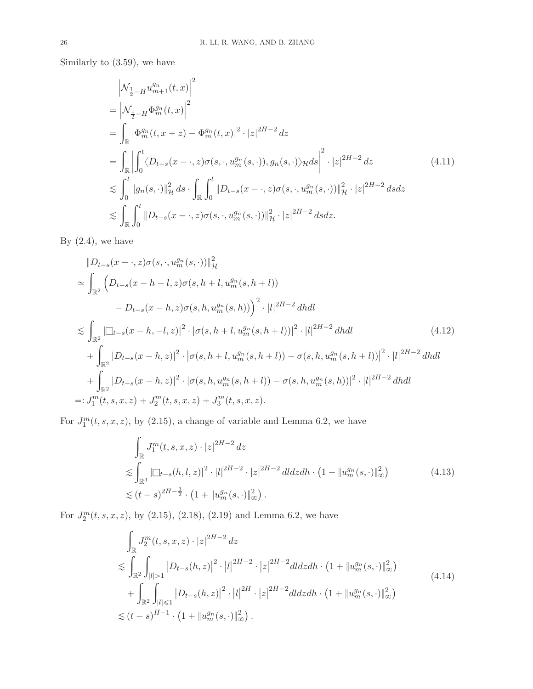Similarly to [\(3.59\)](#page-21-2), we have

<span id="page-25-0"></span>
$$
\begin{split}\n&\left|\mathcal{N}_{\frac{1}{2}-H}u_{m+1}^{g_{n}}(t,x)\right|^{2} \\
&= \left|\mathcal{N}_{\frac{1}{2}-H}\Phi_{m}^{g_{n}}(t,x)\right|^{2} \\
&= \int_{\mathbb{R}}\left|\Phi_{m}^{g_{n}}(t,x+z) - \Phi_{m}^{g_{n}}(t,x)\right|^{2} \cdot |z|^{2H-2} dz \\
&= \int_{\mathbb{R}}\left|\int_{0}^{t}\langle D_{t-s}(x-\cdot,z)\sigma(s,\cdot,u_{m}^{g_{n}}(s,\cdot)),g_{n}(s,\cdot)\rangle_{\mathcal{H}} ds\right|^{2} \cdot |z|^{2H-2} dz\n\end{split} \tag{4.11}
$$
\n
$$
\lesssim \int_{0}^{t} \|g_{n}(s,\cdot)\|_{\mathcal{H}}^{2} ds \cdot \int_{\mathbb{R}}\int_{0}^{t} \|D_{t-s}(x-\cdot,z)\sigma(s,\cdot,u_{m}^{g_{n}}(s,\cdot))\|_{\mathcal{H}}^{2} \cdot |z|^{2H-2} ds dz \\
&\lesssim \int_{\mathbb{R}}\int_{0}^{t} \|D_{t-s}(x-\cdot,z)\sigma(s,\cdot,u_{m}^{g_{n}}(s,\cdot))\|_{\mathcal{H}}^{2} \cdot |z|^{2H-2} ds dz.\n\end{split}
$$

By  $(2.4)$ , we have

$$
||D_{t-s}(x-\cdot,z)\sigma(s,\cdot,u_m^{g_n}(s,\cdot))||_{\mathcal{H}}^2
$$
  
\n
$$
\simeq \int_{\mathbb{R}^2} \left( D_{t-s}(x-h-l,z)\sigma(s,h+l,u_m^{g_n}(s,h+l)) - D_{t-s}(x-h,z)\sigma(s,h,u_m^{g_n}(s,h)) \right)^2 \cdot |l|^{2H-2} dhdl
$$
  
\n
$$
\lesssim \int_{\mathbb{R}^2} |\Box_{t-s}(x-h,-l,z)|^2 \cdot |\sigma(s,h+l,u_m^{g_n}(s,h+l))|^2 \cdot |l|^{2H-2} dhdl
$$
  
\n
$$
+ \int_{\mathbb{R}^2} |D_{t-s}(x-h,z)|^2 \cdot |\sigma(s,h+l,u_m^{g_n}(s,h+l)) - \sigma(s,h,u_m^{g_n}(s,h+l))|^2 \cdot |l|^{2H-2} dhdl
$$
  
\n
$$
+ \int_{\mathbb{R}^2} |D_{t-s}(x-h,z)|^2 \cdot |\sigma(s,h,u_m^{g_n}(s,h+l)) - \sigma(s,h,u_m^{g_n}(s,h))|^2 \cdot |l|^{2H-2} dhdl
$$
  
\n
$$
=: J_1^m(t,s,x,z) + J_2^m(t,s,x,z) + J_3^m(t,s,x,z).
$$
 (4.12)

For  $J_1^m(t, s, x, z)$ , by [\(2.15\)](#page-4-4), a change of variable and Lemma [6.2,](#page-45-2) we have

$$
\int_{\mathbb{R}} J_1^m(t, s, x, z) \cdot |z|^{2H-2} dz
$$
\n
$$
\lesssim \int_{\mathbb{R}^3} |\Box_{t-s}(h, l, z)|^2 \cdot |l|^{2H-2} \cdot |z|^{2H-2} dl dz dh \cdot (1 + \|u_m^{g_n}(s, \cdot)\|_{\infty}^2)
$$
\n
$$
\lesssim (t-s)^{2H-\frac{3}{2}} \cdot (1 + \|u_m^{g_n}(s, \cdot)\|_{\infty}^2).
$$
\n(4.13)

For  $J_2^m(t, s, x, z)$ , by [\(2.15\)](#page-4-4), [\(2.18\)](#page-4-5), [\(2.19\)](#page-4-6) and Lemma [6.2,](#page-45-2) we have

$$
\int_{\mathbb{R}} J_2^m(t, s, x, z) \cdot |z|^{2H-2} dz
$$
\n
$$
\lesssim \int_{\mathbb{R}^2} \int_{|l|>1} |D_{t-s}(h, z)|^2 \cdot |l|^{2H-2} \cdot |z|^{2H-2} dldz dh \cdot (1 + \|u_m^{g_m}(s, \cdot)\|_{\infty}^2) + \int_{\mathbb{R}^2} \int_{|l| \le 1} |D_{t-s}(h, z)|^2 \cdot |l|^{2H} \cdot |z|^{2H-2} dldz dh \cdot (1 + \|u_m^{g_n}(s, \cdot)\|_{\infty}^2) \le (t-s)^{H-1} \cdot (1 + \|u_m^{g_n}(s, \cdot)\|_{\infty}^2).
$$
\n(A.14)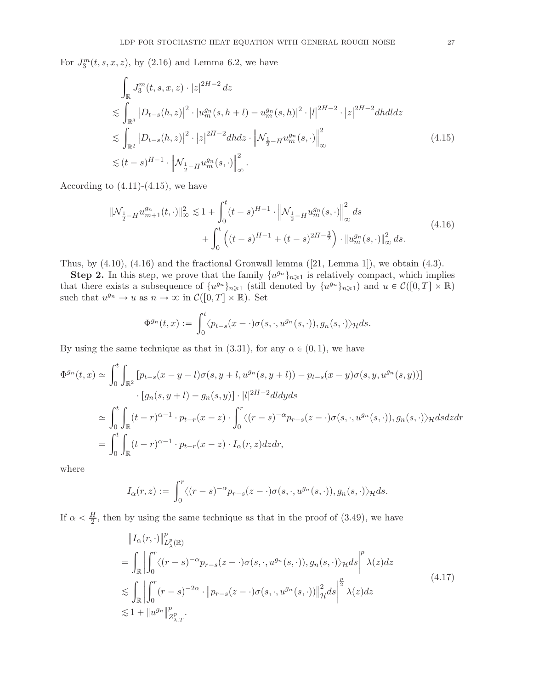For  $J_3^m(t, s, x, z)$ , by [\(2.16\)](#page-4-3) and Lemma [6.2,](#page-45-2) we have

<span id="page-26-0"></span>
$$
\int_{\mathbb{R}} J_3^m(t, s, x, z) \cdot |z|^{2H-2} dz
$$
\n
$$
\lesssim \int_{\mathbb{R}^3} |D_{t-s}(h, z)|^2 \cdot |u_m^{g_n}(s, h+l) - u_m^{g_n}(s, h)|^2 \cdot |l|^{2H-2} \cdot |z|^{2H-2} dh dl dz
$$
\n
$$
\lesssim \int_{\mathbb{R}^2} |D_{t-s}(h, z)|^2 \cdot |z|^{2H-2} dh dz \cdot \left\| \mathcal{N}_{\frac{1}{2} - H} u_m^{g_n}(s, \cdot) \right\|_{\infty}^2
$$
\n
$$
\lesssim (t-s)^{H-1} \cdot \left\| \mathcal{N}_{\frac{1}{2} - H} u_m^{g_n}(s, \cdot) \right\|_{\infty}^2.
$$
\n(4.15)

<span id="page-26-1"></span>According to  $(4.11)-(4.15)$  $(4.11)-(4.15)$ , we have

$$
\|\mathcal{N}_{\frac{1}{2}-H}u_{m+1}^{g_n}(t,\cdot)\|_{\infty}^2 \lesssim 1 + \int_0^t (t-s)^{H-1} \cdot \left\|\mathcal{N}_{\frac{1}{2}-H}u_m^{g_n}(s,\cdot)\right\|_{\infty}^2 ds
$$
  
+ 
$$
\int_0^t \left( (t-s)^{H-1} + (t-s)^{2H-\frac{3}{2}} \right) \cdot \left\|u_m^{g_n}(s,\cdot)\right\|_{\infty}^2 ds.
$$
 (4.16)

Thus,by  $(4.10)$ ,  $(4.16)$  and the fractional Gronwall lemma  $([21, \text{Lemma 1}])$  $([21, \text{Lemma 1}])$  $([21, \text{Lemma 1}])$ , we obtain  $(4.3)$ .

**Step 2.** In this step, we prove that the family  $\{u^{g_n}\}_{n\geq 1}$  is relatively compact, which implies that there exists a subsequence of  $\{u^{g_n}\}_{n\geq 1}$  (still denoted by  $\{u^{g_n}\}_{n\geq 1}$ ) and  $u \in \mathcal{C}([0,T] \times \mathbb{R})$ such that  $u^{g_n} \to u$  as  $n \to \infty$  in  $\mathcal{C}([0, T] \times \mathbb{R})$ . Set

$$
\Phi^{g_n}(t,x):=\int_0^t\langle p_{t-s}(x-\cdot)\sigma(s,\cdot,u^{g_n}(s,\cdot)),g_n(s,\cdot)\rangle_{\mathcal{H}}ds.
$$

By using the same technique as that in [\(3.31\)](#page-15-0), for any  $\alpha \in (0, 1)$ , we have

$$
\Phi^{g_n}(t,x) \simeq \int_0^t \int_{\mathbb{R}^2} \left[ p_{t-s}(x-y-l)\sigma(s,y+l,u^{g_n}(s,y+l)) - p_{t-s}(x-y)\sigma(s,y,u^{g_n}(s,y)) \right]
$$

$$
\cdot \left[ g_n(s,y+l) - g_n(s,y) \right] \cdot |l|^{2H-2} dl dy ds
$$

$$
\simeq \int_0^t \int_{\mathbb{R}} (t-r)^{\alpha-1} \cdot p_{t-r}(x-z) \cdot \int_0^r \langle (r-s)^{-\alpha} p_{r-s}(z-\cdot)\sigma(s,\cdot,u^{g_n}(s,\cdot)), g_n(s,\cdot) \rangle_{\mathcal{H}} ds dz dr
$$

$$
= \int_0^t \int_{\mathbb{R}} (t-r)^{\alpha-1} \cdot p_{t-r}(x-z) \cdot I_{\alpha}(r,z) dz dr,
$$

where

$$
I_{\alpha}(r, z) := \int_0^r \langle (r - s)^{-\alpha} p_{r - s}(z - \cdot) \sigma(s, \cdot, u^{g_n}(s, \cdot)), g_n(s, \cdot) \rangle_{\mathcal{H}} ds.
$$

If  $\alpha < \frac{H}{2}$ , then by using the same technique as that in the proof of [\(3.49\)](#page-19-3), we have

$$
\|I_{\alpha}(r,\cdot)\|_{L_{\lambda}^{p}(\mathbb{R})}^{p}
$$
\n
$$
= \int_{\mathbb{R}} \left| \int_{0}^{r} \langle (r-s)^{-\alpha} p_{r-s}(z-\cdot) \sigma(s,\cdot,u^{g_{n}}(s,\cdot)), g_{n}(s,\cdot) \rangle_{\mathcal{H}} ds \right|^{p} \lambda(z) dz
$$
\n
$$
\lesssim \int_{\mathbb{R}} \left| \int_{0}^{r} (r-s)^{-2\alpha} \cdot \| p_{r-s}(z-\cdot) \sigma(s,\cdot,u^{g_{n}}(s,\cdot)) \|_{\mathcal{H}}^{2} ds \right|^{p} \lambda(z) dz
$$
\n
$$
\lesssim 1 + \| u^{g_{n}} \|_{Z_{\lambda,T}^{p}}^{p}.
$$
\n(4.17)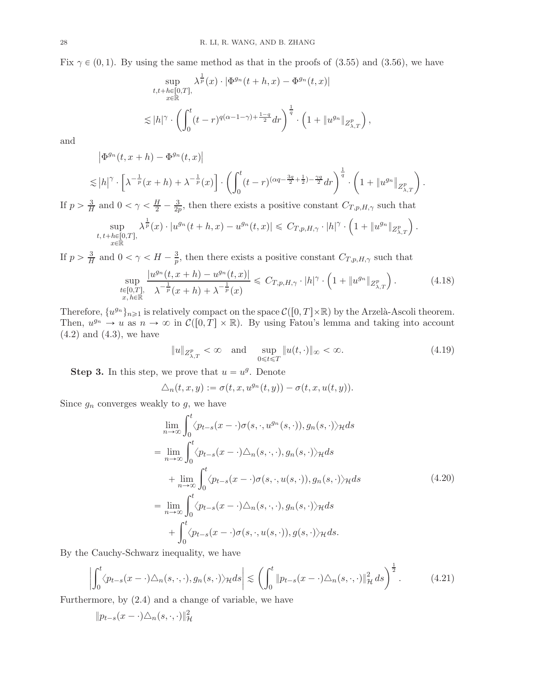Fix  $\gamma \in (0, 1)$ . By using the same method as that in the proofs of [\(3.55\)](#page-20-2) and [\(3.56\)](#page-20-3), we have

$$
\sup_{\substack{t,t+h\in[0,T],\\x\in\mathbb{R}}} \lambda^{\frac{1}{p}}(x) \cdot |\Phi^{g_n}(t+h,x) - \Phi^{g_n}(t,x)|
$$
  

$$
\lesssim |h|^\gamma \cdot \left(\int_0^t (t-r)^{q(\alpha-1-\gamma)+\frac{1-q}{2}} dr\right)^{\frac{1}{q}} \cdot \left(1 + \|u^{g_n}\|_{Z_{\lambda,T}^p}\right)
$$

and

 $\left| \Phi^{g_n}(t, x + h) - \Phi^{g_n}(t, x) \right|$ 

$$
\lesssim |h|^\gamma \cdot \left[\lambda^{-\frac{1}{p}}(x+h)+\lambda^{-\frac{1}{p}}(x)\right] \cdot \left(\int_0^t (t-r)^{(\alpha q - \frac{3q}{2}+\frac{1}{2})-\frac{\gamma q}{2}} dr\right)^{\frac{1}{q}} \cdot \left(1+\|u^{g_n}\|_{Z_{\lambda,T}^p}\right).
$$

If  $p > \frac{3}{H}$  $\frac{3}{H}$  and  $0 < \gamma < \frac{H}{2} - \frac{3}{2p}$  $\frac{3}{2p}$ , then there exists a positive constant  $C_{T,p,H,\gamma}$  such that

$$
\sup_{\substack{t, t+h \in [0,T],\\x \in \mathbb{R}}} \lambda^{\frac{1}{p}}(x) \cdot |u^{g_n}(t+h,x) - u^{g_n}(t,x)| \leq C_{T,p,H,\gamma} \cdot |h|^\gamma \cdot \left(1 + \|u^{g_n}\|_{Z_{\lambda,T}^p}\right)
$$

If  $p > \frac{3}{H}$  $\frac{3}{H}$  and  $0 < \gamma < H - \frac{3}{p}$  $\frac{3}{p}$ , then there exists a positive constant  $C_{T,p,H,\gamma}$  such that

$$
\sup_{\substack{t \in [0,T], \\ x, h \in \mathbb{R}}} \frac{|u^{g_n}(t, x + h) - u^{g_n}(t, x)|}{\lambda^{-\frac{1}{p}}(x + h) + \lambda^{-\frac{1}{p}}(x)} \leq C_{T, p, H, \gamma} \cdot |h|^\gamma \cdot \left(1 + \|u^{g_n}\|_{Z^p_{\lambda, T}}\right). \tag{4.18}
$$

Therefore,  $\{u^{g_n}\}_{n\geq 1}$  is relatively compact on the space  $\mathcal{C}([0,T]\times\mathbb{R})$  by the Arzelà-Ascoli theorem. Then,  $u^{g_n} \to u$  as  $n \to \infty$  in  $\mathcal{C}([0,T] \times \mathbb{R})$ . By using Fatou's lemma and taking into account  $(4.2)$  and  $(4.3)$ , we have

$$
||u||_{Z^p_{\lambda,T}} < \infty \quad \text{and} \quad \sup_{0 \le t \le T} ||u(t, \cdot)||_{\infty} < \infty. \tag{4.19}
$$

,

<span id="page-27-0"></span>.

**Step 3.** In this step, we prove that  $u = u<sup>g</sup>$ . Denote

$$
\triangle_n(t, x, y) := \sigma(t, x, u^{g_n}(t, y)) - \sigma(t, x, u(t, y)).
$$

Since  $g_n$  converges weakly to  $g$ , we have

<span id="page-27-1"></span>
$$
\lim_{n \to \infty} \int_0^t \langle p_{t-s}(x - \cdot) \sigma(s, \cdot, u^{g_n}(s, \cdot)), g_n(s, \cdot) \rangle_{\mathcal{H}} ds
$$
\n
$$
= \lim_{n \to \infty} \int_0^t \langle p_{t-s}(x - \cdot) \Delta_n(s, \cdot, \cdot), g_n(s, \cdot) \rangle_{\mathcal{H}} ds
$$
\n
$$
+ \lim_{n \to \infty} \int_0^t \langle p_{t-s}(x - \cdot) \sigma(s, \cdot, u(s, \cdot)), g_n(s, \cdot) \rangle_{\mathcal{H}} ds
$$
\n
$$
= \lim_{n \to \infty} \int_0^t \langle p_{t-s}(x - \cdot) \Delta_n(s, \cdot, \cdot), g_n(s, \cdot) \rangle_{\mathcal{H}} ds
$$
\n
$$
+ \int_0^t \langle p_{t-s}(x - \cdot) \sigma(s, \cdot, u(s, \cdot)), g(s, \cdot) \rangle_{\mathcal{H}} ds.
$$
\n(4.20)

<span id="page-27-2"></span>By the Cauchy-Schwarz inequality, we have

$$
\left| \int_0^t \langle p_{t-s}(x - \cdot) \triangle_n(s, \cdot, \cdot), g_n(s, \cdot) \rangle_{\mathcal{H}} ds \right| \lesssim \left( \int_0^t \| p_{t-s}(x - \cdot) \triangle_n(s, \cdot, \cdot) \|_{\mathcal{H}}^2 ds \right)^{\frac{1}{2}}.
$$
 (4.21)

Furthermore, by [\(2.4\)](#page-3-1) and a change of variable, we have

$$
||p_{t-s}(x-\cdot)\triangle_n(s,\cdot,\cdot)||_{{\mathcal{H}}}^2
$$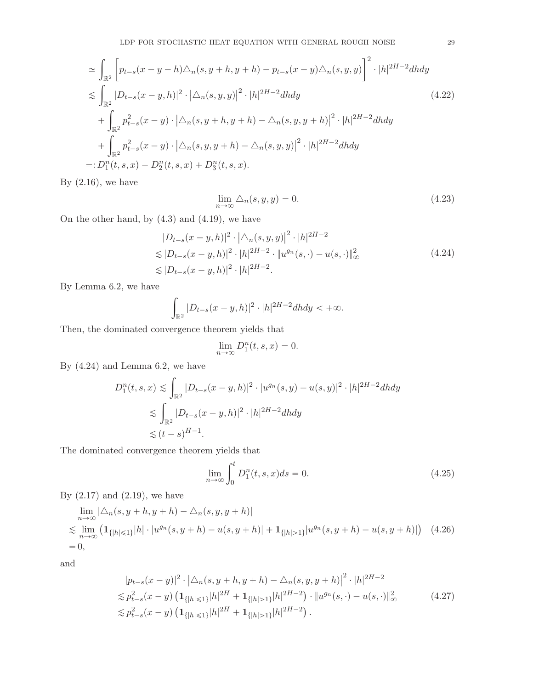$$
\approx \int_{\mathbb{R}^2} \left[ p_{t-s}(x - y - h) \triangle_n(s, y + h, y + h) - p_{t-s}(x - y) \triangle_n(s, y, y) \right]^2 \cdot |h|^{2H - 2} dh dy
$$
  
\n
$$
\lesssim \int_{\mathbb{R}^2} |D_{t-s}(x - y, h)|^2 \cdot |\triangle_n(s, y, y)|^2 \cdot |h|^{2H - 2} dh dy
$$
  
\n
$$
+ \int_{\mathbb{R}^2} p_{t-s}^2(x - y) \cdot |\triangle_n(s, y + h, y + h) - \triangle_n(s, y, y + h)|^2 \cdot |h|^{2H - 2} dh dy
$$
  
\n
$$
+ \int_{\mathbb{R}^2} p_{t-s}^2(x - y) \cdot |\triangle_n(s, y, y + h) - \triangle_n(s, y, y)|^2 \cdot |h|^{2H - 2} dh dy
$$
  
\n
$$
=: D_1^n(t, s, x) + D_2^n(t, s, x) + D_3^n(t, s, x).
$$
\n(4.22)

By  $(2.16)$ , we have

<span id="page-28-2"></span>
$$
\lim_{n \to \infty} \Delta_n(s, y, y) = 0. \tag{4.23}
$$

On the other hand, by [\(4.3\)](#page-23-5) and [\(4.19\)](#page-27-0), we have

$$
|D_{t-s}(x-y,h)|^2 \cdot |\Delta_n(s,y,y)|^2 \cdot |h|^{2H-2}
$$
  
\n
$$
\lesssim |D_{t-s}(x-y,h)|^2 \cdot |h|^{2H-2} \cdot \|u^{g_n}(s,\cdot) - u(s,\cdot)\|_{\infty}^2
$$
  
\n
$$
\lesssim |D_{t-s}(x-y,h)|^2 \cdot |h|^{2H-2}.
$$
\n(4.24)

<span id="page-28-0"></span>By Lemma [6.2,](#page-45-2) we have

$$
\int_{\mathbb{R}^2} |D_{t-s}(x - y, h)|^2 \cdot |h|^{2H-2} dh dy < +\infty.
$$

Then, the dominated convergence theorem yields that

$$
\lim_{n \to \infty} D_1^n(t, s, x) = 0.
$$

By [\(4.24\)](#page-28-0) and Lemma [6.2,](#page-45-2) we have

$$
D_1^n(t, s, x) \lesssim \int_{\mathbb{R}^2} |D_{t-s}(x - y, h)|^2 \cdot |u^{g_n}(s, y) - u(s, y)|^2 \cdot |h|^{2H - 2} dh dy
$$
  

$$
\lesssim \int_{\mathbb{R}^2} |D_{t-s}(x - y, h)|^2 \cdot |h|^{2H - 2} dh dy
$$
  

$$
\lesssim (t - s)^{H - 1}.
$$

The dominated convergence theorem yields that

<span id="page-28-3"></span><span id="page-28-1"></span>
$$
\lim_{n \to \infty} \int_0^t D_1^n(t, s, x) ds = 0.
$$
\n(4.25)

By  $(2.17)$  and  $(2.19)$ , we have

$$
\lim_{n \to \infty} |\Delta_n(s, y + h, y + h) - \Delta_n(s, y, y + h)|
$$
\n
$$
\lesssim \lim_{n \to \infty} (\mathbf{1}_{\{|h| \le 1\}} |h| \cdot |u^{g_n}(s, y + h) - u(s, y + h)| + \mathbf{1}_{\{|h| > 1\}} |u^{g_n}(s, y + h) - u(s, y + h)|)
$$
\n(4.26)\n
$$
= 0,
$$

and

$$
|p_{t-s}(x-y)|^2 \cdot |\triangle_n(s, y+h, y+h) - \triangle_n(s, y, y+h)|^2 \cdot |h|^{2H-2}
$$
  
\n
$$
\lesssim p_{t-s}^2(x-y) \left( \mathbf{1}_{\{|h| \le 1\}} |h|^{2H} + \mathbf{1}_{\{|h| > 1\}} |h|^{2H-2} \right) \cdot \|u^{g_n}(s, \cdot) - u(s, \cdot)\|_{\infty}^2
$$
  
\n
$$
\lesssim p_{t-s}^2(x-y) \left( \mathbf{1}_{\{|h| \le 1\}} |h|^{2H} + \mathbf{1}_{\{|h| > 1\}} |h|^{2H-2} \right).
$$
\n(4.27)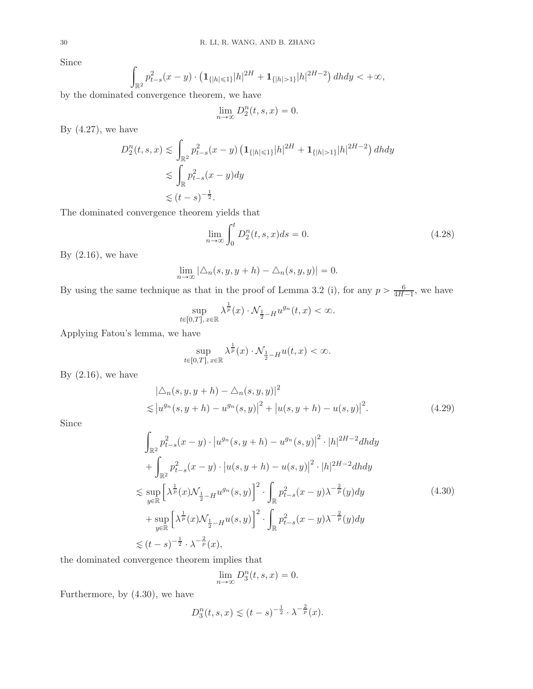Since

$$
\int_{\mathbb{R}^2} p_{t-s}^2(x-y) \cdot \left( \mathbf{1}_{\{|h| \le 1\}} |h|^{2H} + \mathbf{1}_{\{|h| > 1\}} |h|^{2H-2} \right) dh dy < +\infty,
$$

by the dominated convergence theorem, we have

$$
\lim_{n \to \infty} D_2^n(t, s, x) = 0.
$$

By  $(4.27)$ , we have

$$
D_2^n(t, s, x) \lesssim \int_{\mathbb{R}^2} p_{t-s}^2(x - y) \left( \mathbf{1}_{\{|h| \le 1\}} |h|^{2H} + \mathbf{1}_{\{|h| > 1\}} |h|^{2H - 2} \right) dh dy
$$
  

$$
\lesssim \int_{\mathbb{R}} p_{t-s}^2(x - y) dy
$$
  

$$
\lesssim (t - s)^{-\frac{1}{2}}.
$$

The dominated convergence theorem yields that

<span id="page-29-1"></span>
$$
\lim_{n \to \infty} \int_0^t D_2^n(t, s, x) ds = 0.
$$
\n(4.28)

By  $(2.16)$ , we have

$$
\lim_{n \to \infty} |\Delta_n(s, y, y + h) - \Delta_n(s, y, y)| = 0.
$$

By using the same technique as that in the proof of Lemma [3.2](#page-14-3) (i), for any  $p > \frac{6}{4H}$ .  $\frac{6}{4H-1}$ , we have

$$
\sup_{t\in[0,T],\,x\in\mathbb{R}}\lambda^{\frac{1}{p}}(x)\cdot \mathcal{N}_{\frac{1}{2}-H}u^{g_n}(t,x)<\infty.
$$

Applying Fatou's lemma, we have

$$
\sup_{t\in [0,T],\,x\in \mathbb{R}} \lambda^{\frac{1}{p}}(x)\cdot \mathcal{N}_{\frac{1}{2}-H}u(t,x)<\infty.
$$

By  $(2.16)$ , we have

$$
\left|\triangle_{n}(s, y, y+h) - \triangle_{n}(s, y, y)\right|^{2}
$$
  
\$\leq |u^{g\_{n}}(s, y+h) - u^{g\_{n}}(s, y)|^{2} + |u(s, y+h) - u(s, y)|^{2}\$. \qquad (4.29)

<span id="page-29-0"></span>Since

$$
\int_{\mathbb{R}^2} p_{t-s}^2(x-y) \cdot |u^{g_n}(s, y+h) - u^{g_n}(s, y)|^2 \cdot |h|^{2H-2} dh dy \n+ \int_{\mathbb{R}^2} p_{t-s}^2(x-y) \cdot |u(s, y+h) - u(s, y)|^2 \cdot |h|^{2H-2} dh dy \n\lesssim \sup_{y \in \mathbb{R}} \left[ \lambda^{\frac{1}{p}}(x) \mathcal{N}_{\frac{1}{2}-H} u^{g_n}(s, y) \right]^2 \cdot \int_{\mathbb{R}^2} p_{t-s}^2(x-y) \lambda^{-\frac{2}{p}}(y) dy \n+ \sup_{y \in \mathbb{R}} \left[ \lambda^{\frac{1}{p}}(x) \mathcal{N}_{\frac{1}{2}-H} u(s, y) \right]^2 \cdot \int_{\mathbb{R}^2} p_{t-s}^2(x-y) \lambda^{-\frac{2}{p}}(y) dy \n\lesssim (t-s)^{-\frac{1}{2}} \cdot \lambda^{-\frac{2}{p}}(x),
$$
\n(4.30)

the dominated convergence theorem implies that

$$
\lim_{n \to \infty} D_3^n(t, s, x) = 0.
$$

Furthermore, by [\(4.30\)](#page-29-0), we have

$$
D_3^n(t, s, x) \le (t - s)^{-\frac{1}{2}} \cdot \lambda^{-\frac{2}{p}}(x).
$$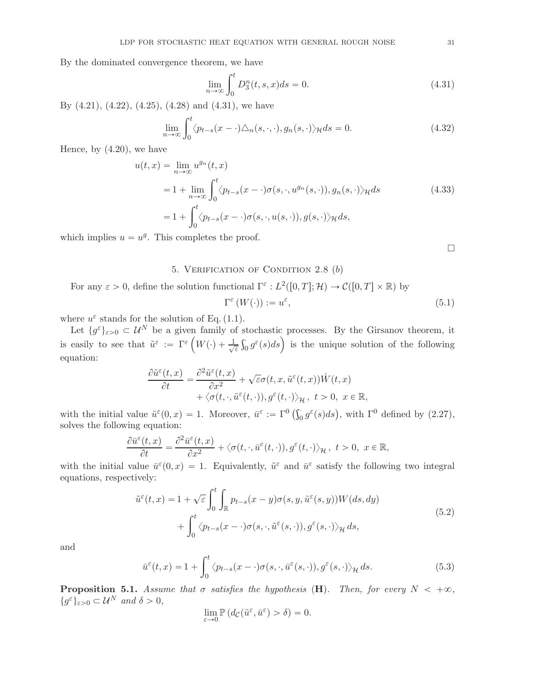By the dominated convergence theorem, we have

$$
\lim_{n \to \infty} \int_0^t D_3^n(t, s, x) ds = 0.
$$
\n(4.31)

By [\(4.21\)](#page-27-1), [\(4.22\)](#page-28-2), [\(4.25\)](#page-28-3), [\(4.28\)](#page-29-1) and [\(4.31\)](#page-30-2), we have

$$
\lim_{n \to \infty} \int_0^t \langle p_{t-s}(x - \cdot) \Delta_n(s, \cdot, \cdot), g_n(s, \cdot) \rangle_{\mathcal{H}} ds = 0.
$$
 (4.32)

Hence, by [\(4.20\)](#page-27-2), we have

$$
u(t,x) = \lim_{n \to \infty} u^{g_n}(t,x)
$$
  
= 1 +  $\lim_{n \to \infty} \int_0^t \langle p_{t-s}(x - \cdot) \sigma(s, \cdot, u^{g_n}(s, \cdot)), g_n(s, \cdot) \rangle_{\mathcal{H}} ds$   
= 1 +  $\int_0^t \langle p_{t-s}(x - \cdot) \sigma(s, \cdot, u(s, \cdot)), g(s, \cdot) \rangle_{\mathcal{H}} ds$ ,

<span id="page-30-0"></span>which implies  $u = u<sup>g</sup>$ . This completes the proof.

<span id="page-30-2"></span> $\Box$ 

## 5. VERIFICATION OF CONDITION  $2.8$  (b)

For any  $\varepsilon > 0$ , define the solution functional  $\Gamma^{\varepsilon}: L^2([0,T]; \mathcal{H}) \to \mathcal{C}([0,T] \times \mathbb{R})$  by

$$
\Gamma^{\varepsilon}(W(\cdot)) := u^{\varepsilon},\tag{5.1}
$$

where  $u^{\varepsilon}$  stands for the solution of Eq. [\(1.1\)](#page-0-1).

Let  $\{g^{\varepsilon}\}_{\varepsilon>0}\subset\mathcal{U}^N$  be a given family of stochastic processes. By the Girsanov theorem, it is easily to see that  $\tilde{u}^{\varepsilon} := \Gamma^{\varepsilon} \left( W(\cdot) + \frac{1}{\sqrt{\varepsilon}} \right)$  $\frac{1}{\varepsilon} \int_0^{\cdot} g^{\varepsilon}(s) ds$  is the unique solution of the following equation:

$$
\frac{\partial \tilde{u}^{\varepsilon}(t,x)}{\partial t} = \frac{\partial^2 \tilde{u}^{\varepsilon}(t,x)}{\partial x^2} + \sqrt{\varepsilon}\sigma(t,x,\tilde{u}^{\varepsilon}(t,x))\dot{W}(t,x) + \langle \sigma(t,\cdot,\tilde{u}^{\varepsilon}(t,\cdot)),g^{\varepsilon}(t,\cdot)\rangle_{\mathcal{H}}, \ t > 0, \ x \in \mathbb{R},
$$

with the initial value  $\tilde{u}^{\varepsilon}(0,x) = 1$ . Moreover,  $\bar{u}^{\varepsilon} := \Gamma^0\left(\int_0^{\infty} g^{\varepsilon}(s)ds\right)$ , with  $\Gamma^0$  defined by  $(2.27)$ , solves the following equation:

$$
\frac{\partial \bar{u}^{\varepsilon}(t,x)}{\partial t} = \frac{\partial^2 \bar{u}^{\varepsilon}(t,x)}{\partial x^2} + \langle \sigma(t,\cdot,\bar{u}^{\varepsilon}(t,\cdot)),g^{\varepsilon}(t,\cdot) \rangle_{\mathcal{H}}, t > 0, x \in \mathbb{R},
$$

with the initial value  $\bar{u}^{\varepsilon}(0,x) = 1$ . Equivalently,  $\tilde{u}^{\varepsilon}$  and  $\bar{u}^{\varepsilon}$  satisfy the following two integral equations, respectively:

$$
\tilde{u}^{\varepsilon}(t,x) = 1 + \sqrt{\varepsilon} \int_0^t \int_{\mathbb{R}} p_{t-s}(x-y)\sigma(s,y,\tilde{u}^{\varepsilon}(s,y))W(ds,dy) \n+ \int_0^t \langle p_{t-s}(x-\cdot)\sigma(s,\cdot,\tilde{u}^{\varepsilon}(s,\cdot)),g^{\varepsilon}(s,\cdot)\rangle_{\mathcal{H}} ds,
$$
\n(5.2)

<span id="page-30-3"></span>and

$$
\bar{u}^{\varepsilon}(t,x) = 1 + \int_0^t \langle p_{t-s}(x-\cdot)\sigma(s,\cdot,\bar{u}^{\varepsilon}(s,\cdot)),g^{\varepsilon}(s,\cdot)\rangle_{\mathcal{H}} ds.
$$
 (5.3)

<span id="page-30-1"></span>**Proposition 5.1.** Assume that  $\sigma$  satisfies the hypothesis (**H**). Then, for every  $N < +\infty$ ,  $\{g^{\varepsilon}\}_{\varepsilon>0} \subset \mathcal{U}^N$  and  $\delta > 0$ ,

<span id="page-30-4"></span>
$$
\lim_{\varepsilon \to 0} \mathbb{P}\left(d_{\mathcal{C}}(\tilde{u}^{\varepsilon}, \bar{u}^{\varepsilon}) > \delta\right) = 0.
$$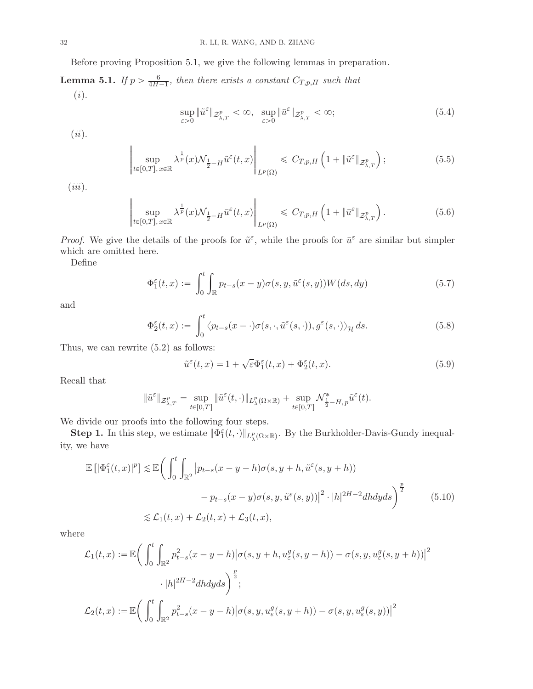Before proving Proposition [5.1,](#page-30-1) we give the following lemmas in preparation.

**Lemma 5.1.** If  $p > \frac{6}{4H-1}$ , then there exists a constant  $C_{T,p,H}$  such that (i).

<span id="page-31-2"></span>
$$
\sup_{\varepsilon>0} \|\tilde{u}^{\varepsilon}\|_{\mathcal{Z}_{\lambda,T}^p} < \infty, \quad \sup_{\varepsilon>0} \|\bar{u}^{\varepsilon}\|_{\mathcal{Z}_{\lambda,T}^p} < \infty; \tag{5.4}
$$

 $(ii).$ 

$$
\left\| \sup_{t \in [0,T], x \in \mathbb{R}} \lambda^{\frac{1}{p}}(x) \mathcal{N}_{\frac{1}{2} - H} \tilde{u}^{\varepsilon}(t,x) \right\|_{L^{p}(\Omega)} \leq C_{T,p,H} \left( 1 + \|\tilde{u}^{\varepsilon}\|_{\mathcal{Z}_{\lambda,T}^{p}} \right);
$$
\n(5.5)

 $(iii).$ 

$$
\sup_{t\in[0,T],\,x\in\mathbb{R}}\lambda^{\frac{1}{p}}(x)\mathcal{N}_{\frac{1}{2}-H}\bar{u}^{\varepsilon}(t,x)\Big\|_{L^{p}(\Omega)}\leqslant C_{T,p,H}\left(1+\|\bar{u}^{\varepsilon}\|_{\mathcal{Z}_{\lambda,T}^{p}}\right).
$$
\n(5.6)

*Proof.* We give the details of the proofs for  $\tilde{u}^{\varepsilon}$ , while the proofs for  $\bar{u}^{\varepsilon}$  are similar but simpler which are omitted here.

Define

$$
\Phi_1^{\varepsilon}(t,x) := \int_0^t \int_{\mathbb{R}} p_{t-s}(x-y)\sigma(s,y,\tilde{u}^{\varepsilon}(s,y))W(ds,dy) \tag{5.7}
$$

and

$$
\Phi_2^{\varepsilon}(t,x) := \int_0^t \langle p_{t-s}(x-\cdot)\sigma(s,\cdot,\tilde{u}^{\varepsilon}(s,\cdot)),g^{\varepsilon}(s,\cdot)\rangle_{\mathcal{H}} ds.
$$
\n(5.8)

Thus, we can rewrite [\(5.2\)](#page-30-3) as follows:

 $\parallel$  $\parallel$ || ||  $\parallel$ 

<span id="page-31-3"></span><span id="page-31-1"></span><span id="page-31-0"></span>
$$
\tilde{u}^{\varepsilon}(t,x) = 1 + \sqrt{\varepsilon} \Phi_1^{\varepsilon}(t,x) + \Phi_2^{\varepsilon}(t,x). \tag{5.9}
$$

Recall that

$$
\|\tilde{u}^{\varepsilon}\|_{\mathcal{Z}_{\lambda,T}^p} = \sup_{t\in[0,T]} \|\tilde{u}^{\varepsilon}(t,\cdot)\|_{L_{\lambda}^p(\Omega\times\mathbb{R})} + \sup_{t\in[0,T]} \mathcal{N}_{\frac{1}{2}-H,p}^*\tilde{u}^{\varepsilon}(t).
$$

We divide our proofs into the following four steps.

**Step 1.** In this step, we estimate  $\|\Phi_{1}^{\varepsilon}(t,\cdot)\|_{L_{\lambda}^{p}(\Omega\times\mathbb{R})}$ . By the Burkholder-Davis-Gundy inequality, we have

$$
\mathbb{E}\left[|\Phi_1^{\varepsilon}(t,x)|^p\right] \lesssim \mathbb{E}\left(\int_0^t \int_{\mathbb{R}^2} \left|p_{t-s}(x-y-h)\sigma(s,y+h,\tilde{u}^{\varepsilon}(s,y+h))\right.\right.\left.\left.-p_{t-s}(x-y)\sigma(s,y,\tilde{u}^{\varepsilon}(s,y))\right|^2 \cdot |h|^{2H-2}dhdyds\right)^{\frac{p}{2}} \qquad (5.10)
$$
\n
$$
\lesssim \mathcal{L}_1(t,x) + \mathcal{L}_2(t,x) + \mathcal{L}_3(t,x),
$$

where

$$
\mathcal{L}_1(t,x) := \mathbb{E}\bigg(\int_0^t \int_{\mathbb{R}^2} p_{t-s}^2(x-y-h)|\sigma(s,y+h,u_{\varepsilon}^g(s,y+h)) - \sigma(s,y,u_{\varepsilon}^g(s,y+h))|^2
$$

$$
\cdot |h|^{2H-2}dhdyds\bigg)^{\frac{p}{2}};
$$

$$
\mathcal{L}_2(t,x) := \mathbb{E}\bigg(\int_0^t \int_{\mathbb{R}^2} p_{t-s}^2(x-y-h)|\sigma(s,y,u_{\varepsilon}^g(s,y+h)) - \sigma(s,y,u_{\varepsilon}^g(s,y))|^2
$$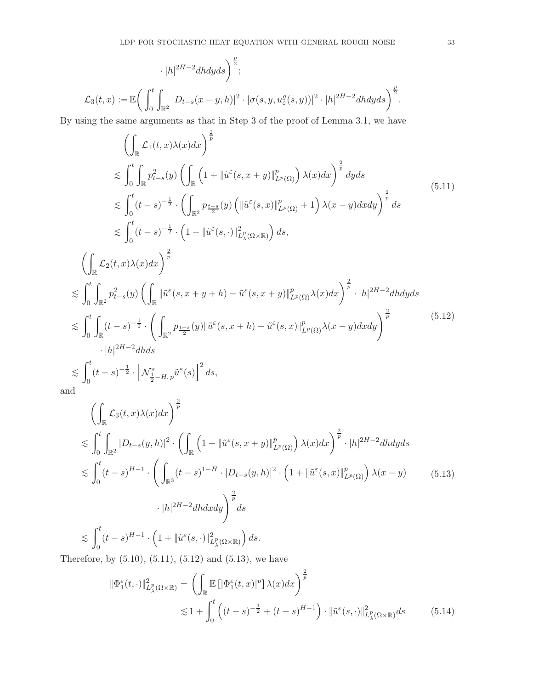$$
\cdot |h|^{2H-2}dhdyds\bigg)^{\frac{p}{2}};
$$
  

$$
\mathcal{L}_3(t,x) := \mathbb{E}\bigg(\int_0^t \int_{\mathbb{R}^2} |D_{t-s}(x-y,h)|^2 \cdot |\sigma(s,y,u_{\varepsilon}^g(s,y))|^2 \cdot |h|^{2H-2}dhdyds\bigg)^{\frac{p}{2}}.
$$

By using the same arguments as that in Step 3 of the proof of Lemma [3.1,](#page-7-5) we have

<span id="page-32-0"></span>
$$
\left(\int_{\mathbb{R}}\mathcal{L}_{1}(t,x)\lambda(x)dx\right)^{\frac{2}{p}}\n\lesssim \int_{0}^{t}\int_{\mathbb{R}}p_{t-s}^{2}(y)\left(\int_{\mathbb{R}}\left(1+\|\tilde{u}^{\varepsilon}(s,x+y)\|_{L^{p}(\Omega)}^{p}\right)\lambda(x)dx\right)^{\frac{2}{p}}dyds\n\lesssim \int_{0}^{t}(t-s)^{-\frac{1}{2}}\cdot\left(\int_{\mathbb{R}^{2}}p_{\frac{t-s}{2}}(y)\left(\|\tilde{u}^{\varepsilon}(s,x)\|_{L^{p}(\Omega)}^{p}+1\right)\lambda(x-y)dxdy\right)^{\frac{2}{p}}ds\n\lesssim \int_{0}^{t}(t-s)^{-\frac{1}{2}}\cdot\left(1+\|\tilde{u}^{\varepsilon}(s,\cdot)\|_{L^{p}_{\lambda}(\Omega\times\mathbb{R})}^{2}\right)ds,\n\left(\int_{\mathbb{R}}\mathcal{L}_{2}(t,x)\lambda(x)dx\right)^{\frac{2}{p}}\n\lesssim \int_{0}^{t}\int_{\mathbb{R}^{2}}p_{t-s}^{2}(y)\left(\int_{\mathbb{R}}\|\tilde{u}^{\varepsilon}(s,x+y+h)-\tilde{u}^{\varepsilon}(s,x+y)\|_{L^{p}(\Omega)}^{p}\lambda(x)dx\right)^{\frac{2}{p}}\cdot|h|^{2H-2}dhdyds\n\lesssim \int_{0}^{t}\int_{\mathbb{R}}(t-s)^{-\frac{1}{2}}\cdot\left(\int_{\mathbb{R}^{2}}p_{\frac{t-s}{2}}(y)\|\tilde{u}^{\varepsilon}(s,x+h)-\tilde{u}^{\varepsilon}(s,x)\|_{L^{p}(\Omega)}^{p}\lambda(x-y)dxdy\right)^{\frac{2}{p}}\n\cdot|h|^{2H-2}dhds\n\lesssim \int_{0}^{t}(t-s)^{-\frac{1}{2}}\cdot\left[\mathcal{N}_{\frac{1}{2}-H,\tilde{p}}^{*}\tilde{u}^{\varepsilon}(s)\right]^{2}ds,\nd
$$

<span id="page-32-1"></span>and

<span id="page-32-2"></span>
$$
\left(\int_{\mathbb{R}}\mathcal{L}_{3}(t,x)\lambda(x)dx\right)^{\frac{2}{p}}\n\lesssim \int_{0}^{t}\int_{\mathbb{R}^{2}}|D_{t-s}(y,h)|^{2}\cdot\left(\int_{\mathbb{R}}\left(1+\|\tilde{u}^{\varepsilon}(s,x+y)\|_{L^{p}(\Omega)}^{p}\right)\lambda(x)dx\right)^{\frac{2}{p}}\cdot|h|^{2H-2}dhdyds\n\lesssim \int_{0}^{t}(t-s)^{H-1}\cdot\left(\int_{\mathbb{R}^{3}}(t-s)^{1-H}\cdot|D_{t-s}(y,h)|^{2}\cdot\left(1+\|\tilde{u}^{\varepsilon}(s,x)\|_{L^{p}(\Omega)}^{p}\right)\lambda(x-y)\right)\cdot|h|^{2H-2}dhdxdy\right)^{\frac{2}{p}}ds\n\lesssim \int_{0}^{t}(t-s)^{H-1}\cdot\left(1+\|\tilde{u}^{\varepsilon}(s,\cdot)\|_{L^{p}_{\lambda}(\Omega\times\mathbb{R})}^{2}\right)ds.
$$
\n(5.13)

Therefore, by  $(5.10)$ ,  $(5.11)$ ,  $(5.12)$  and  $(5.13)$ , we have

<span id="page-32-3"></span>
$$
\begin{split} \|\Phi_1^{\varepsilon}(t,\cdot)\|_{L^p_{\lambda}(\Omega\times\mathbb{R})}^2 &= \left(\int_{\mathbb{R}} \mathbb{E}\left[\left|\Phi_1^{\varepsilon}(t,x)|^p\right]\lambda(x)dx\right)^{\frac{2}{p}} \\ &\lesssim 1 + \int_0^t \left((t-s)^{-\frac{1}{2}} + (t-s)^{H-1}\right) \cdot \|\tilde{u}^{\varepsilon}(s,\cdot)\|_{L^p_{\lambda}(\Omega\times\mathbb{R})}^2 ds \end{split} \tag{5.14}
$$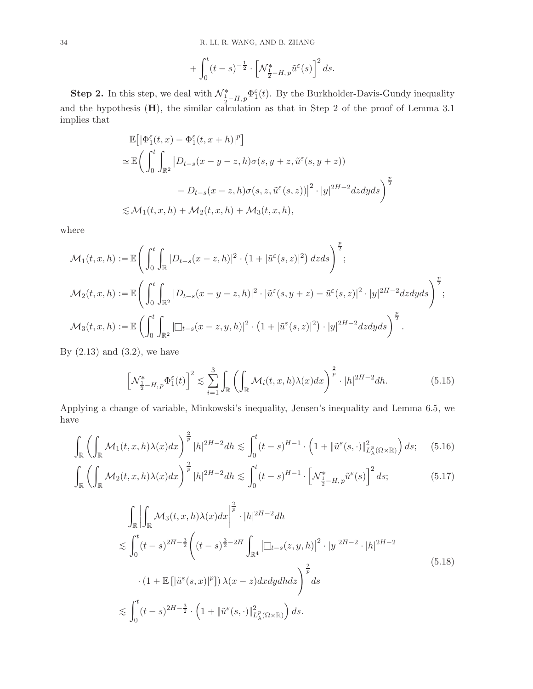$$
+ \int_0^t (t-s)^{-\frac12} \cdot \left[ \mathcal{N}^*_{\frac12 - H,\, p} \tilde u^\varepsilon(s) \right]^2 ds.
$$

**Step 2.** In this step, we deal with  $\mathcal{N}_{\frac{1}{2}-H,p}^* \Phi_1^{\varepsilon}(t)$ . By the Burkholder-Davis-Gundy inequality and the hypothesis  $(H)$ , the similar calculation as that in Step 2 of the proof of Lemma [3.1](#page-7-5) implies that

$$
\mathbb{E}\Big[\big|\Phi_1^\varepsilon(t,x)-\Phi_1^\varepsilon(t,x+h)|^p\Big]
$$
  
\n
$$
\simeq \mathbb{E}\Big(\int_0^t\int_{\mathbb{R}^2}\big|D_{t-s}(x-y-z,h)\sigma(s,y+z,\tilde{u}^\varepsilon(s,y+z))
$$
  
\n
$$
\qquad -D_{t-s}(x-z,h)\sigma(s,z,\tilde{u}^\varepsilon(s,z))\big|^2\cdot|y|^{2H-2}dzdyds\Big)^{\frac{p}{2}}
$$
  
\n
$$
\lesssim \mathcal{M}_1(t,x,h)+\mathcal{M}_2(t,x,h)+\mathcal{M}_3(t,x,h),
$$

where

$$
\mathcal{M}_1(t, x, h) := \mathbb{E}\Bigg(\int_0^t \int_{\mathbb{R}} |D_{t-s}(x-z, h)|^2 \cdot (1+|\tilde{u}^{\varepsilon}(s, z)|^2) dz ds\Bigg)^{\frac{p}{2}},
$$
  

$$
\mathcal{M}_2(t, x, h) := \mathbb{E}\Bigg(\int_0^t \int_{\mathbb{R}^2} |D_{t-s}(x-y-z, h)|^2 \cdot |\tilde{u}^{\varepsilon}(s, y+z) - \tilde{u}^{\varepsilon}(s, z)|^2 \cdot |y|^{2H-2} dz dy ds\Bigg)^{\frac{p}{2}},
$$
  

$$
\mathcal{M}_3(t, x, h) := \mathbb{E}\left(\int_0^t \int_{\mathbb{R}^2} |\Box_{t-s}(x-z, y, h)|^2 \cdot (1+|\tilde{u}^{\varepsilon}(s, z)|^2) \cdot |y|^{2H-2} dz dy ds\right)^{\frac{p}{2}}.
$$

By  $(2.13)$  and  $(3.2)$ , we have

<span id="page-33-1"></span><span id="page-33-0"></span>
$$
\left[\mathcal{N}_{\frac{1}{2}-H,p}^{*}\Phi_{1}^{\varepsilon}(t)\right]^{2} \lesssim \sum_{i=1}^{3} \int_{\mathbb{R}} \left(\int_{\mathbb{R}} \mathcal{M}_{i}(t,x,h)\lambda(x)dx\right)^{\frac{2}{p}} \cdot |h|^{2H-2} dh. \tag{5.15}
$$

Applying a change of variable, Minkowski's inequality, Jensen's inequality and Lemma [6.5,](#page-45-0) we have

$$
\int_{\mathbb{R}} \left( \int_{\mathbb{R}} \mathcal{M}_1(t, x, h) \lambda(x) dx \right)^{\frac{2}{p}} |h|^{2H-2} dh \lesssim \int_0^t (t-s)^{H-1} \cdot \left( 1 + \|\tilde{u}^{\varepsilon}(s, \cdot)\|_{L^p_{\lambda}(\Omega \times \mathbb{R})}^2 \right) ds; \quad (5.16)
$$

$$
\int_{\mathbb{R}} \left( \int_{\mathbb{R}} \mathcal{M}_2(t, x, h) \lambda(x) dx \right)^{\frac{2}{p}} |h|^{2H-2} dh \lesssim \int_0^t (t-s)^{H-1} \cdot \left[ \mathcal{N}_{\frac{1}{2}-H, p}^* \tilde{u}^\varepsilon(s) \right]^2 ds; \tag{5.17}
$$

<span id="page-33-2"></span>
$$
\int_{\mathbb{R}} \left| \int_{\mathbb{R}} \mathcal{M}_{3}(t, x, h) \lambda(x) dx \right|^{2} \left| \int_{\mathbb{R}} \cdot |h|^{2H-2} dh \right|
$$
\n
$$
\lesssim \int_{0}^{t} (t-s)^{2H-2} \left( (t-s)^{\frac{3}{2}-2H} \int_{\mathbb{R}^{4}} \left| \Box_{t-s}(z, y, h) \right|^{2} \cdot |y|^{2H-2} \cdot |h|^{2H-2} \right|
$$
\n
$$
\cdot (1 + \mathbb{E} \left[ |\tilde{u}^{\varepsilon}(s, x)|^{p} \right] ) \lambda(x-z) dx dy dh dz \Bigg)^{\frac{2}{p}} ds
$$
\n
$$
\lesssim \int_{0}^{t} (t-s)^{2H-2} \cdot \left( 1 + ||\tilde{u}^{\varepsilon}(s, \cdot)||^{2}_{L^{p}_{\lambda}(\Omega \times \mathbb{R})} \right) ds.
$$
\n(5.18)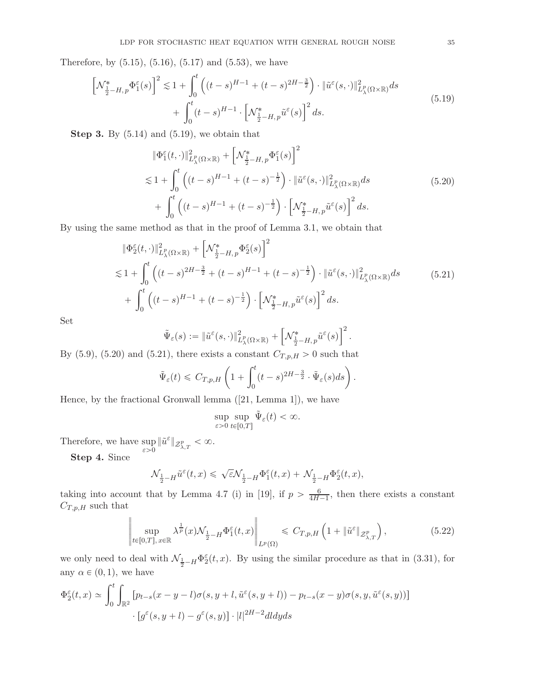<span id="page-34-0"></span>Therefore, by  $(5.15)$ ,  $(5.16)$ ,  $(5.17)$  and  $(5.53)$ , we have

$$
\[\mathcal{N}_{\frac{1}{2}-H,p}^{*}\Phi_{1}^{\varepsilon}(s)\]^{2} \lesssim 1 + \int_{0}^{t} \left( (t-s)^{H-1} + (t-s)^{2H-\frac{3}{2}} \right) \cdot \|\tilde{u}^{\varepsilon}(s,\cdot)\|_{L_{\lambda}^{p}(\Omega \times \mathbb{R})}^{2} ds + \int_{0}^{t} (t-s)^{H-1} \cdot \left[ \mathcal{N}_{\frac{1}{2}-H,p}^{*}\tilde{u}^{\varepsilon}(s)\right]^{2} ds.
$$
\n(5.19)

**Step 3.** By  $(5.14)$  and  $(5.19)$ , we obtain that

$$
\begin{split} &\|\Phi_{1}^{\varepsilon}(t,\cdot)\|_{L_{\lambda}^{p}(\Omega\times\mathbb{R})}^{2}+\left[\mathcal{N}_{\frac{1}{2}-H,p}^{*}\Phi_{1}^{\varepsilon}(s)\right]^{2} \\ &\lesssim 1+\int_{0}^{t}\left((t-s)^{H-1}+(t-s)^{-\frac{1}{2}}\right)\cdot\|\tilde{u}^{\varepsilon}(s,\cdot)\|_{L_{\lambda}^{p}(\Omega\times\mathbb{R})}^{2}ds \\ &+\int_{0}^{t}\left((t-s)^{H-1}+(t-s)^{-\frac{1}{2}}\right)\cdot\left[\mathcal{N}_{\frac{1}{2}-H,p}^{*}\tilde{u}^{\varepsilon}(s)\right]^{2}ds. \end{split} \tag{5.20}
$$

<span id="page-34-2"></span><span id="page-34-1"></span>By using the same method as that in the proof of Lemma [3.1,](#page-7-5) we obtain that

$$
\begin{split}\n&\|\Phi_{2}^{\varepsilon}(t,\cdot)\|_{L_{\lambda}^{p}(\Omega\times\mathbb{R})}^{2} + \left[\mathcal{N}_{\frac{1}{2}-H,\,p}^{*}\Phi_{2}^{\varepsilon}(s)\right]^{2} \\
&\lesssim 1 + \int_{0}^{t} \left( (t-s)^{2H-\frac{3}{2}} + (t-s)^{H-1} + (t-s)^{-\frac{1}{2}} \right) \cdot \|\tilde{u}^{\varepsilon}(s,\cdot)\|_{L_{\lambda}^{p}(\Omega\times\mathbb{R})}^{2} ds \\
&+ \int_{0}^{t} \left( (t-s)^{H-1} + (t-s)^{-\frac{1}{2}} \right) \cdot \left[\mathcal{N}_{\frac{1}{2}-H,\,p}^{*}\tilde{u}^{\varepsilon}(s)\right]^{2} ds.\n\end{split} \tag{5.21}
$$

Set

$$
\tilde{\Psi}_{\varepsilon}(s) := \|\tilde{u}^{\varepsilon}(s,\cdot)\|_{L_{\lambda}^{p}(\Omega\times\mathbb{R})}^{2} + \left[\mathcal{N}^{*}_{\frac{1}{2}-H,p}\tilde{u}^{\varepsilon}(s)\right]^{2}.
$$

By  $(5.9)$ ,  $(5.20)$  and  $(5.21)$ , there exists a constant  $C_{T,p,H} > 0$  such that

$$
\tilde{\Psi}_{\varepsilon}(t) \leq C_{T,p,H}\left(1 + \int_0^t (t-s)^{2H-\frac{3}{2}} \cdot \tilde{\Psi}_{\varepsilon}(s)ds\right).
$$

Hence, by the fractional Gronwall lemma([\[21](#page-46-19), Lemma 1]), we have

$$
\sup_{\varepsilon>0}\sup_{t\in[0,T]}\tilde{\Psi}_{\varepsilon}(t)<\infty.
$$

Therefore, we have sup  $\sup_{\varepsilon>0} \|\tilde{u}^{\varepsilon}\|_{\mathcal{Z}_{\lambda,T}^p} < \infty.$ 

> $\parallel$  $\parallel$  $\parallel$  $\parallel$  $\parallel$

Step 4. Since

$$
\mathcal{N}_{\frac{1}{2}-H}\tilde{u}^\varepsilon(t,x)\leqslant \sqrt{\varepsilon}\mathcal{N}_{\frac{1}{2}-H}\Phi_1^\varepsilon(t,x)+\mathcal{N}_{\frac{1}{2}-H}\Phi_2^\varepsilon(t,x),
$$

taking into account that by Lemma 4.7 (i) in [\[19\]](#page-46-6), if  $p > \frac{6}{4H-1}$ , then there exists a constant  $C_{T,p,H}$  such that

$$
\sup_{t\in[0,T],x\in\mathbb{R}}\lambda^{\frac{1}{p}}(x)\mathcal{N}_{\frac{1}{2}-H}\Phi_1^{\varepsilon}(t,x)\Big\|_{L^p(\Omega)}\leqslant C_{T,p,H}\left(1+\|\tilde{u}^{\varepsilon}\|_{\mathcal{Z}_{\lambda,T}^p}\right),\tag{5.22}
$$

we only need to deal with  $\mathcal{N}_{\frac{1}{2}-H}\Phi_2^{\varepsilon}(t,x)$ . By using the similar procedure as that in [\(3.31\)](#page-15-0), for any  $\alpha \in (0, 1)$ , we have

$$
\Phi_2^{\varepsilon}(t,x) \simeq \int_0^t \int_{\mathbb{R}^2} \left[ p_{t-s}(x-y-l)\sigma(s,y+l,\tilde{u}^{\varepsilon}(s,y+l)) - p_{t-s}(x-y)\sigma(s,y,\tilde{u}^{\varepsilon}(s,y)) \right] \cdot \left[ g^{\varepsilon}(s,y+l) - g^{\varepsilon}(s,y) \right] \cdot |l|^{2H-2} dl dy ds
$$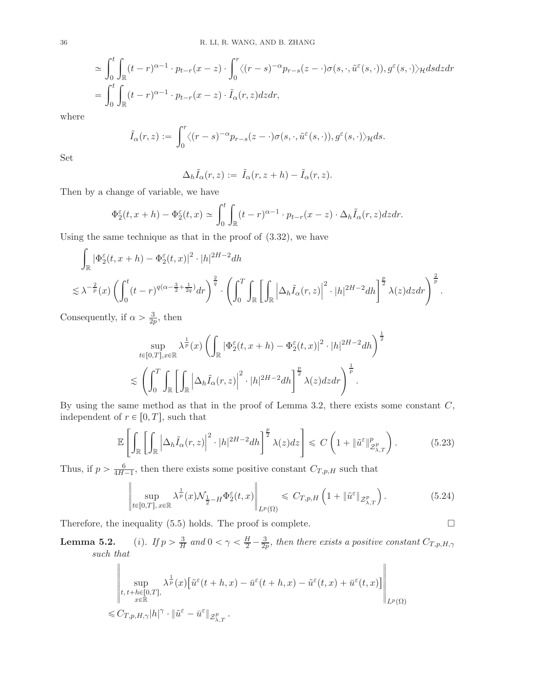$$
\approx \int_0^t \int_{\mathbb{R}} (t-r)^{\alpha-1} \cdot p_{t-r}(x-z) \cdot \int_0^r \langle (r-s)^{-\alpha} p_{r-s}(z-\cdot) \sigma(s,\cdot,\tilde{u}^{\varepsilon}(s,\cdot)), g^{\varepsilon}(s,\cdot) \rangle_{\mathcal{H}} ds dz dr \n= \int_0^t \int_{\mathbb{R}} (t-r)^{\alpha-1} \cdot p_{t-r}(x-z) \cdot \tilde{I}_{\alpha}(r,z) dz dr,
$$

where

$$
\tilde{I}_{\alpha}(r, z) := \int_0^r \langle (r - s)^{-\alpha} p_{r - s}(z - \cdot) \sigma(s, \cdot, \tilde{u}^{\varepsilon}(s, \cdot)), g^{\varepsilon}(s, \cdot) \rangle_{\mathcal{H}} ds.
$$

Set

$$
\Delta_h \tilde{I}_{\alpha}(r, z) := \tilde{I}_{\alpha}(r, z + h) - \tilde{I}_{\alpha}(r, z).
$$

Then by a change of variable, we have

$$
\Phi_2^{\varepsilon}(t, x + h) - \Phi_2^{\varepsilon}(t, x) \simeq \int_0^t \int_{\mathbb{R}} (t - r)^{\alpha - 1} \cdot p_{t - r}(x - z) \cdot \Delta_h \tilde{I}_{\alpha}(r, z) dz dr.
$$

Using the same technique as that in the proof of  $(3.32)$ , we have

$$
\int_{\mathbb{R}} |\Phi_2^{\varepsilon}(t, x + h) - \Phi_2^{\varepsilon}(t, x)|^2 \cdot |h|^{2H-2} dh
$$
\n
$$
\lesssim \lambda^{-\frac{2}{p}}(x) \left( \int_0^t (t-r)^{q(\alpha - \frac{3}{2} + \frac{1}{2q})} dr \right)^{\frac{2}{q}} \cdot \left( \int_0^T \int_{\mathbb{R}} \left[ \int_{\mathbb{R}} \left| \Delta_h \tilde{I}_{\alpha}(r, z) \right|^2 \cdot |h|^{2H-2} dh \right]^{\frac{p}{2}} \lambda(z) dz dr \right)^{\frac{2}{p}}.
$$

Consequently, if  $\alpha > \frac{3}{2p}$  $\frac{3}{2p}$ , then

› › › › ›

$$
\sup_{t\in[0,T],x\in\mathbb{R}} \lambda^{\frac{1}{p}}(x) \left( \int_{\mathbb{R}} |\Phi_2^{\varepsilon}(t,x+h) - \Phi_2^{\varepsilon}(t,x)|^2 \cdot |h|^{2H-2} dh \right)^{\frac{1}{2}}
$$
  

$$
\lesssim \left( \int_0^T \int_{\mathbb{R}} \left[ \int_{\mathbb{R}} |\Delta_h \tilde{I}_{\alpha}(r,z)|^2 \cdot |h|^{2H-2} dh \right]^{\frac{p}{2}} \lambda(z) dz dr \right)^{\frac{1}{p}}.
$$

By using the same method as that in the proof of Lemma [3.2,](#page-14-3) there exists some constant  $C$ , independent of  $r \in [0, T]$ , such that

$$
\mathbb{E}\left[\int_{\mathbb{R}}\left[\int_{\mathbb{R}}\left|\Delta_{h}\tilde{I}_{\alpha}(r,z)\right|^{2}\cdot|h|^{2H-2}dh\right]^{\frac{p}{2}}\lambda(z)dz\right] \leq C\left(1+\|\tilde{u}^{\varepsilon}\|_{\mathcal{Z}_{\lambda,T}^{p}}^{p}\right).
$$
(5.23)

Thus, if  $p > \frac{6}{4H}$ .  $\frac{6}{4H-1}$ , then there exists some positive constant  $C_{T,p,H}$  such that

$$
\sup_{t\in[0,T],x\in\mathbb{R}}\lambda^{\frac{1}{p}}(x)\mathcal{N}_{\frac{1}{2}-H}\Phi_2^{\varepsilon}(t,x)\Big\|_{L^p(\Omega)}\leqslant C_{T,p,H}\left(1+\|\tilde{u}^{\varepsilon}\|_{\mathcal{Z}_{\lambda,T}^p}\right). \tag{5.24}
$$

Therefore, the inequality  $(5.5)$  holds. The proof is complete.  $\Box$ 

**Lemma 5.2.** (i). If  $p > \frac{3}{H}$  and  $0 < \gamma < \frac{H}{2} - \frac{3}{2p}$ , then there exists a positive constant  $C_{T,p,H,\gamma}$ such that

$$
\begin{aligned}\n\left\| \sup_{\substack{t, t+h \in [0,T], \\ x \in \mathbb{R}}} \lambda^{\frac{1}{p}}(x) \left[ \tilde{u}^{\varepsilon}(t+h,x) - \bar{u}^{\varepsilon}(t+h,x) - \tilde{u}^{\varepsilon}(t,x) + \bar{u}^{\varepsilon}(t,x) \right] \right\|_{L^{p}(\Omega)} \\
\leq C_{T,p,H,\gamma} |h|^{\gamma} \cdot \|\tilde{u}^{\varepsilon} - \bar{u}^{\varepsilon}\|_{\mathcal{Z}_{\lambda,T}^{p}}.\n\end{aligned}
$$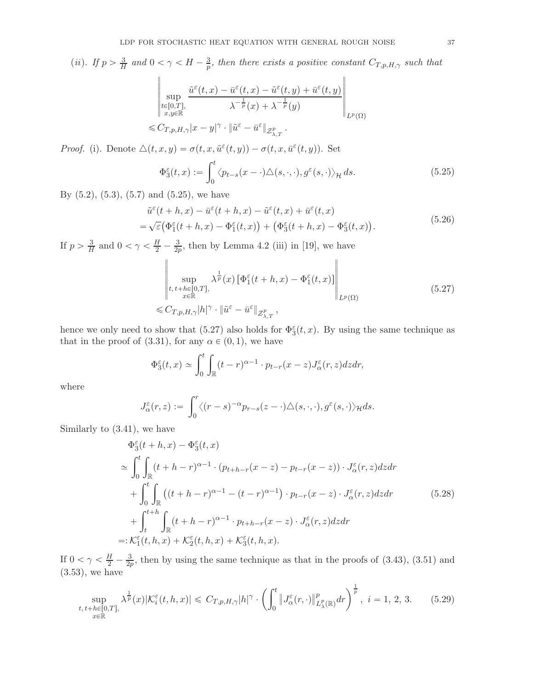(ii). If  $p > \frac{3}{H}$  and  $0 < \gamma < H - \frac{3}{p}$ , then there exists a positive constant  $C_{T,p,H,\gamma}$  such that

$$
\begin{aligned}\n\left\| \sup_{\substack{t \in [0,T], \\ x,y \in \mathbb{R}}} \frac{\tilde{u}^{\varepsilon}(t,x) - \bar{u}^{\varepsilon}(t,x) - \tilde{u}^{\varepsilon}(t,y) + \bar{u}^{\varepsilon}(t,y)}{\lambda^{-\frac{1}{p}}(x) + \lambda^{-\frac{1}{p}}(y)} \right\|_{L^{p}(\Omega)} \\
\leq C_{T,p,H,\gamma}|x-y|^{\gamma} \cdot \|\tilde{u}^{\varepsilon} - \bar{u}^{\varepsilon}\|_{\mathcal{Z}_{\lambda,T}^{p}}.\n\end{aligned}
$$

<span id="page-36-0"></span>Proof. (i). Denote  $\Delta(t, x, y) = \sigma(t, x, \tilde{u}^{\varepsilon}(t, y)) - \sigma(t, x, \bar{u}^{\varepsilon}(t, y))$ . Set

$$
\Phi_3^{\varepsilon}(t,x) := \int_0^t \langle p_{t-s}(x-\cdot)\Delta(s,\cdot,\cdot), g^{\varepsilon}(s,\cdot) \rangle_{\mathcal{H}} ds.
$$
\n(5.25)

<span id="page-36-4"></span>By  $(5.2)$ ,  $(5.3)$ ,  $(5.7)$  and  $(5.25)$ , we have

$$
\tilde{u}^{\varepsilon}(t+h,x) - \bar{u}^{\varepsilon}(t+h,x) - \tilde{u}^{\varepsilon}(t,x) + \bar{u}^{\varepsilon}(t,x) \n= \sqrt{\varepsilon} \big( \Phi_1^{\varepsilon}(t+h,x) - \Phi_1^{\varepsilon}(t,x) \big) + \big( \Phi_3^{\varepsilon}(t+h,x) - \Phi_3^{\varepsilon}(t,x) \big).
$$
\n(5.26)

If  $p > \frac{3}{H}$  $\frac{3}{H}$  and  $0 < \gamma < \frac{H}{2} - \frac{3}{2p}$  $\frac{3}{2p}$ , then by Lemma 4.2 (iii) in [\[19\]](#page-46-6), we have <u>.</u> sup  $t, t+h \in [0,T],$ <br> $x \in \mathbb{R}$  $\lambda^{\frac{1}{p}}(x)\left[\Phi_{1}^{\varepsilon}(t+h,x)-\Phi_{1}^{\varepsilon}(t,x)\right]$  $\Bigg\Vert_{L^p(\Omega)}$ 

 $\leqslant C_{T,p,H,\gamma}|h|^\gamma\cdot \|\tilde{u}^\varepsilon-\bar{u}^\varepsilon\|_{\mathcal{Z}_{\lambda,T}^p},$ 

<span id="page-36-1"></span>hence we only need to show that (5.27) also holds for 
$$
\Phi_3^{\varepsilon}(t, x)
$$
. By using the same technique as that in the proof of (3.31), for any  $\alpha \in (0, 1)$ , we have

$$
\Phi_3^{\varepsilon}(t,x) \simeq \int_0^t \int_{\mathbb{R}} (t-r)^{\alpha-1} \cdot p_{t-r}(x-z) J_{\alpha}^{\varepsilon}(r,z) dz dr,
$$

where

$$
J_{\alpha}^{\varepsilon}(r,z) := \int_0^r \langle (r-s)^{-\alpha} p_{r-s}(z-\cdot)\triangle(s,\cdot,\cdot), g^{\varepsilon}(s,\cdot) \rangle_{\mathcal{H}} ds.
$$

<span id="page-36-2"></span>Similarly to [\(3.41\)](#page-17-5), we have

$$
\Phi_{3}^{\varepsilon}(t+h,x) - \Phi_{3}^{\varepsilon}(t,x)
$$
\n
$$
\simeq \int_{0}^{t} \int_{\mathbb{R}} (t+h-r)^{\alpha-1} \cdot (p_{t+h-r}(x-z) - p_{t-r}(x-z)) \cdot J_{\alpha}^{\varepsilon}(r,z) dz dr
$$
\n
$$
+ \int_{0}^{t} \int_{\mathbb{R}} \left( (t+h-r)^{\alpha-1} - (t-r)^{\alpha-1} \right) \cdot p_{t-r}(x-z) \cdot J_{\alpha}^{\varepsilon}(r,z) dz dr
$$
\n
$$
+ \int_{t}^{t+h} \int_{\mathbb{R}} (t+h-r)^{\alpha-1} \cdot p_{t+h-r}(x-z) \cdot J_{\alpha}^{\varepsilon}(r,z) dz dr
$$
\n
$$
=: \mathcal{K}_{1}^{\varepsilon}(t,h,x) + \mathcal{K}_{2}^{\varepsilon}(t,h,x) + \mathcal{K}_{3}^{\varepsilon}(t,h,x).
$$
\n(5.28)

If  $0 < \gamma < \frac{H}{2} - \frac{3}{2p}$  $\frac{3}{2p}$ , then by using the same technique as that in the proofs of  $(3.43)$ ,  $(3.51)$  and [\(3.53\)](#page-20-4), we have

$$
\sup_{\substack{t,\,t+h\in[0,T],\\x\in\mathbb{R}}} \lambda^{\frac{1}{p}}(x)|\mathcal{K}_i^{\varepsilon}(t,h,x)| \leq C_{T,p,H,\gamma}|h|^{\gamma} \cdot \left(\int_0^t \left\|J_{\alpha}^{\varepsilon}(r,\cdot)\right\|_{L_{\lambda}^p(\mathbb{R})}^p dr\right)^{\frac{1}{p}},\ i=1,\,2,\,3. \tag{5.29}
$$

<span id="page-36-3"></span>(5.27)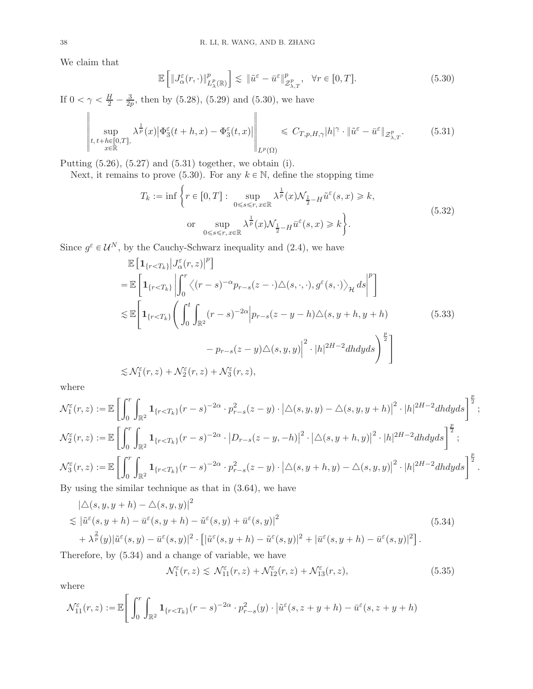We claim that

<span id="page-37-1"></span><span id="page-37-0"></span>
$$
\mathbb{E}\left[\|J_{\alpha}^{\varepsilon}(r,\cdot)\|_{L_{\lambda}^{p}(\mathbb{R})}^{p}\right] \lesssim \|\tilde{u}^{\varepsilon}-\bar{u}^{\varepsilon}\|_{\mathcal{Z}_{\lambda,T}^{p}}^{p}, \quad \forall r \in [0,T].
$$
\n(5.30)

If  $0 < \gamma < \frac{H}{2} - \frac{3}{2p}$  $\frac{3}{2p}$ , then by [\(5.28\)](#page-36-2), [\(5.29\)](#page-36-3) and [\(5.30\)](#page-37-0), we have

$$
\left\| \sup_{\substack{t, t+h \in [0,T],\\x \in \mathbb{R}}} \lambda^{\frac{1}{p}}(x) \left| \Phi_3^{\varepsilon}(t+h,x) - \Phi_3^{\varepsilon}(t,x) \right| \right\|_{L^p(\Omega)} \leq C_{T,p,H,\gamma} |h|^{\gamma} \cdot \|\tilde{u}^{\varepsilon} - \bar{u}^{\varepsilon}\|_{\mathcal{Z}^p_{\lambda,T}}.
$$
(5.31)

Putting [\(5.26\)](#page-36-4), [\(5.27\)](#page-36-1) and [\(5.31\)](#page-37-1) together, we obtain (i).

Next, it remains to prove [\(5.30\)](#page-37-0). For any  $k \in \mathbb{N}$ , define the stopping time

<span id="page-37-4"></span>
$$
T_k := \inf \left\{ r \in [0, T] : \sup_{0 \le s \le r, x \in \mathbb{R}} \lambda^{\frac{1}{p}}(x) \mathcal{N}_{\frac{1}{2} - H} \tilde{u}^{\varepsilon}(s, x) \ge k, \right\}
$$
  
or 
$$
\sup_{0 \le s \le r, x \in \mathbb{R}} \lambda^{\frac{1}{p}}(x) \mathcal{N}_{\frac{1}{2} - H} \bar{u}^{\varepsilon}(s, x) \ge k \left\}.
$$
 (5.32)

<span id="page-37-5"></span>Since  $g^{\varepsilon} \in \mathcal{U}^{N}$ , by the Cauchy-Schwarz inequality and [\(2.4\)](#page-3-1), we have

$$
\mathbb{E}\left[\mathbf{1}_{\{r\n
$$
= \mathbb{E}\left[\mathbf{1}_{\{r\n
$$
\lesssim \mathbb{E}\left[\mathbf{1}_{\{r\n
$$
\lesssim \mathcal{N}_{1}^{\varepsilon}(r,z) + \mathcal{N}_{2}^{\varepsilon}(r,z) + \mathcal{N}_{3}^{\varepsilon}(r,z), \qquad (5.33)
$$
$$
$$
$$

where

$$
\mathcal{N}_{1}^{\varepsilon}(r,z) := \mathbb{E}\left[\int_{0}^{r}\int_{\mathbb{R}^{2}}\mathbf{1}_{\{r\n
$$
\mathcal{N}_{2}^{\varepsilon}(r,z) := \mathbb{E}\left[\int_{0}^{r}\int_{\mathbb{R}^{2}}\mathbf{1}_{\{r\n
$$
\mathcal{N}_{3}^{\varepsilon}(r,z) := \mathbb{E}\left[\int_{0}^{r}\int_{\mathbb{R}^{2}}\mathbf{1}_{\{r\nBy using the similar technique, as that in (3.64), we have
$$
$$
$$

By using the similar technique as that in [\(3.64\)](#page-22-4), we have

<span id="page-37-2"></span>
$$
\begin{split}\n|\triangle(s, y, y+h) - \triangle(s, y, y)|^2 \\
&\lesssim |\tilde{u}^{\varepsilon}(s, y+h) - \bar{u}^{\varepsilon}(s, y+h) - \tilde{u}^{\varepsilon}(s, y) + \bar{u}^{\varepsilon}(s, y)|^2 \\
&\quad + \lambda^{\frac{2}{p}}(y)|\tilde{u}^{\varepsilon}(s, y) - \bar{u}^{\varepsilon}(s, y)|^2 \cdot \left[|\tilde{u}^{\varepsilon}(s, y+h) - \tilde{u}^{\varepsilon}(s, y)|^2 + |\bar{u}^{\varepsilon}(s, y+h) - \bar{u}^{\varepsilon}(s, y)|^2\right].\n\end{split} \tag{5.34}
$$

Therefore, by [\(5.34\)](#page-37-2) and a change of variable, we have

<span id="page-37-3"></span>
$$
\mathcal{N}_1^{\varepsilon}(r,z) \lesssim \mathcal{N}_{11}^{\varepsilon}(r,z) + \mathcal{N}_{12}^{\varepsilon}(r,z) + \mathcal{N}_{13}^{\varepsilon}(r,z),\tag{5.35}
$$

where

$$
\mathcal{N}_{11}^{\varepsilon}(r,z) := \mathbb{E}\Bigg[\int_0^r \int_{\mathbb{R}^2} \mathbf{1}_{\{r < T_k\}}(r-s)^{-2\alpha} \cdot p_{r-s}^2(y) \cdot \left|\tilde{u}^{\varepsilon}(s,z+y+h) - \bar{u}^{\varepsilon}(s,z+y+h)\right| \Bigg]
$$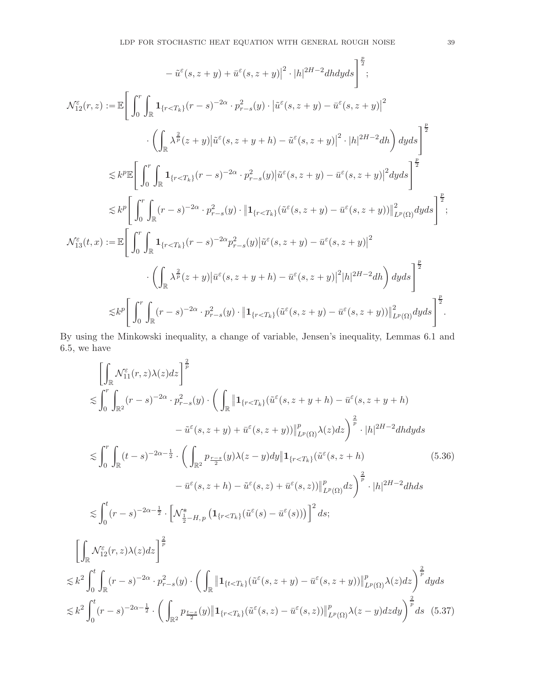$$
-\tilde{u}^{\varepsilon}(s, z+y) + \bar{u}^{\varepsilon}(s, z+y)|^{2} \cdot |h|^{2H-2}dhdyds \Big]_{\tilde{z}}^{\frac{p}{2}};
$$
\n
$$
\mathcal{N}_{12}^{\varepsilon}(r, z) := \mathbb{E}\Bigg[\int_{0}^{r} \int_{\mathbb{R}} \mathbf{1}_{\{r < T_{k}\}}(r-s)^{-2\alpha} \cdot p_{r-s}^{2}(y) \cdot |\tilde{u}^{\varepsilon}(s, z+y) - \bar{u}^{\varepsilon}(s, z+y)|^{2} \cdot \left(\int_{\mathbb{R}} \lambda^{\frac{2}{\mu}}(z+y)|\tilde{u}^{\varepsilon}(s, z+y+h) - \tilde{u}^{\varepsilon}(s, z+y)|^{2} \cdot |h|^{2H-2}dh\right)dyds \Bigg]^{\frac{p}{2}}\Bigg]
$$
\n
$$
\lesssim k^{p} \mathbb{E}\Bigg[\int_{0}^{r} \int_{\mathbb{R}} \mathbf{1}_{\{r < T_{k}\}}(r-s)^{-2\alpha} \cdot p_{r-s}^{2}(y)|\tilde{u}^{\varepsilon}(s, z+y) - \bar{u}^{\varepsilon}(s, z+y)|^{2}dyds \Bigg]^{\frac{p}{2}}\Bigg]
$$
\n
$$
\lesssim k^{p} \Bigg[\int_{0}^{r} \int_{\mathbb{R}} (r-s)^{-2\alpha} \cdot p_{r-s}^{2}(y) \cdot \left\|\mathbf{1}_{\{r < T_{k}\}}(\tilde{u}^{\varepsilon}(s, z+y) - \bar{u}^{\varepsilon}(s, z+y))\right\|^{2}_{L^{p}(\Omega)}dyds \Bigg]^{\frac{p}{2}};
$$
\n
$$
\mathcal{N}_{13}^{\varepsilon}(t, x) := \mathbb{E}\Bigg[\int_{0}^{r} \int_{\mathbb{R}} \mathbf{1}_{\{r < T_{k}\}}(r-s)^{-2\alpha} p_{r-s}^{2}(y) |\tilde{u}^{\varepsilon}(s, z+y) - \bar{u}^{\varepsilon}(s, z+y)|^{2} |h|^{2H-2}dh\Bigg)dyds \Bigg]^{\frac{p}{2}}\Bigg]
$$
\n
$$
\leq k^{p} \Bigg[\int_{0}^{r} \int_{\mathbb{R}} (r
$$

By using the Minkowski inequality, a change of variable, Jensen's inequality, Lemmas [6.1](#page-44-1) and [6.5,](#page-45-0) we have

<span id="page-38-1"></span><span id="page-38-0"></span>
$$
\begin{split}\n&\left[\int_{\mathbb{R}} \mathcal{N}_{11}^{\varepsilon}(r,z)\lambda(z)dz\right]^{\frac{2}{p}} \\
&\lesssim \int_{0}^{r} \int_{\mathbb{R}^{2}} (r-s)^{-2\alpha} \cdot p_{r-s}^{2}(y) \cdot \left(\int_{\mathbb{R}} \left\| \mathbf{1}_{\{r
$$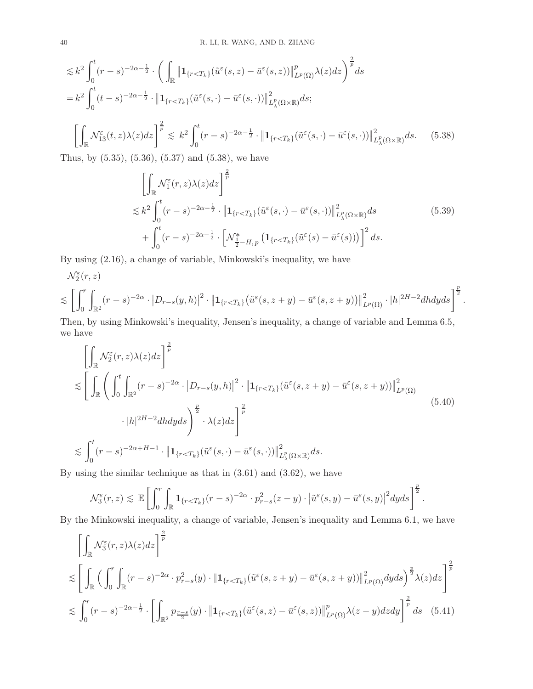$$
\lesssim k^{2} \int_{0}^{t} (r-s)^{-2\alpha-\frac{1}{2}} \cdot \left( \int_{\mathbb{R}} \left\| \mathbf{1}_{\{r  
\n
$$
= k^{2} \int_{0}^{t} (t-s)^{-2\alpha-\frac{1}{2}} \cdot \left\| \mathbf{1}_{\{r  
\n
$$
\left[ \int_{\mathbb{R}} \mathcal{N}_{13}^{\varepsilon}(t,z)\lambda(z) dz \right]^{\frac{2}{p}} \lesssim k^{2} \int_{0}^{t} (r-s)^{-2\alpha-\frac{1}{2}} \cdot \left\| \mathbf{1}_{\{r (5.38)
$$
$$
$$

Thus, by [\(5.35\)](#page-37-3), [\(5.36\)](#page-38-0), [\(5.37\)](#page-38-1) and [\(5.38\)](#page-39-0), we have

$$
\left[\int_{\mathbb{R}} \mathcal{N}_1^{\varepsilon}(r, z) \lambda(z) dz\right]^{\frac{2}{p}} \n\lesssim k^2 \int_0^t (r - s)^{-2\alpha - \frac{1}{2}} \cdot \left\| \mathbf{1}_{\{r < T_k\}} (\tilde{u}^{\varepsilon}(s, \cdot) - \bar{u}^{\varepsilon}(s, \cdot)) \right\|_{L^p_{\lambda}(\Omega \times \mathbb{R})}^2 ds \n+ \int_0^t (r - s)^{-2\alpha - \frac{1}{2}} \cdot \left[ \mathcal{N}_{\frac{1}{2} - H, p}^* \left( \mathbf{1}_{\{r < T_k\}} (\tilde{u}^{\varepsilon}(s) - \bar{u}^{\varepsilon}(s)) \right) \right]^2 ds.
$$
\n
$$
(5.39)
$$

<span id="page-39-3"></span><span id="page-39-1"></span><span id="page-39-0"></span>.

By using [\(2.16\)](#page-4-3), a change of variable, Minkowski's inequality, we have

$$
\mathcal{N}_{2}^{\varepsilon}(r,z)
$$
\n
$$
\lesssim \left[\int_{0}^{r} \int_{\mathbb{R}^{2}} (r-s)^{-2\alpha} \cdot |D_{r-s}(y,h)|^{2} \cdot \left\|\mathbf{1}_{\{r
$$

Then, by using Minkowski's inequality, Jensen's inequality, a change of variable and Lemma [6.5,](#page-45-0) we have

<span id="page-39-2"></span>
$$
\begin{split}\n&\left[\int_{\mathbb{R}} \mathcal{N}_{2}^{\varepsilon}(r,z)\lambda(z)dz\right]^{\frac{2}{p}} \\
&\lesssim \left[\int_{\mathbb{R}}\left(\int_{0}^{t}\int_{\mathbb{R}^{2}}(r-s)^{-2\alpha}\cdot\left|D_{r-s}(y,h)\right|^{2}\cdot\left\|\mathbf{1}_{\{r
$$

By using the similar technique as that in [\(3.61\)](#page-22-0) and [\(3.62\)](#page-22-1), we have

$$
\mathcal{N}_3^{\varepsilon}(r,z) \lesssim \mathbb{E}\left[\int_0^r \int_{\mathbb{R}} \mathbf{1}_{\{r < T_k\}}(r-s)^{-2\alpha} \cdot p_{r-s}^2(z-y) \cdot \left|\tilde{u}^{\varepsilon}(s,y) - \bar{u}^{\varepsilon}(s,y)\right|^2 dyds\right]^{\frac{p}{2}}.
$$

By the Minkowski inequality, a change of variable, Jensen's inequality and Lemma [6.1,](#page-44-1) we have

$$
\begin{split}\n&\left[\int_{\mathbb{R}} \mathcal{N}_{3}^{\varepsilon}(r,z)\lambda(z)dz\right]^{\frac{2}{p}} \\
&\lesssim \left[\int_{\mathbb{R}}\left(\int_{0}^{r}\int_{\mathbb{R}}(r-s)^{-2\alpha}\cdot p_{r-s}^{2}(y)\cdot\|\mathbf{1}_{\{r
$$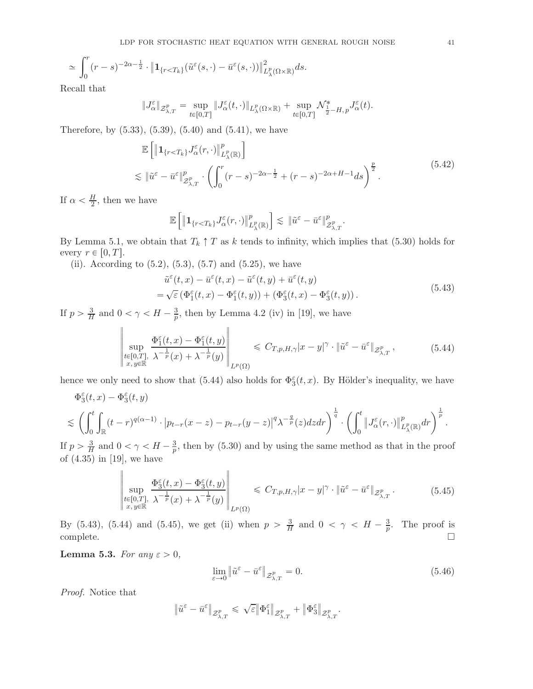$$
\simeq \int_0^r (r-s)^{-2\alpha - \frac{1}{2}} \cdot \left\| \mathbf{1}_{\{r < T_k\}}(\tilde{u}^{\varepsilon}(s, \cdot) - \bar{u}^{\varepsilon}(s, \cdot)) \right\|_{L^p_{\lambda}(\Omega \times \mathbb{R})}^2 ds.
$$

Recall that

$$
\|J_{\alpha}^{\varepsilon}\|_{\mathcal{Z}_{\lambda,T}^{p}}=\sup_{t\in[0,T]}\|J_{\alpha}^{\varepsilon}(t,\cdot)\|_{L_{\lambda}^{p}(\Omega\times\mathbb{R})}+\sup_{t\in[0,T]}\mathcal{N}_{\frac{1}{2}-H,p}^{*}J_{\alpha}^{\varepsilon}(t).
$$

<span id="page-40-3"></span>Therefore, by  $(5.33)$ ,  $(5.39)$ ,  $(5.40)$  and  $(5.41)$ , we have

$$
\mathbb{E}\left[\|\mathbf{1}_{\{r\n(5.42)
$$

If  $\alpha < \frac{H}{2}$ , then we have

$$
\mathbb{E}\left[\left\|\mathbf{1}_{\{r
$$

By Lemma [5.1,](#page-30-1) we obtain that  $T_k \uparrow T$  as k tends to infinity, which implies that [\(5.30\)](#page-37-0) holds for every  $r \in [0, T]$ .

(ii). According to  $(5.2)$ ,  $(5.3)$ ,  $(5.7)$  and  $(5.25)$ , we have

$$
\tilde{u}^{\varepsilon}(t,x) - \bar{u}^{\varepsilon}(t,x) - \tilde{u}^{\varepsilon}(t,y) + \bar{u}^{\varepsilon}(t,y) \n= \sqrt{\varepsilon} \left( \Phi_1^{\varepsilon}(t,x) - \Phi_1^{\varepsilon}(t,y) \right) + \left( \Phi_3^{\varepsilon}(t,x) - \Phi_3^{\varepsilon}(t,y) \right).
$$
\n(5.43)

<span id="page-40-1"></span>If  $p > \frac{3}{H}$  $\frac{3}{H}$  and  $0 < \gamma < H - \frac{3}{p}$  $\frac{3}{p}$ , then by Lemma 4.2 (iv) in [\[19](#page-46-6)], we have

$$
\left\| \sup_{\substack{t \in [0,T], \\ x, y \in \mathbb{R}}} \frac{\Phi_1^{\varepsilon}(t,x) - \Phi_1^{\varepsilon}(t,y)}{\lambda^{-\frac{1}{p}}(x) + \lambda^{-\frac{1}{p}}(y)} \right\|_{L^p(\Omega)} \leq C_{T,p,H,\gamma} |x - y|^{\gamma} \cdot \|\tilde{u}^{\varepsilon} - \bar{u}^{\varepsilon}\|_{\mathcal{Z}_{\lambda,T}^p}, \tag{5.44}
$$

<span id="page-40-0"></span>hence we only need to show that [\(5.44\)](#page-40-0) also holds for  $\Phi_{3}^{\varepsilon}(t,x)$ . By Hölder's inequality, we have

$$
\Phi_3^{\varepsilon}(t,x) - \Phi_3^{\varepsilon}(t,y)
$$
\n
$$
\lesssim \left( \int_0^t \int_{\mathbb{R}} (t-r)^{q(\alpha-1)} \cdot \left| p_{t-r}(x-z) - p_{t-r}(y-z) \right|^q \lambda^{-\frac{q}{p}}(z) dz dr \right)^{\frac{1}{q}} \cdot \left( \int_0^t \left\| J_{\alpha}^{\varepsilon}(r,\cdot) \right\|_{L_{\lambda}^p(\mathbb{R})}^p dr \right)^{\frac{1}{p}}.
$$

If  $p > \frac{3}{H}$  $\frac{3}{H}$  and  $0 < \gamma < H - \frac{3}{p}$  $\frac{3}{p}$ , then by [\(5.30\)](#page-37-0) and by using the same method as that in the proof of (4.35) in [\[19\]](#page-46-6), we have

 $\mathbf{I}$ 

$$
\left\| \sup_{\substack{t \in [0,T], \\ x, y \in \mathbb{R}}} \frac{\Phi_3^{\varepsilon}(t,x) - \Phi_3^{\varepsilon}(t,y)}{\lambda^{-\frac{1}{p}}(x) + \lambda^{-\frac{1}{p}}(y)} \right\|_{L^p(\Omega)} \leq C_{T,p,H,\gamma} |x - y|^{\gamma} \cdot \|\tilde{u}^{\varepsilon} - \bar{u}^{\varepsilon}\|_{\mathcal{Z}_{\lambda,T}^p}.
$$
\n(5.45)

<span id="page-40-2"></span>By [\(5.43\)](#page-40-1), [\(5.44\)](#page-40-0) and [\(5.45\)](#page-40-2), we get (ii) when  $p > \frac{3}{H}$  $\frac{3}{H}$  and  $0 < \gamma < H - \frac{3}{p}$  $\frac{3}{p}$ . The proof is complete.  $\Box$ 

<span id="page-40-4"></span>Lemma 5.3. For any  $\varepsilon > 0$ ,

 $\mathbf{u}$ 

$$
\lim_{\varepsilon \to 0} \left\| \tilde{u}^{\varepsilon} - \bar{u}^{\varepsilon} \right\|_{\mathcal{Z}_{\lambda, T}^p} = 0. \tag{5.46}
$$

Proof. Notice that

$$
\left\| \tilde{u}^\varepsilon - \bar{u}^\varepsilon \right\|_{\mathcal{Z}_{\lambda,T}^p} \leqslant \, \sqrt{\varepsilon} \big\| \Phi_1^\varepsilon \big\|_{\mathcal{Z}_{\lambda,T}^p} + \big\| \Phi_3^\varepsilon \big\|_{\mathcal{Z}_{\lambda,T}^p}.
$$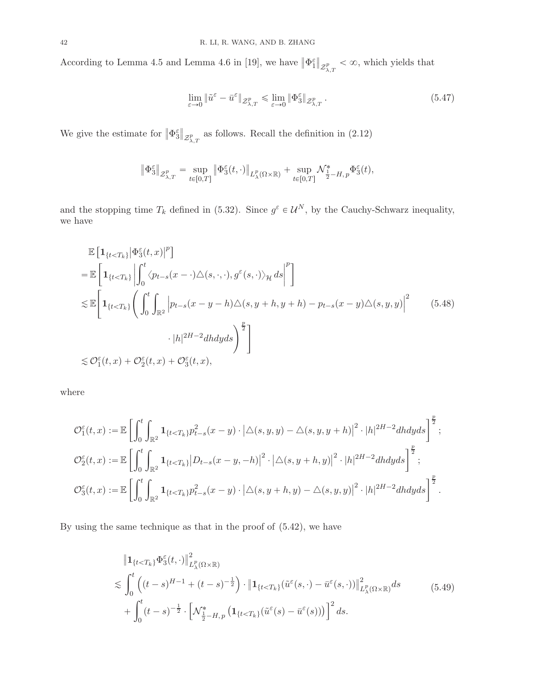According to Lemma 4.5 and Lemma 4.6 in [\[19](#page-46-6)], we have  $\|\Phi_1^{\varepsilon}\|_{\mathcal{Z}_{\lambda,T}^p} < \infty$ , which yields that

<span id="page-41-0"></span>
$$
\lim_{\varepsilon \to 0} \|\tilde{u}^{\varepsilon} - \bar{u}^{\varepsilon}\|_{\mathcal{Z}_{\lambda,T}^p} \le \lim_{\varepsilon \to 0} \|\Phi_3^{\varepsilon}\|_{\mathcal{Z}_{\lambda,T}^p}.
$$
\n(5.47)

We give the estimate for  $\|\Phi_{3}^{\varepsilon}\|_{\mathcal{Z}_{\lambda,T}^p}$  as follows. Recall the definition in [\(2.12\)](#page-4-1)

$$
\|\Phi_3^{\varepsilon}\|_{\mathcal{Z}_{\lambda,T}^p} = \sup_{t\in[0,T]} \|\Phi_3^{\varepsilon}(t,\cdot)\|_{L_{\lambda}^p(\Omega\times\mathbb{R})} + \sup_{t\in[0,T]} \mathcal{N}_{\frac{1}{2}-H,p}^* \Phi_3^{\varepsilon}(t),
$$

and the stopping time  $T_k$  defined in [\(5.32\)](#page-37-5). Since  $g^{\varepsilon} \in \mathcal{U}^N$ , by the Cauchy-Schwarz inequality, we have

$$
\mathbb{E}\left[\mathbf{1}_{\{t\n
$$
= \mathbb{E}\left[\mathbf{1}_{\{t\n
$$
\lesssim \mathbb{E}\left[\mathbf{1}_{\{t\n
$$
\lesssim \mathcal{O}_1^{\varepsilon}(t,x) + \mathcal{O}_2^{\varepsilon}(t,x) + \mathcal{O}_3^{\varepsilon}(t,x),
$$
\n(5.48)
$$
$$
$$

where

$$
\mathcal{O}_{1}^{\varepsilon}(t,x) := \mathbb{E}\left[\int_{0}^{t} \int_{\mathbb{R}^{2}} \mathbf{1}_{\{t < T_{k}\}} p_{t-s}^{2}(x-y) \cdot |\triangle(s,y,y) - \triangle(s,y,y+h)|^{2} \cdot |h|^{2H-2} dh dy ds \right]^{\frac{p}{2}};
$$
  

$$
\mathcal{O}_{2}^{\varepsilon}(t,x) := \mathbb{E}\left[\int_{0}^{t} \int_{\mathbb{R}^{2}} \mathbf{1}_{\{t < T_{k}\}} |D_{t-s}(x-y,-h)|^{2} \cdot |\triangle(s,y+h,y)|^{2} \cdot |h|^{2H-2} dh dy ds \right]^{\frac{p}{2}};
$$
  

$$
\mathcal{O}_{3}^{\varepsilon}(t,x) := \mathbb{E}\left[\int_{0}^{t} \int_{\mathbb{R}^{2}} \mathbf{1}_{\{t < T_{k}\}} p_{t-s}^{2}(x-y) \cdot |\triangle(s,y+h,y) - \triangle(s,y,y)|^{2} \cdot |h|^{2H-2} dh dy ds \right]^{\frac{p}{2}}.
$$

<span id="page-41-1"></span>By using the same technique as that in the proof of [\(5.42\)](#page-40-3), we have

$$
\|\mathbf{1}_{\{t\n(5.49)
$$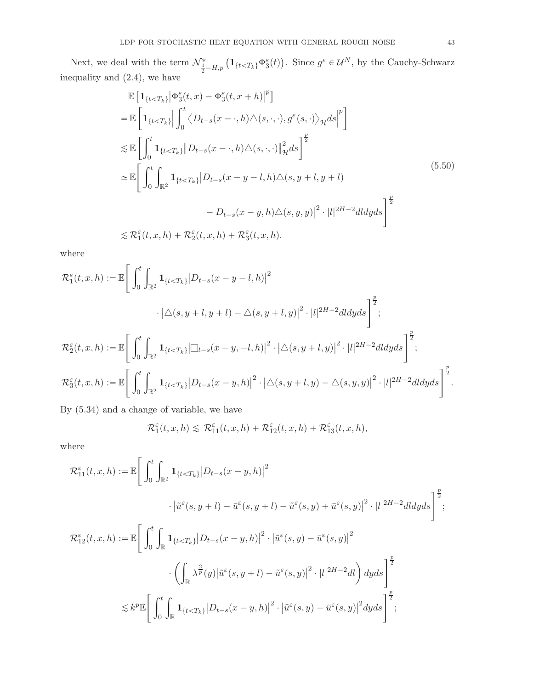Next, we deal with the term  $\mathcal{N}_{\frac{1}{2}-H,p}^* \left( \mathbf{1}_{\{t < T_k\}} \Phi_{3}^{\varepsilon}(t) \right)$ . Since  $g^{\varepsilon} \in \mathcal{U}^N$ , by the Cauchy-Schwarz inequality and [\(2.4\)](#page-3-1), we have

$$
\mathbb{E}\left[\mathbf{1}_{\{t\n
$$
=\mathbb{E}\left[\mathbf{1}_{\{t\n
$$
\lesssim \mathbb{E}\left[\int_0^t \mathbf{1}_{\{t\n
$$
\simeq \mathbb{E}\left[\int_0^t \int_{\mathbb{R}^2} \mathbf{1}_{\{t\n
$$
-D_{t-s}(x-y,h)\Delta(s,y,y)|^2 \cdot |l|^{2H-2}dldyds\right]^{\frac{p}{2}}
$$
\n
$$
\lesssim \mathcal{R}_1^{\varepsilon}(t,x,h) + \mathcal{R}_2^{\varepsilon}(t,x,h) + \mathcal{R}_3^{\varepsilon}(t,x,h).
$$
\n(5.50)
$$
$$
$$
$$

<span id="page-42-0"></span>where

$$
\mathcal{R}_1^{\varepsilon}(t, x, h) := \mathbb{E}\Bigg[\int_0^t \int_{\mathbb{R}^2} \mathbf{1}_{\{t < T_k\}} |D_{t-s}(x - y - l, h)|^2 \cdot |\Delta(s, y + l, y + l) - \Delta(s, y + l, y)|^2 \cdot |l|^{2H-2} dl dy ds\Bigg]^{\frac{p}{2}}; \n\mathcal{R}_2^{\varepsilon}(t, x, h) := \mathbb{E}\Bigg[\int_0^t \int_{\mathbb{R}^2} \mathbf{1}_{\{t < T_k\}} |\Box_{t-s}(x - y, -l, h)|^2 \cdot |\Delta(s, y + l, y)|^2 \cdot |l|^{2H-2} dl dy ds\Bigg]^{\frac{p}{2}}; \n\mathcal{R}_3^{\varepsilon}(t, x, h) := \mathbb{E}\Bigg[\int_0^t \int_{\mathbb{R}^2} \mathbf{1}_{\{t < T_k\}} |D_{t-s}(x - y, h)|^2 \cdot |\Delta(s, y + l, y) - \Delta(s, y, y)|^2 \cdot |l|^{2H-2} dl dy ds\Bigg]^{\frac{p}{2}}.
$$

By [\(5.34\)](#page-37-2) and a change of variable, we have

$$
\mathcal{R}_1^{\varepsilon}(t,x,h)\lesssim \ \mathcal{R}_{11}^{\varepsilon}(t,x,h)+\mathcal{R}_{12}^{\varepsilon}(t,x,h)+\mathcal{R}_{13}^{\varepsilon}(t,x,h),
$$

where

$$
\mathcal{R}_{11}^{\varepsilon}(t,x,h) := \mathbb{E}\Bigg[\int_0^t \int_{\mathbb{R}^2} \mathbf{1}_{\{t < T_k\}} |D_{t-s}(x-y,h)|^2
$$
  

$$
\cdot |\tilde{u}^{\varepsilon}(s,y+l) - \tilde{u}^{\varepsilon}(s,y+l) - \tilde{u}^{\varepsilon}(s,y) + \tilde{u}^{\varepsilon}(s,y)|^2 \cdot |l|^{2H-2}dldyds\Bigg]^{\frac{p}{2}},
$$
  

$$
\mathcal{R}_{12}^{\varepsilon}(t,x,h) := \mathbb{E}\Bigg[\int_0^t \int_{\mathbb{R}} \mathbf{1}_{\{t < T_k\}} |D_{t-s}(x-y,h)|^2 \cdot |\tilde{u}^{\varepsilon}(s,y) - \tilde{u}^{\varepsilon}(s,y)|^2
$$
  

$$
\cdot \left(\int_{\mathbb{R}} \lambda^{\frac{2}{p}}(y) |\tilde{u}^{\varepsilon}(s,y+l) - \tilde{u}^{\varepsilon}(s,y)|^2 \cdot |l|^{2H-2}d l\right) dyds\Bigg]^{\frac{p}{2}}
$$
  

$$
\lesssim k^p \mathbb{E}\Bigg[\int_0^t \int_{\mathbb{R}} \mathbf{1}_{\{t < T_k\}} |D_{t-s}(x-y,h)|^2 \cdot |\tilde{u}^{\varepsilon}(s,y) - \tilde{u}^{\varepsilon}(s,y)|^2 dyds\Bigg]^{\frac{p}{2}};
$$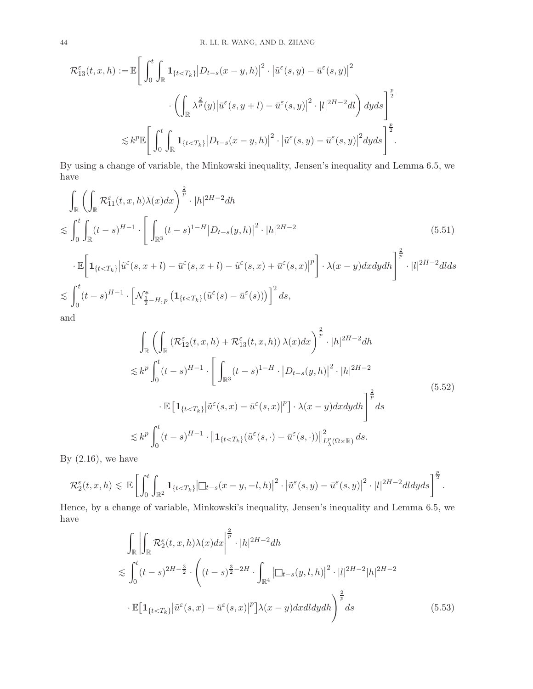$$
\mathcal{R}_{13}^{\varepsilon}(t,x,h) := \mathbb{E}\Bigg[\int_0^t \int_{\mathbb{R}} \mathbf{1}_{\{t < T_k\}} |D_{t-s}(x-y,h)|^2 \cdot |\tilde{u}^{\varepsilon}(s,y) - \bar{u}^{\varepsilon}(s,y)|^2 \cdot \left| \int_{\mathbb{R}} \lambda^{\frac{2}{p}}(y) |\bar{u}^{\varepsilon}(s,y+t) - \bar{u}^{\varepsilon}(s,y)|^2 \cdot |t|^{2H-2}dt \Bigg) dyds \Bigg]^{\frac{p}{2}}\Bigg]
$$
  

$$
\lesssim k^p \mathbb{E}\Bigg[\int_0^t \int_{\mathbb{R}} \mathbf{1}_{\{t < T_k\}} |D_{t-s}(x-y,h)|^2 \cdot |\tilde{u}^{\varepsilon}(s,y) - \bar{u}^{\varepsilon}(s,y)|^2 dyds \Bigg]^{\frac{p}{2}}.
$$

By using a change of variable, the Minkowski inequality, Jensen's inequality and Lemma [6.5,](#page-45-0) we have

$$
\int_{\mathbb{R}} \left( \int_{\mathbb{R}} \mathcal{R}_{11}^{\varepsilon}(t, x, h) \lambda(x) dx \right)^{\frac{2}{p}} \cdot |h|^{2H-2} dh
$$
\n
$$
\lesssim \int_{0}^{t} \int_{\mathbb{R}} (t-s)^{H-1} \cdot \left[ \int_{\mathbb{R}^{3}} (t-s)^{1-H} |D_{t-s}(y, h)|^{2} \cdot |h|^{2H-2} \right] \tag{5.51}
$$

$$
\begin{split}\n&\cdot \mathbb{E}\bigg[\mathbf{1}_{\{t
$$

<span id="page-43-2"></span>and

<span id="page-43-1"></span>
$$
\int_{\mathbb{R}} \left( \int_{\mathbb{R}} \left( \mathcal{R}_{12}^{\varepsilon}(t, x, h) + \mathcal{R}_{13}^{\varepsilon}(t, x, h) \right) \lambda(x) dx \right)^{\frac{2}{p}} \cdot |h|^{2H-2} dh
$$
\n
$$
\lesssim k^{p} \int_{0}^{t} (t-s)^{H-1} \cdot \left[ \int_{\mathbb{R}^{3}} (t-s)^{1-H} \cdot \left| D_{t-s}(y, h) \right|^{2} \cdot |h|^{2H-2} \right.
$$
\n
$$
\cdot \mathbb{E} \left[ \mathbf{1}_{\{t < T_{k}\}} \left| \tilde{u}^{\varepsilon}(s, x) - \bar{u}^{\varepsilon}(s, x) \right|^{p} \right] \cdot \lambda(x-y) dx dy dh \right]^{\frac{2}{p}} ds
$$
\n
$$
\lesssim k^{p} \int_{0}^{t} (t-s)^{H-1} \cdot \left\| \mathbf{1}_{\{t < T_{k}\}} (\tilde{u}^{\varepsilon}(s, \cdot) - \bar{u}^{\varepsilon}(s, \cdot)) \right\|_{L_{\lambda}^{p}(\Omega \times \mathbb{R})}^{2} ds.
$$
\n(5.52)

By  $(2.16)$ , we have

$$
\mathcal{R}_2^{\varepsilon}(t,x,h) \lesssim \mathbb{E}\left[\int_0^t \int_{\mathbb{R}^2} \mathbf{1}_{\{t < T_k\}} \left|\Box_{t-s}(x-y,-l,h)\right|^2 \cdot \left|\tilde{u}^{\varepsilon}(s,y) - \bar{u}^{\varepsilon}(s,y)\right|^2 \cdot |l|^{2H-2} d l d y d s\right]^{\frac{p}{2}}.
$$

Hence, by a change of variable, Minkowski's inequality, Jensen's inequality and Lemma [6.5,](#page-45-0) we have

<span id="page-43-0"></span>
$$
\int_{\mathbb{R}} \left| \int_{\mathbb{R}} \mathcal{R}_{2}^{\varepsilon}(t, x, h) \lambda(x) dx \right|^{2} \cdot |h|^{2H-2} dh
$$
\n
$$
\lesssim \int_{0}^{t} (t-s)^{2H-\frac{3}{2}} \cdot \left( (t-s)^{\frac{3}{2}-2H} \cdot \int_{\mathbb{R}^{4}} \left| \Box_{t-s}(y, l, h) \right|^{2} \cdot |l|^{2H-2} |h|^{2H-2} \cdot \mathbb{E}[\mathbf{1}_{\{t < T_{k}\}} | \tilde{u}^{\varepsilon}(s, x) - \bar{u}^{\varepsilon}(s, x)|^{p}] \lambda(x-y) dx dl dy dh \right)^{\frac{2}{p}} ds
$$
\n(5.53)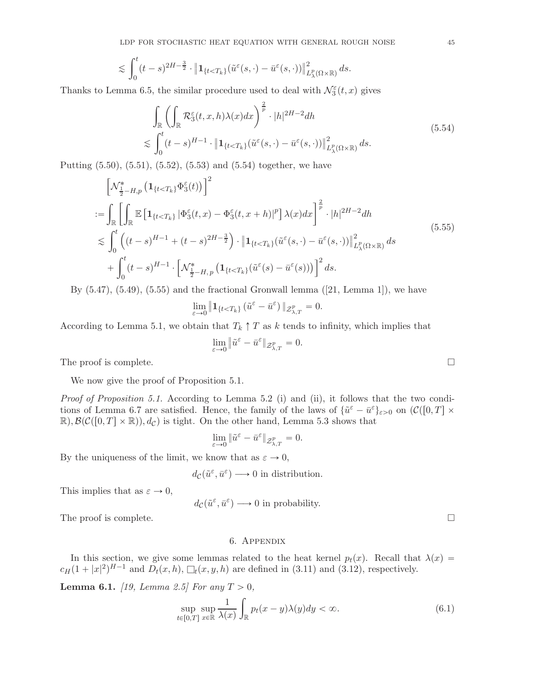$$
\lesssim \int_0^t (t-s)^{2H-\frac{3}{2}} \cdot \left\| \mathbf{1}_{\{t < T_k\}}(\tilde{u}^{\varepsilon}(s,\cdot)-\bar{u}^{\varepsilon}(s,\cdot)) \right\|_{L^p_{\lambda}(\Omega \times \mathbb{R})}^2 ds.
$$

<span id="page-44-2"></span>Thanks to Lemma [6.5,](#page-45-0) the similar procedure used to deal with  $\mathcal{N}_{3}^{\varepsilon}(t,x)$  gives

$$
\int_{\mathbb{R}} \left( \int_{\mathbb{R}} \mathcal{R}_3^{\varepsilon}(t, x, h) \lambda(x) dx \right)^{\frac{2}{p}} \cdot |h|^{2H-2} dh
$$
\n
$$
\lesssim \int_0^t (t-s)^{H-1} \cdot \left\| \mathbf{1}_{\{t < T_k\}} (\tilde{u}^{\varepsilon}(s, \cdot) - \bar{u}^{\varepsilon}(s, \cdot)) \right\|_{L^p_{\lambda}(\Omega \times \mathbb{R})}^2 ds.
$$
\n(5.54)

Putting  $(5.50), (5.51), (5.52), (5.53)$  $(5.50), (5.51), (5.52), (5.53)$  $(5.50), (5.51), (5.52), (5.53)$  $(5.50), (5.51), (5.52), (5.53)$  $(5.50), (5.51), (5.52), (5.53)$  $(5.50), (5.51), (5.52), (5.53)$  and  $(5.54)$  together, we have

<span id="page-44-3"></span>
$$
\begin{split}\n&\left[\mathcal{N}_{\frac{1}{2}-H,p}^{*}\left(\mathbf{1}_{\{t
$$

By  $(5.47)$ ,  $(5.49)$ ,  $(5.55)$  and the fractional Gronwall lemma  $([21, \text{Lemma } 1])$  $([21, \text{Lemma } 1])$  $([21, \text{Lemma } 1])$ , we have

$$
\lim_{\varepsilon \to 0} \|\mathbf{1}_{\{t < T_k\}} (\tilde{u}^{\varepsilon} - \bar{u}^{\varepsilon})\|_{\mathcal{Z}_{\lambda,T}^p} = 0.
$$

According to Lemma [5.1,](#page-30-1) we obtain that  $T_k \uparrow T$  as k tends to infinity, which implies that

$$
\lim_{\varepsilon\to 0}\|\tilde u^\varepsilon-\bar u^\varepsilon\|_{\mathcal{Z}_{\lambda,T}^p}=0.
$$

The proof is complete.  $\Box$ 

We now give the proof of Proposition [5.1.](#page-30-1)

Proof of Proposition [5.1.](#page-30-1) According to Lemma 5.2 (i) and (ii), it follows that the two condi-tions of Lemma [6.7](#page-45-5) are satisfied. Hence, the family of the laws of  $\{\tilde{u}^{\varepsilon} - \bar{u}^{\varepsilon}\}_{\varepsilon > 0}$  on  $(\mathcal{C}([0, T] \times$  $\mathbb{R},\mathcal{B}(\mathcal{C}([0,T]\times\mathbb{R})),d_{\mathcal{C}})$  is tight. On the other hand, Lemma [5.3](#page-40-4) shows that

$$
\lim_{\varepsilon\to 0}\|\tilde u^\varepsilon-\bar u^\varepsilon\|_{\mathcal{Z}_{\lambda,T}^p}=0.
$$

By the uniqueness of the limit, we know that as  $\varepsilon \to 0$ ,

$$
d_{\mathcal{C}}(\tilde{u}^{\varepsilon}, \bar{u}^{\varepsilon}) \longrightarrow 0
$$
 in distribution.

This implies that as  $\varepsilon \to 0$ ,

$$
d_{\mathcal{C}}(\tilde{u}^{\varepsilon}, \bar{u}^{\varepsilon}) \longrightarrow 0
$$
 in probability.

<span id="page-44-0"></span>The proof is complete.  $\Box$ 

## 6. Appendix

In this section, we give some lemmas related to the heat kernel  $p_t(x)$ . Recall that  $\lambda(x)$  =  $c_H (1+|x|^2)^{H-1}$  and  $D_t(x,h)$ ,  $\Box_t(x,y,h)$  are defined in [\(3.11\)](#page-8-2) and [\(3.12\)](#page-9-2), respectively.

<span id="page-44-1"></span>**Lemma 6.1.** [\[19,](#page-46-6) Lemma 2.5] For any  $T > 0$ ,

$$
\sup_{t \in [0,T]} \sup_{x \in \mathbb{R}} \frac{1}{\lambda(x)} \int_{\mathbb{R}} p_t(x - y) \lambda(y) dy < \infty. \tag{6.1}
$$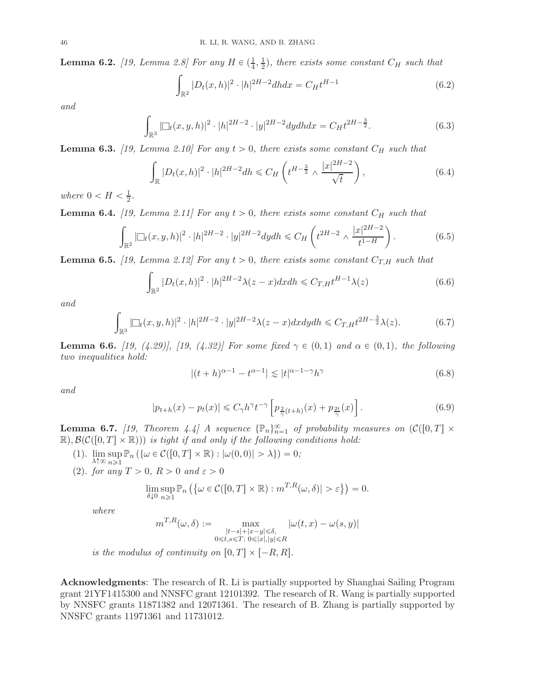<span id="page-45-2"></span>**Lemma 6.2.** [\[19,](#page-46-6) Lemma 2.8] For any  $H \in (\frac{1}{4}, \frac{1}{2})$  $\frac{1}{2}$ ), there exists some constant  $C_H$  such that

$$
\int_{\mathbb{R}^2} |D_t(x, h)|^2 \cdot |h|^{2H-2} dh dx = C_H t^{H-1}
$$
\n(6.2)

and

$$
\int_{\mathbb{R}^3} |\Box_t(x, y, h)|^2 \cdot |h|^{2H-2} \cdot |y|^{2H-2} dy dh dx = C_H t^{2H-\frac{3}{2}}.
$$
\n(6.3)

**Lemma 6.3.** [\[19,](#page-46-6) Lemma 2.10] For any  $t > 0$ , there exists some constant  $C_H$  such that

$$
\int_{\mathbb{R}} |D_t(x, h)|^2 \cdot |h|^{2H-2} dh \leq C_H \left( t^{H-\frac{3}{2}} \wedge \frac{|x|^{2H-2}}{\sqrt{t}} \right),\tag{6.4}
$$

where  $0 < H < \frac{1}{2}$  $\frac{1}{2}$ .

<span id="page-45-1"></span>**Lemma 6.4.** [\[19,](#page-46-6) Lemma 2.11] For any  $t > 0$ , there exists some constant  $C_H$  such that

$$
\int_{\mathbb{R}^2} |\Box_t(x, y, h)|^2 \cdot |h|^{2H-2} \cdot |y|^{2H-2} dy dh \le C_H \left( t^{2H-2} \wedge \frac{|x|^{2H-2}}{t^{1-H}} \right). \tag{6.5}
$$

<span id="page-45-0"></span>**Lemma 6.5.** [\[19,](#page-46-6) Lemma 2.12] For any  $t > 0$ , there exists some constant  $C_{T,H}$  such that

$$
\int_{\mathbb{R}^2} |D_t(x,h)|^2 \cdot |h|^{2H-2} \lambda(z-x) dx dh \leq C_{T,H} t^{H-1} \lambda(z)
$$
\n(6.6)

and

$$
\int_{\mathbb{R}^3} |\Box_t(x, y, h)|^2 \cdot |h|^{2H-2} \cdot |y|^{2H-2} \lambda(z-x) dx dy dh \le C_{T,H} t^{2H-\frac{3}{2}} \lambda(z).
$$
 (6.7)

**Lemma 6.6.** [\[19,](#page-46-6) (4.29)], [\[19,](#page-46-6) (4.32)] For some fixed  $\gamma \in (0,1)$  and  $\alpha \in (0,1)$ , the following two inequalities hold:

<span id="page-45-4"></span><span id="page-45-3"></span>
$$
|(t+h)^{\alpha-1} - t^{\alpha-1}| \lesssim |t|^{\alpha-1-\gamma} h^{\gamma}
$$
\n(6.8)

and

$$
|p_{t+h}(x) - p_t(x)| \leq C_\gamma h^\gamma t^{-\gamma} \left[ p_{\frac{2}{\gamma}(t+h)}(x) + p_{\frac{2t}{\gamma}}(x) \right]. \tag{6.9}
$$

<span id="page-45-5"></span>**Lemma 6.7.** [\[19](#page-46-6), Theorem 4.4] A sequence  $\{\mathbb{P}_n\}_{n=1}^{\infty}$  of probability measures on  $\mathcal{C}([0,T] \times$  $\mathbb{R},\mathcal{B}(\mathcal{C}([0,T]\times\mathbb{R})))$  is tight if and only if the following conditions hold:

- (1). lim  $\lambda$ ↑∞ sup  $\sup_{n\geq 1} \mathbb{P}_n \left( \{ \omega \in \mathcal{C}([0, T] \times \mathbb{R}) : |\omega(0, 0)| > \lambda \} \right) = 0;$
- (2). for any  $T > 0$ ,  $R > 0$  and  $\varepsilon > 0$

$$
\lim_{\delta \downarrow 0} \sup_{n \geq 1} \mathbb{P}_n \left( \{ \omega \in \mathcal{C}([0, T] \times \mathbb{R}) : m^{T,R}(\omega, \delta) | > \varepsilon \} \right) = 0.
$$

where

$$
m^{T,R}(\omega,\delta) := \max_{\substack{|t-s|+|x-y|\leqslant \delta,\\0\leqslant t,s\leqslant T;\ 0\leqslant |x|,|y|\leqslant R}} |\omega(t,x)-\omega(s,y)|
$$

is the modulus of continuity on  $[0, T] \times [-R, R]$ .

Acknowledgments: The research of R. Li is partially supported by Shanghai Sailing Program grant 21YF1415300 and NNSFC grant 12101392. The research of R. Wang is partially supported by NNSFC grants 11871382 and 12071361. The research of B. Zhang is partially supported by NNSFC grants 11971361 and 11731012.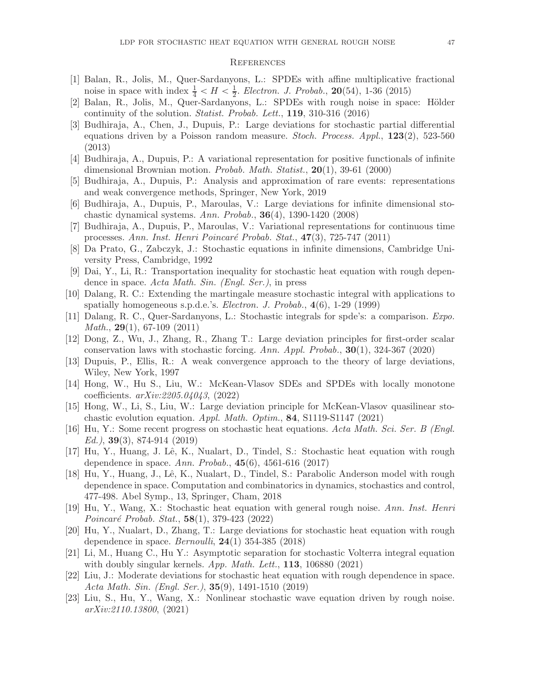#### <span id="page-46-0"></span>**REFERENCES**

- <span id="page-46-2"></span>[1] Balan, R., Jolis, M., Quer-Sardanyons, L.: SPDEs with affine multiplicative fractional noise in space with index  $\frac{1}{4} < H < \frac{1}{2}$  $\frac{1}{2}$ . Electron. J. Probab., 20(54), 1-36 (2015)
- <span id="page-46-9"></span>[2] Balan, R., Jolis, M., Quer-Sardanyons, L.: SPDEs with rough noise in space: Hölder continuity of the solution. Statist. Probab. Lett., 119, 310-316 (2016)
- <span id="page-46-13"></span>[3] Budhiraja, A., Chen, J., Dupuis, P.: Large deviations for stochastic partial differential equations driven by a Poisson random measure. Stoch. Process. Appl., 123(2), 523-560 (2013)
- [4] Budhiraja, A., Dupuis, P.: A variational representation for positive functionals of infinite dimensional Brownian motion. Probab. Math. Statist., 20(1), 39-61 (2000)
- [5] Budhiraja, A., Dupuis, P.: Analysis and approximation of rare events: representations and weak convergence methods, Springer, New York, 2019
- [6] Budhiraja, A., Dupuis, P., Maroulas, V.: Large deviations for infinite dimensional stochastic dynamical systems. Ann. Probab., 36(4), 1390-1420 (2008)
- <span id="page-46-14"></span>[7] Budhiraja, A., Dupuis, P., Maroulas, V.: Variational representations for continuous time processes. Ann. Inst. Henri Poincaré Probab. Stat.,  $47(3)$ , 725-747 (2011)
- <span id="page-46-4"></span>[8] Da Prato, G., Zabczyk, J.: Stochastic equations in infinite dimensions, Cambridge University Press, Cambridge, 1992
- <span id="page-46-12"></span>[9] Dai, Y., Li, R.: Transportation inequality for stochastic heat equation with rough dependence in space. Acta Math. Sin. (Engl. Ser.), in press
- <span id="page-46-1"></span>[10] Dalang, R. C.: Extending the martingale measure stochastic integral with applications to spatially homogeneous s.p.d.e.'s. Electron. J. Probab., 4(6), 1-29 (1999)
- <span id="page-46-5"></span>[11] Dalang, R. C., Quer-Sardanyons, L.: Stochastic integrals for spde's: a comparison. Expo. *Math.*,  $29(1)$ , 67-109 (2011)
- <span id="page-46-16"></span>[12] Dong, Z., Wu, J., Zhang, R., Zhang T.: Large deviation principles for first-order scalar conservation laws with stochastic forcing. Ann. Appl. Probab., 30(1), 324-367 (2020)
- <span id="page-46-15"></span>[13] Dupuis, P., Ellis, R.: A weak convergence approach to the theory of large deviations, Wiley, New York, 1997
- <span id="page-46-17"></span>[14] Hong, W., Hu S., Liu, W.: McKean-Vlasov SDEs and SPDEs with locally monotone coefficients. arXiv:2205.04043, (2022)
- <span id="page-46-18"></span>[15] Hong, W., Li, S., Liu, W.: Large deviation principle for McKean-Vlasov quasilinear stochastic evolution equation. Appl. Math. Optim., 84, S1119-S1147 (2021)
- <span id="page-46-8"></span>[16] Hu, Y.: Some recent progress on stochastic heat equations. Acta Math. Sci. Ser. B (Engl.  $Ed.$ ), **39**(3), 874-914 (2019)
- <span id="page-46-3"></span>[17] Hu, Y., Huang, J. Lˆe, K., Nualart, D., Tindel, S.: Stochastic heat equation with rough dependence in space. Ann. Probab., 45(6), 4561-616 (2017)
- [18] Hu, Y., Huang, J., Lê, K., Nualart, D., Tindel, S.: Parabolic Anderson model with rough dependence in space. Computation and combinatorics in dynamics, stochastics and control, 477-498. Abel Symp., 13, Springer, Cham, 2018
- <span id="page-46-6"></span>[19] Hu, Y., Wang, X.: Stochastic heat equation with general rough noise. Ann. Inst. Henri Poincaré Probab. Stat.,  $58(1)$ , 379-423 (2022)
- <span id="page-46-10"></span>[20] Hu, Y., Nualart, D., Zhang, T.: Large deviations for stochastic heat equation with rough dependence in space. *Bernoulli*,  $24(1)$  354-385 (2018)
- <span id="page-46-19"></span>[21] Li, M., Huang C., Hu Y.: Asymptotic separation for stochastic Volterra integral equation with doubly singular kernels.  $App. Math. Let t., 113, 106880 (2021)$
- <span id="page-46-11"></span>[22] Liu, J.: Moderate deviations for stochastic heat equation with rough dependence in space. Acta Math. Sin. (Engl. Ser.), 35(9), 1491-1510 (2019)
- <span id="page-46-7"></span>[23] Liu, S., Hu, Y., Wang, X.: Nonlinear stochastic wave equation driven by rough noise. arXiv:2110.13800, (2021)